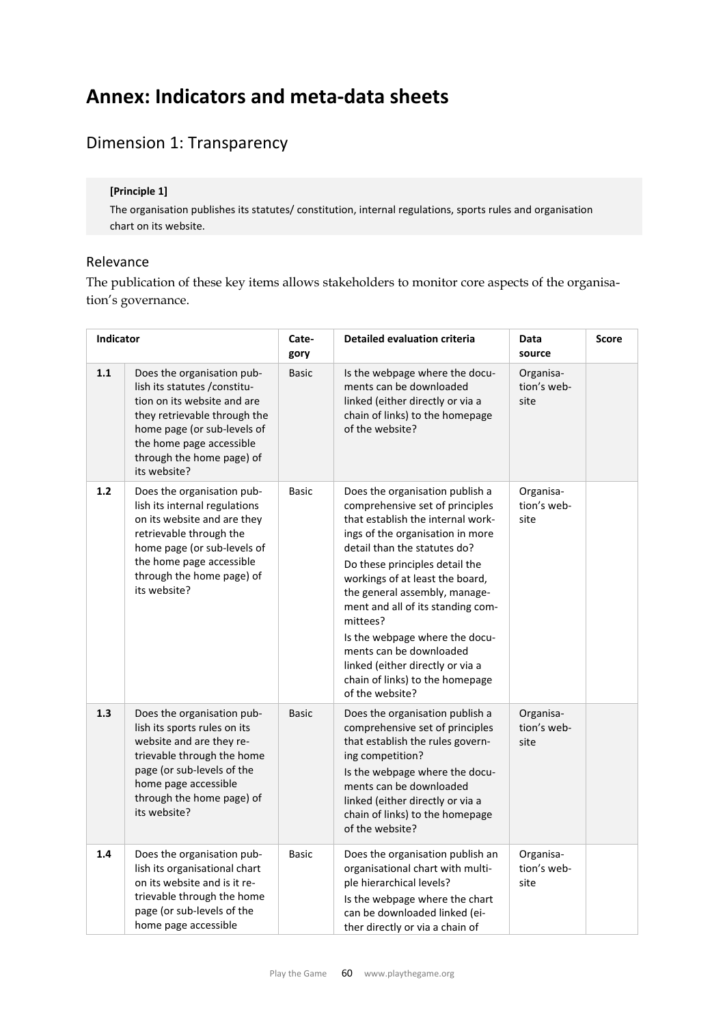# **Annex: Indicators and meta‐data sheets**

## Dimension 1: Transparency

## **[Principle 1]**

The organisation publishes its statutes/ constitution, internal regulations, sports rules and organisation chart on its website.

## Relevance

The publication of these key items allows stakeholders to monitor core aspects of the organisation's governance.

| Indicator |                                                                                                                                                                                                                                    | Cate-<br>gory | <b>Detailed evaluation criteria</b>                                                                                                                                                                                                                                                                                                                                                                                                                                                       | Data<br>source                   | Score |
|-----------|------------------------------------------------------------------------------------------------------------------------------------------------------------------------------------------------------------------------------------|---------------|-------------------------------------------------------------------------------------------------------------------------------------------------------------------------------------------------------------------------------------------------------------------------------------------------------------------------------------------------------------------------------------------------------------------------------------------------------------------------------------------|----------------------------------|-------|
| 1.1       | Does the organisation pub-<br>lish its statutes / constitu-<br>tion on its website and are<br>they retrievable through the<br>home page (or sub-levels of<br>the home page accessible<br>through the home page) of<br>its website? | <b>Basic</b>  | Is the webpage where the docu-<br>ments can be downloaded<br>linked (either directly or via a<br>chain of links) to the homepage<br>of the website?                                                                                                                                                                                                                                                                                                                                       | Organisa-<br>tion's web-<br>site |       |
| 1.2       | Does the organisation pub-<br>lish its internal regulations<br>on its website and are they<br>retrievable through the<br>home page (or sub-levels of<br>the home page accessible<br>through the home page) of<br>its website?      | <b>Basic</b>  | Does the organisation publish a<br>comprehensive set of principles<br>that establish the internal work-<br>ings of the organisation in more<br>detail than the statutes do?<br>Do these principles detail the<br>workings of at least the board,<br>the general assembly, manage-<br>ment and all of its standing com-<br>mittees?<br>Is the webpage where the docu-<br>ments can be downloaded<br>linked (either directly or via a<br>chain of links) to the homepage<br>of the website? | Organisa-<br>tion's web-<br>site |       |
| 1.3       | Does the organisation pub-<br>lish its sports rules on its<br>website and are they re-<br>trievable through the home<br>page (or sub-levels of the<br>home page accessible<br>through the home page) of<br>its website?            | <b>Basic</b>  | Does the organisation publish a<br>comprehensive set of principles<br>that establish the rules govern-<br>ing competition?<br>Is the webpage where the docu-<br>ments can be downloaded<br>linked (either directly or via a<br>chain of links) to the homepage<br>of the website?                                                                                                                                                                                                         | Organisa-<br>tion's web-<br>site |       |
| 1.4       | Does the organisation pub-<br>lish its organisational chart<br>on its website and is it re-<br>trievable through the home<br>page (or sub-levels of the<br>home page accessible                                                    | <b>Basic</b>  | Does the organisation publish an<br>organisational chart with multi-<br>ple hierarchical levels?<br>Is the webpage where the chart<br>can be downloaded linked (ei-<br>ther directly or via a chain of                                                                                                                                                                                                                                                                                    | Organisa-<br>tion's web-<br>site |       |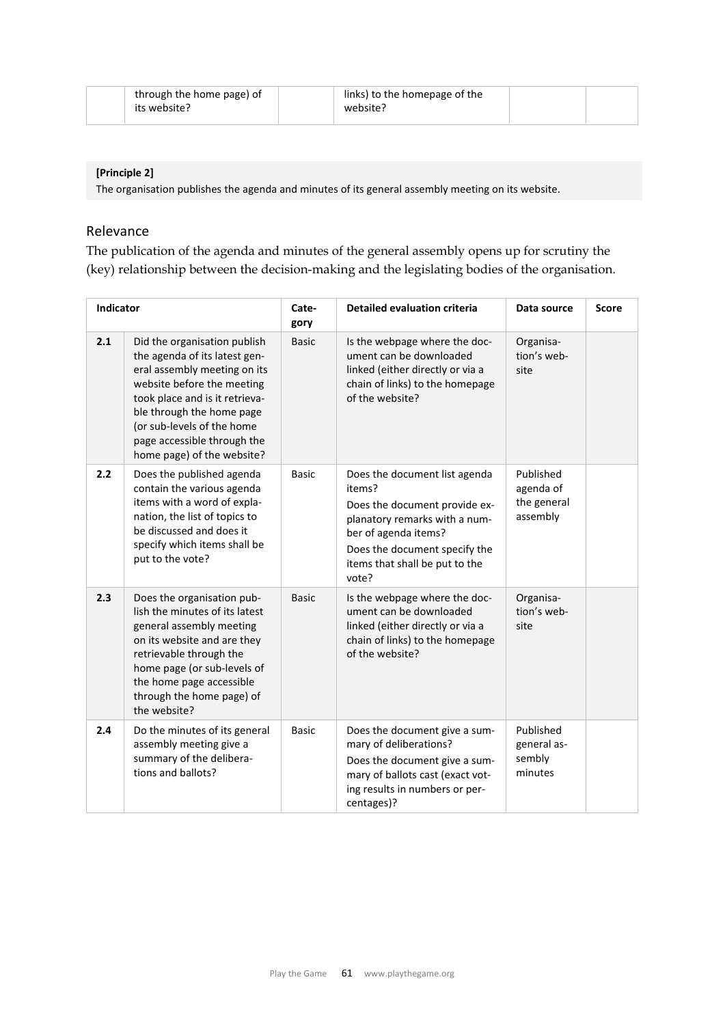| through the home page) of | links) to the homepage of the |  |
|---------------------------|-------------------------------|--|
| its website?              | website?                      |  |

## **[Principle 2]**

The organisation publishes the agenda and minutes of its general assembly meeting on its website.

## Relevance

The publication of the agenda and minutes of the general assembly opens up for scrutiny the (key) relationship between the decision-making and the legislating bodies of the organisation.

| Indicator |                                                                                                                                                                                                                                                                                       | Cate-<br>gory | <b>Detailed evaluation criteria</b>                                                                                                                                                                           | Data source                                       | <b>Score</b> |
|-----------|---------------------------------------------------------------------------------------------------------------------------------------------------------------------------------------------------------------------------------------------------------------------------------------|---------------|---------------------------------------------------------------------------------------------------------------------------------------------------------------------------------------------------------------|---------------------------------------------------|--------------|
| 2.1       | Did the organisation publish<br>the agenda of its latest gen-<br>eral assembly meeting on its<br>website before the meeting<br>took place and is it retrieva-<br>ble through the home page<br>(or sub-levels of the home<br>page accessible through the<br>home page) of the website? | <b>Basic</b>  | Is the webpage where the doc-<br>ument can be downloaded<br>linked (either directly or via a<br>chain of links) to the homepage<br>of the website?                                                            | Organisa-<br>tion's web-<br>site                  |              |
| 2.2       | Does the published agenda<br>contain the various agenda<br>items with a word of expla-<br>nation, the list of topics to<br>be discussed and does it<br>specify which items shall be<br>put to the vote?                                                                               | <b>Basic</b>  | Does the document list agenda<br>items?<br>Does the document provide ex-<br>planatory remarks with a num-<br>ber of agenda items?<br>Does the document specify the<br>items that shall be put to the<br>vote? | Published<br>agenda of<br>the general<br>assembly |              |
| 2.3       | Does the organisation pub-<br>lish the minutes of its latest<br>general assembly meeting<br>on its website and are they<br>retrievable through the<br>home page (or sub-levels of<br>the home page accessible<br>through the home page) of<br>the website?                            | <b>Basic</b>  | Is the webpage where the doc-<br>ument can be downloaded<br>linked (either directly or via a<br>chain of links) to the homepage<br>of the website?                                                            | Organisa-<br>tion's web-<br>site                  |              |
| 2.4       | Do the minutes of its general<br>assembly meeting give a<br>summary of the delibera-<br>tions and ballots?                                                                                                                                                                            | <b>Basic</b>  | Does the document give a sum-<br>mary of deliberations?<br>Does the document give a sum-<br>mary of ballots cast (exact vot-<br>ing results in numbers or per-<br>centages)?                                  | Published<br>general as-<br>sembly<br>minutes     |              |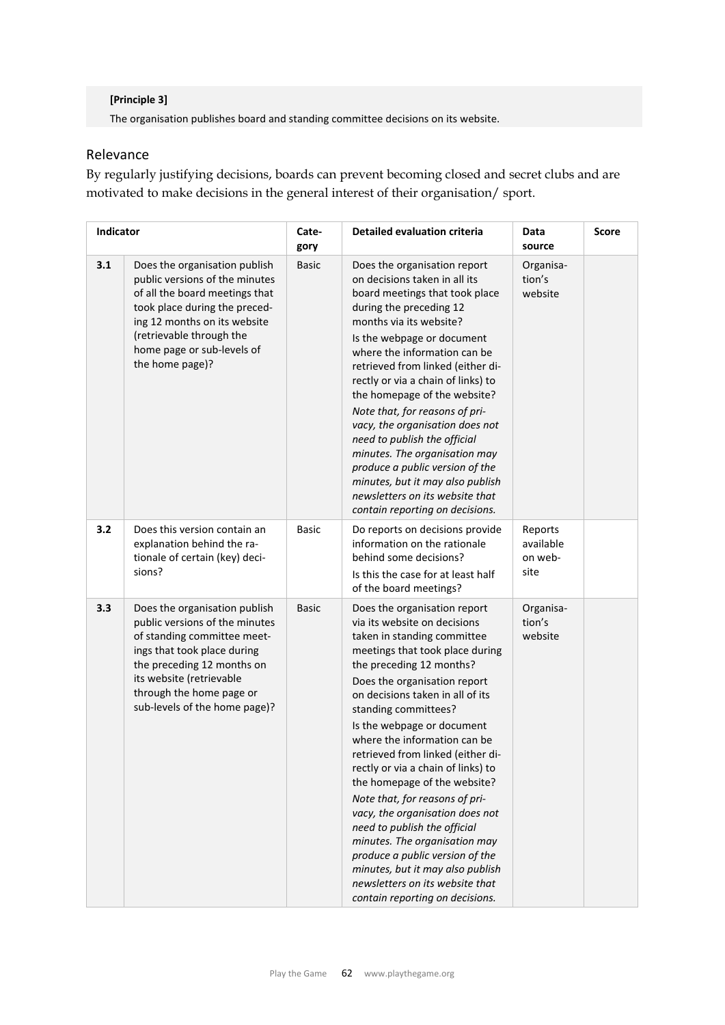## **[Principle 3]**

The organisation publishes board and standing committee decisions on its website.

## Relevance

By regularly justifying decisions, boards can prevent becoming closed and secret clubs and are motivated to make decisions in the general interest of their organisation/ sport.

| Indicator |                                                                                                                                                                                                                                                      | Cate-<br>gory | Detailed evaluation criteria                                                                                                                                                                                                                                                                                                                                                                                                                                                                                                                                                                                                                                                                                       | Data<br>source                          | <b>Score</b> |
|-----------|------------------------------------------------------------------------------------------------------------------------------------------------------------------------------------------------------------------------------------------------------|---------------|--------------------------------------------------------------------------------------------------------------------------------------------------------------------------------------------------------------------------------------------------------------------------------------------------------------------------------------------------------------------------------------------------------------------------------------------------------------------------------------------------------------------------------------------------------------------------------------------------------------------------------------------------------------------------------------------------------------------|-----------------------------------------|--------------|
| 3.1       | Does the organisation publish<br>public versions of the minutes<br>of all the board meetings that<br>took place during the preced-<br>ing 12 months on its website<br>(retrievable through the<br>home page or sub-levels of<br>the home page)?      | <b>Basic</b>  | Does the organisation report<br>on decisions taken in all its<br>board meetings that took place<br>during the preceding 12<br>months via its website?<br>Is the webpage or document<br>where the information can be<br>retrieved from linked (either di-<br>rectly or via a chain of links) to<br>the homepage of the website?<br>Note that, for reasons of pri-<br>vacy, the organisation does not<br>need to publish the official<br>minutes. The organisation may<br>produce a public version of the<br>minutes, but it may also publish<br>newsletters on its website that<br>contain reporting on decisions.                                                                                                  | Organisa-<br>tion's<br>website          |              |
| 3.2       | Does this version contain an<br>explanation behind the ra-<br>tionale of certain (key) deci-<br>sions?                                                                                                                                               | <b>Basic</b>  | Do reports on decisions provide<br>information on the rationale<br>behind some decisions?<br>Is this the case for at least half<br>of the board meetings?                                                                                                                                                                                                                                                                                                                                                                                                                                                                                                                                                          | Reports<br>available<br>on web-<br>site |              |
| 3.3       | Does the organisation publish<br>public versions of the minutes<br>of standing committee meet-<br>ings that took place during<br>the preceding 12 months on<br>its website (retrievable<br>through the home page or<br>sub-levels of the home page)? | <b>Basic</b>  | Does the organisation report<br>via its website on decisions<br>taken in standing committee<br>meetings that took place during<br>the preceding 12 months?<br>Does the organisation report<br>on decisions taken in all of its<br>standing committees?<br>Is the webpage or document<br>where the information can be<br>retrieved from linked (either di-<br>rectly or via a chain of links) to<br>the homepage of the website?<br>Note that, for reasons of pri-<br>vacy, the organisation does not<br>need to publish the official<br>minutes. The organisation may<br>produce a public version of the<br>minutes, but it may also publish<br>newsletters on its website that<br>contain reporting on decisions. | Organisa-<br>tion's<br>website          |              |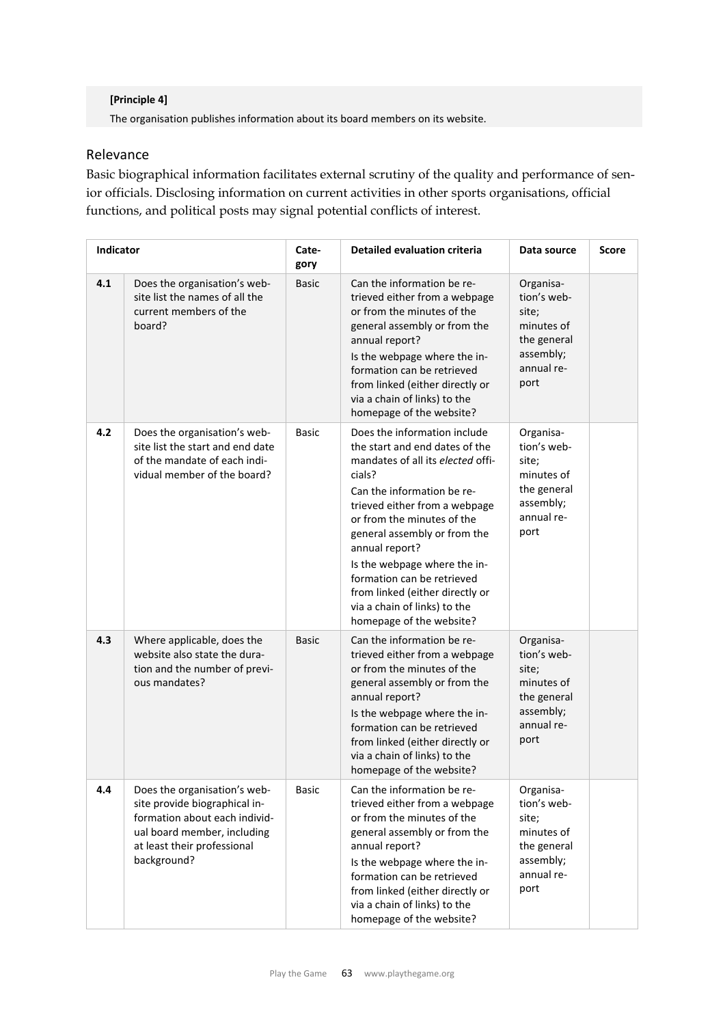#### **[Principle 4]**

The organisation publishes information about its board members on its website.

## Relevance

Basic biographical information facilitates external scrutiny of the quality and performance of senior officials. Disclosing information on current activities in other sports organisations, official functions, and political posts may signal potential conflicts of interest.

| Indicator |                                                                                                                                                                             | Cate-<br>gory | <b>Detailed evaluation criteria</b>                                                                                                                                                                                                                                                                                                                                                                                       | Data source                                                                                       | <b>Score</b> |
|-----------|-----------------------------------------------------------------------------------------------------------------------------------------------------------------------------|---------------|---------------------------------------------------------------------------------------------------------------------------------------------------------------------------------------------------------------------------------------------------------------------------------------------------------------------------------------------------------------------------------------------------------------------------|---------------------------------------------------------------------------------------------------|--------------|
| 4.1       | Does the organisation's web-<br>site list the names of all the<br>current members of the<br>board?                                                                          | <b>Basic</b>  | Can the information be re-<br>trieved either from a webpage<br>or from the minutes of the<br>general assembly or from the<br>annual report?<br>Is the webpage where the in-<br>formation can be retrieved<br>from linked (either directly or<br>via a chain of links) to the<br>homepage of the website?                                                                                                                  | Organisa-<br>tion's web-<br>site;<br>minutes of<br>the general<br>assembly;<br>annual re-<br>port |              |
| 4.2       | Does the organisation's web-<br>site list the start and end date<br>of the mandate of each indi-<br>vidual member of the board?                                             | Basic         | Does the information include<br>the start and end dates of the<br>mandates of all its elected offi-<br>cials?<br>Can the information be re-<br>trieved either from a webpage<br>or from the minutes of the<br>general assembly or from the<br>annual report?<br>Is the webpage where the in-<br>formation can be retrieved<br>from linked (either directly or<br>via a chain of links) to the<br>homepage of the website? | Organisa-<br>tion's web-<br>site;<br>minutes of<br>the general<br>assembly;<br>annual re-<br>port |              |
| 4.3       | Where applicable, does the<br>website also state the dura-<br>tion and the number of previ-<br>ous mandates?                                                                | <b>Basic</b>  | Can the information be re-<br>trieved either from a webpage<br>or from the minutes of the<br>general assembly or from the<br>annual report?<br>Is the webpage where the in-<br>formation can be retrieved<br>from linked (either directly or<br>via a chain of links) to the<br>homepage of the website?                                                                                                                  | Organisa-<br>tion's web-<br>site;<br>minutes of<br>the general<br>assembly;<br>annual re-<br>port |              |
| 4.4       | Does the organisation's web-<br>site provide biographical in-<br>formation about each individ-<br>ual board member, including<br>at least their professional<br>background? | <b>Basic</b>  | Can the information be re-<br>trieved either from a webpage<br>or from the minutes of the<br>general assembly or from the<br>annual report?<br>Is the webpage where the in-<br>formation can be retrieved<br>from linked (either directly or<br>via a chain of links) to the<br>homepage of the website?                                                                                                                  | Organisa-<br>tion's web-<br>site;<br>minutes of<br>the general<br>assembly;<br>annual re-<br>port |              |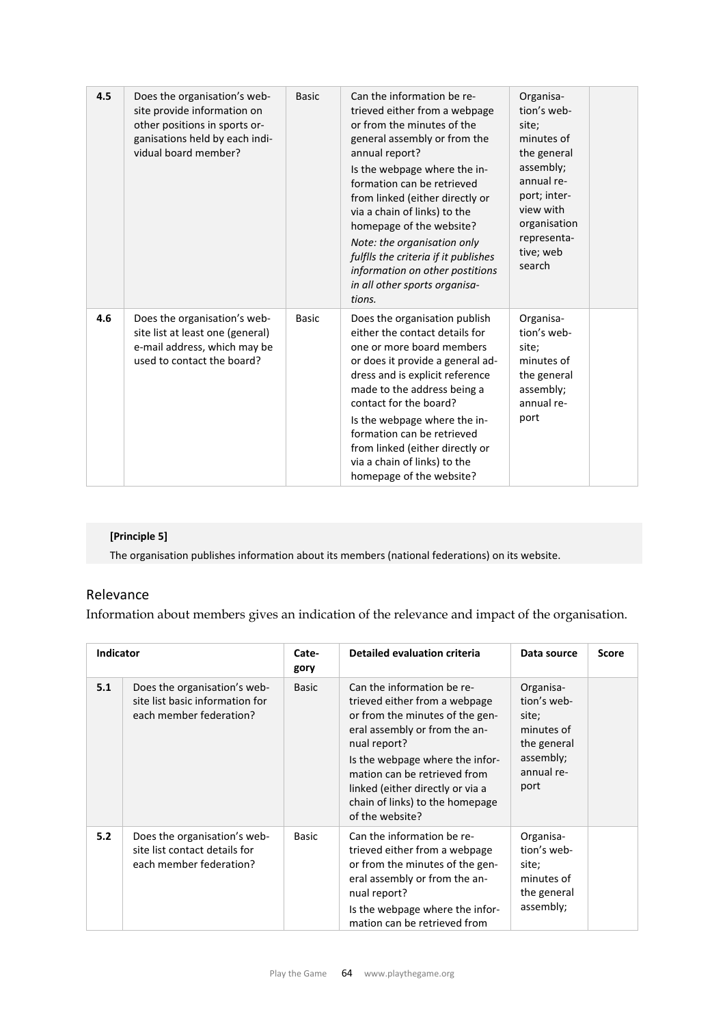| 4.5 | Does the organisation's web-<br>site provide information on<br>other positions in sports or-<br>ganisations held by each indi-<br>vidual board member? | <b>Basic</b> | Can the information be re-<br>trieved either from a webpage<br>or from the minutes of the<br>general assembly or from the<br>annual report?<br>Is the webpage where the in-<br>formation can be retrieved<br>from linked (either directly or<br>via a chain of links) to the<br>homepage of the website?<br>Note: the organisation only<br>fulflls the criteria if it publishes<br>information on other postitions<br>in all other sports organisa-<br>tions. | Organisa-<br>tion's web-<br>site;<br>minutes of<br>the general<br>assembly;<br>annual re-<br>port; inter-<br>view with<br>organisation<br>representa-<br>tive; web<br>search |  |
|-----|--------------------------------------------------------------------------------------------------------------------------------------------------------|--------------|---------------------------------------------------------------------------------------------------------------------------------------------------------------------------------------------------------------------------------------------------------------------------------------------------------------------------------------------------------------------------------------------------------------------------------------------------------------|------------------------------------------------------------------------------------------------------------------------------------------------------------------------------|--|
| 4.6 | Does the organisation's web-<br>site list at least one (general)<br>e-mail address, which may be<br>used to contact the board?                         | <b>Basic</b> | Does the organisation publish<br>either the contact details for<br>one or more board members<br>or does it provide a general ad-<br>dress and is explicit reference<br>made to the address being a<br>contact for the board?<br>Is the webpage where the in-<br>formation can be retrieved<br>from linked (either directly or<br>via a chain of links) to the<br>homepage of the website?                                                                     | Organisa-<br>tion's web-<br>site;<br>minutes of<br>the general<br>assembly;<br>annual re-<br>port                                                                            |  |

## **[Principle 5]**

The organisation publishes information about its members (national federations) on its website.

## Relevance

Information about members gives an indication of the relevance and impact of the organisation.

| <b>Indicator</b> |                                                                                            | Cate-<br>gory | <b>Detailed evaluation criteria</b>                                                                                                                                                                                                                                                                          | Data source                                                                                       | <b>Score</b> |  |
|------------------|--------------------------------------------------------------------------------------------|---------------|--------------------------------------------------------------------------------------------------------------------------------------------------------------------------------------------------------------------------------------------------------------------------------------------------------------|---------------------------------------------------------------------------------------------------|--------------|--|
| 5.1              | Does the organisation's web-<br>site list basic information for<br>each member federation? | <b>Basic</b>  | Can the information be re-<br>trieved either from a webpage<br>or from the minutes of the gen-<br>eral assembly or from the an-<br>nual report?<br>Is the webpage where the infor-<br>mation can be retrieved from<br>linked (either directly or via a<br>chain of links) to the homepage<br>of the website? | Organisa-<br>tion's web-<br>site;<br>minutes of<br>the general<br>assembly;<br>annual re-<br>port |              |  |
| 5.2              | Does the organisation's web-<br>site list contact details for<br>each member federation?   | <b>Basic</b>  | Can the information be re-<br>trieved either from a webpage<br>or from the minutes of the gen-<br>eral assembly or from the an-<br>nual report?<br>Is the webpage where the infor-<br>mation can be retrieved from                                                                                           | Organisa-<br>tion's web-<br>site;<br>minutes of<br>the general<br>assembly;                       |              |  |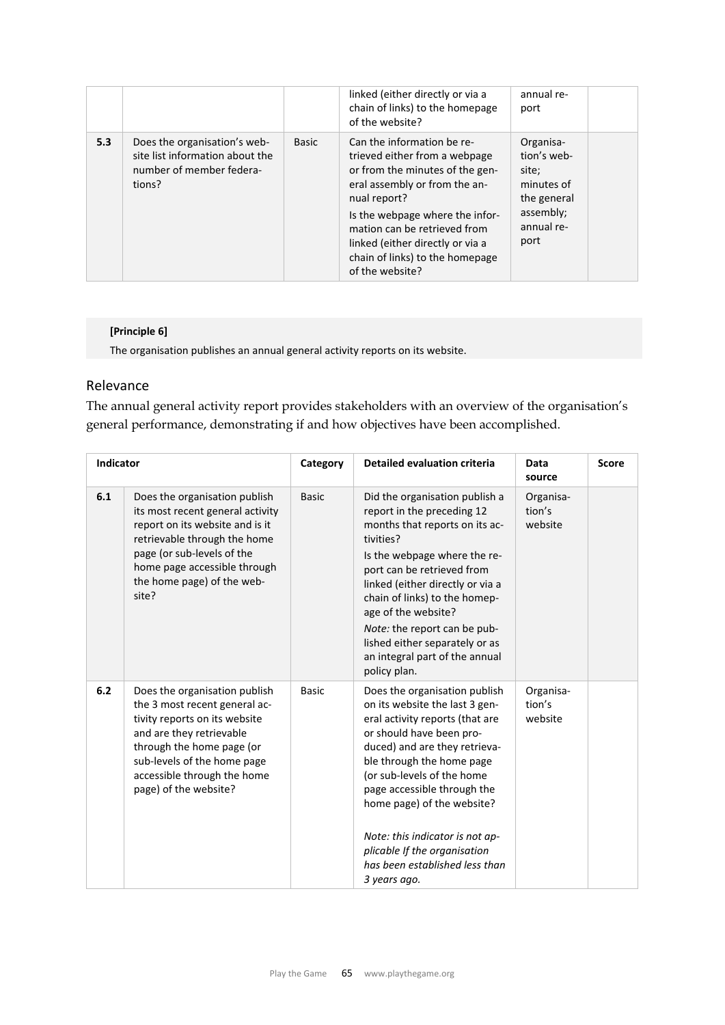|     |                                                                                                       |              | linked (either directly or via a<br>chain of links) to the homepage<br>of the website?                                                                                                                                                                                                                       | annual re-<br>port                                                                                |
|-----|-------------------------------------------------------------------------------------------------------|--------------|--------------------------------------------------------------------------------------------------------------------------------------------------------------------------------------------------------------------------------------------------------------------------------------------------------------|---------------------------------------------------------------------------------------------------|
| 5.3 | Does the organisation's web-<br>site list information about the<br>number of member federa-<br>tions? | <b>Basic</b> | Can the information be re-<br>trieved either from a webpage<br>or from the minutes of the gen-<br>eral assembly or from the an-<br>nual report?<br>Is the webpage where the infor-<br>mation can be retrieved from<br>linked (either directly or via a<br>chain of links) to the homepage<br>of the website? | Organisa-<br>tion's web-<br>site:<br>minutes of<br>the general<br>assembly;<br>annual re-<br>port |

#### **[Principle 6]**

The organisation publishes an annual general activity reports on its website.

## Relevance

The annual general activity report provides stakeholders with an overview of the organisation's general performance, demonstrating if and how objectives have been accomplished.

|     | <b>Indicator</b>                                                                                                                                                                                                                                |              | <b>Detailed evaluation criteria</b>                                                                                                                                                                                                                                                                                                                                                                          | Data<br>source                 | <b>Score</b> |
|-----|-------------------------------------------------------------------------------------------------------------------------------------------------------------------------------------------------------------------------------------------------|--------------|--------------------------------------------------------------------------------------------------------------------------------------------------------------------------------------------------------------------------------------------------------------------------------------------------------------------------------------------------------------------------------------------------------------|--------------------------------|--------------|
| 6.1 | Does the organisation publish<br>its most recent general activity<br>report on its website and is it<br>retrievable through the home<br>page (or sub-levels of the<br>home page accessible through<br>the home page) of the web-<br>site?       | <b>Basic</b> | Did the organisation publish a<br>report in the preceding 12<br>months that reports on its ac-<br>tivities?<br>Is the webpage where the re-<br>port can be retrieved from<br>linked (either directly or via a<br>chain of links) to the homep-<br>age of the website?<br>Note: the report can be pub-<br>lished either separately or as<br>an integral part of the annual<br>policy plan.                    | Organisa-<br>tion's<br>website |              |
| 6.2 | Does the organisation publish<br>the 3 most recent general ac-<br>tivity reports on its website<br>and are they retrievable<br>through the home page (or<br>sub-levels of the home page<br>accessible through the home<br>page) of the website? | <b>Basic</b> | Does the organisation publish<br>on its website the last 3 gen-<br>eral activity reports (that are<br>or should have been pro-<br>duced) and are they retrieva-<br>ble through the home page<br>(or sub-levels of the home<br>page accessible through the<br>home page) of the website?<br>Note: this indicator is not ap-<br>plicable If the organisation<br>has been established less than<br>3 years ago. | Organisa-<br>tion's<br>website |              |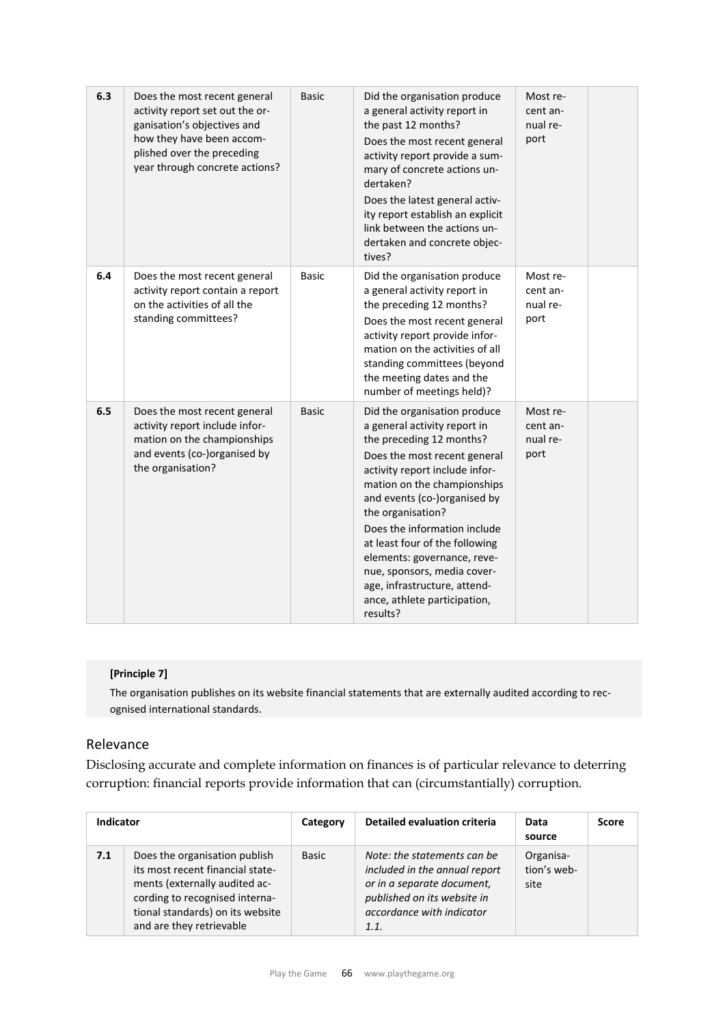| 6.3 | Does the most recent general<br>activity report set out the or-<br>ganisation's objectives and<br>how they have been accom-<br>plished over the preceding<br>year through concrete actions? | <b>Basic</b> | Did the organisation produce<br>a general activity report in<br>the past 12 months?<br>Does the most recent general<br>activity report provide a sum-<br>mary of concrete actions un-<br>dertaken?<br>Does the latest general activ-<br>ity report establish an explicit<br>link between the actions un-<br>dertaken and concrete objec-<br>tives?                                                                                                         | Most re-<br>cent an-<br>nual re-<br>port |  |
|-----|---------------------------------------------------------------------------------------------------------------------------------------------------------------------------------------------|--------------|------------------------------------------------------------------------------------------------------------------------------------------------------------------------------------------------------------------------------------------------------------------------------------------------------------------------------------------------------------------------------------------------------------------------------------------------------------|------------------------------------------|--|
| 6.4 | Does the most recent general<br>activity report contain a report<br>on the activities of all the<br>standing committees?                                                                    | <b>Basic</b> | Did the organisation produce<br>a general activity report in<br>the preceding 12 months?<br>Does the most recent general<br>activity report provide infor-<br>mation on the activities of all<br>standing committees (beyond<br>the meeting dates and the<br>number of meetings held)?                                                                                                                                                                     | Most re-<br>cent an-<br>nual re-<br>port |  |
| 6.5 | Does the most recent general<br>activity report include infor-<br>mation on the championships<br>and events (co-)organised by<br>the organisation?                                          | <b>Basic</b> | Did the organisation produce<br>a general activity report in<br>the preceding 12 months?<br>Does the most recent general<br>activity report include infor-<br>mation on the championships<br>and events (co-)organised by<br>the organisation?<br>Does the information include<br>at least four of the following<br>elements: governance, reve-<br>nue, sponsors, media cover-<br>age, infrastructure, attend-<br>ance, athlete participation,<br>results? | Most re-<br>cent an-<br>nual re-<br>port |  |

#### **[Principle 7]**

The organisation publishes on its website financial statements that are externally audited according to rec‐ ognised international standards.

## Relevance

Disclosing accurate and complete information on finances is of particular relevance to deterring corruption: financial reports provide information that can (circumstantially) corruption.

| <b>Indicator</b> |                                                                                                                                                                                                      | Category     | <b>Detailed evaluation criteria</b>                                                                                                                            | Data<br>source                   | <b>Score</b> |
|------------------|------------------------------------------------------------------------------------------------------------------------------------------------------------------------------------------------------|--------------|----------------------------------------------------------------------------------------------------------------------------------------------------------------|----------------------------------|--------------|
| 7.1              | Does the organisation publish<br>its most recent financial state-<br>ments (externally audited ac-<br>cording to recognised interna-<br>tional standards) on its website<br>and are they retrievable | <b>Basic</b> | Note: the statements can be<br>included in the annual report<br>or in a separate document,<br>published on its website in<br>accordance with indicator<br>1.1. | Organisa-<br>tion's web-<br>site |              |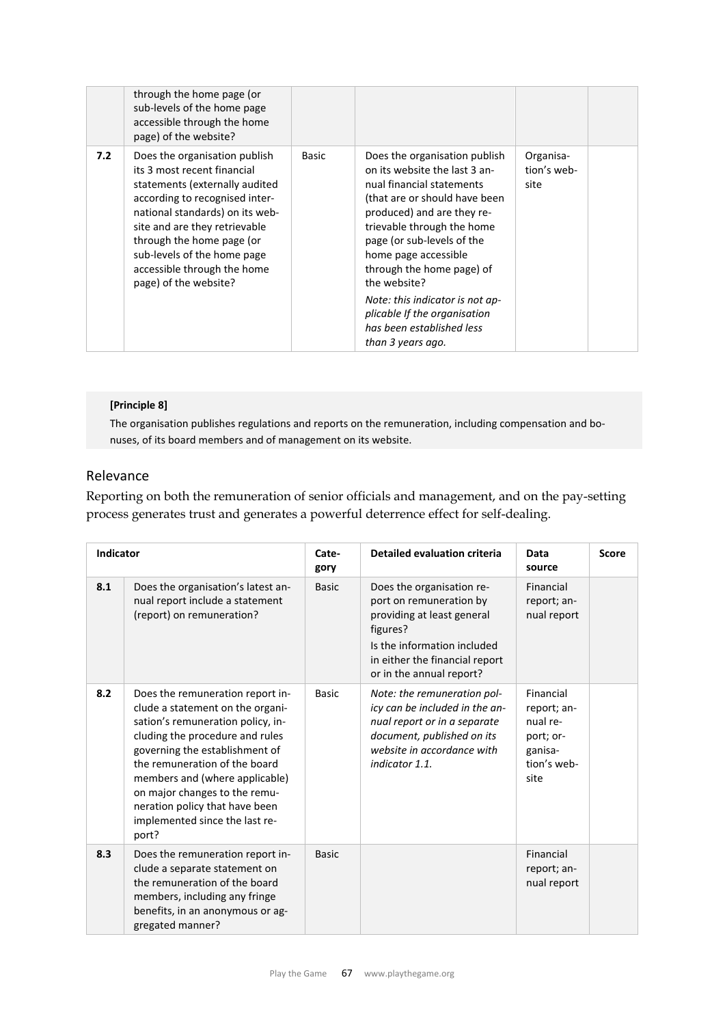|     | through the home page (or<br>sub-levels of the home page<br>accessible through the home<br>page) of the website?                                                                                                                                                                                                         |       |                                                                                                                                                                                                                                                                                                                                                                                                                  |                                  |  |
|-----|--------------------------------------------------------------------------------------------------------------------------------------------------------------------------------------------------------------------------------------------------------------------------------------------------------------------------|-------|------------------------------------------------------------------------------------------------------------------------------------------------------------------------------------------------------------------------------------------------------------------------------------------------------------------------------------------------------------------------------------------------------------------|----------------------------------|--|
| 7.2 | Does the organisation publish<br>its 3 most recent financial<br>statements (externally audited<br>according to recognised inter-<br>national standards) on its web-<br>site and are they retrievable<br>through the home page (or<br>sub-levels of the home page<br>accessible through the home<br>page) of the website? | Basic | Does the organisation publish<br>on its website the last 3 an-<br>nual financial statements<br>(that are or should have been<br>produced) and are they re-<br>trievable through the home<br>page (or sub-levels of the<br>home page accessible<br>through the home page) of<br>the website?<br>Note: this indicator is not ap-<br>plicable If the organisation<br>has been established less<br>than 3 years ago. | Organisa-<br>tion's web-<br>site |  |
|     |                                                                                                                                                                                                                                                                                                                          |       |                                                                                                                                                                                                                                                                                                                                                                                                                  |                                  |  |

#### **[Principle 8]**

The organisation publishes regulations and reports on the remuneration, including compensation and bonuses, of its board members and of management on its website.

## Relevance

Reporting on both the remuneration of senior officials and management, and on the pay-setting process generates trust and generates a powerful deterrence effect for self-dealing.

| <b>Indicator</b> |                                                                                                                                                                                                                                                                                                                                                                 | Cate-<br>gory | <b>Detailed evaluation criteria</b>                                                                                                                                                         | Data<br>source                                                                      | <b>Score</b> |
|------------------|-----------------------------------------------------------------------------------------------------------------------------------------------------------------------------------------------------------------------------------------------------------------------------------------------------------------------------------------------------------------|---------------|---------------------------------------------------------------------------------------------------------------------------------------------------------------------------------------------|-------------------------------------------------------------------------------------|--------------|
| 8.1              | Does the organisation's latest an-<br>nual report include a statement<br>(report) on remuneration?                                                                                                                                                                                                                                                              | <b>Basic</b>  | Does the organisation re-<br>port on remuneration by<br>providing at least general<br>figures?<br>Is the information included<br>in either the financial report<br>or in the annual report? | Financial<br>report; an-<br>nual report                                             |              |
| 8.2              | Does the remuneration report in-<br>clude a statement on the organi-<br>sation's remuneration policy, in-<br>cluding the procedure and rules<br>governing the establishment of<br>the remuneration of the board<br>members and (where applicable)<br>on major changes to the remu-<br>neration policy that have been<br>implemented since the last re-<br>port? | <b>Basic</b>  | Note: the remuneration pol-<br>icy can be included in the an-<br>nual report or in a separate<br>document, published on its<br>website in accordance with<br>indicator 1.1.                 | Financial<br>report; an-<br>nual re-<br>port; or-<br>ganisa-<br>tion's web-<br>site |              |
| 8.3              | Does the remuneration report in-<br>clude a separate statement on<br>the remuneration of the board<br>members, including any fringe<br>benefits, in an anonymous or ag-<br>gregated manner?                                                                                                                                                                     | <b>Basic</b>  |                                                                                                                                                                                             | Financial<br>report; an-<br>nual report                                             |              |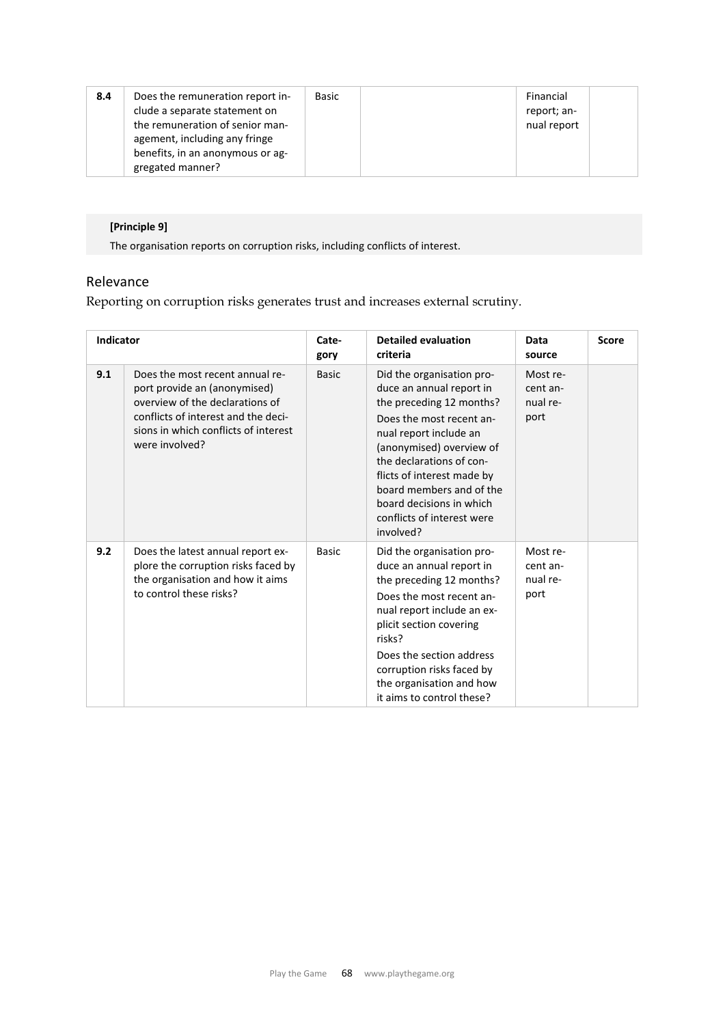| 8.4 | Does the remuneration report in-<br>clude a separate statement on<br>the remuneration of senior man-<br>agement, including any fringe<br>benefits, in an anonymous or ag-<br>gregated manner? | Basic |  | Financial<br>report; an-<br>nual report |  |
|-----|-----------------------------------------------------------------------------------------------------------------------------------------------------------------------------------------------|-------|--|-----------------------------------------|--|
|-----|-----------------------------------------------------------------------------------------------------------------------------------------------------------------------------------------------|-------|--|-----------------------------------------|--|

## **[Principle 9]**

The organisation reports on corruption risks, including conflicts of interest.

## Relevance

Reporting on corruption risks generates trust and increases external scrutiny.

| <b>Indicator</b> |                                                                                                                                                                                                     | Cate-<br>gory | <b>Detailed evaluation</b><br>criteria                                                                                                                                                                                                                                                                                           | Data<br>source                           | <b>Score</b> |
|------------------|-----------------------------------------------------------------------------------------------------------------------------------------------------------------------------------------------------|---------------|----------------------------------------------------------------------------------------------------------------------------------------------------------------------------------------------------------------------------------------------------------------------------------------------------------------------------------|------------------------------------------|--------------|
| 9.1              | Does the most recent annual re-<br>port provide an (anonymised)<br>overview of the declarations of<br>conflicts of interest and the deci-<br>sions in which conflicts of interest<br>were involved? | <b>Basic</b>  | Did the organisation pro-<br>duce an annual report in<br>the preceding 12 months?<br>Does the most recent an-<br>nual report include an<br>(anonymised) overview of<br>the declarations of con-<br>flicts of interest made by<br>board members and of the<br>board decisions in which<br>conflicts of interest were<br>involved? | Most re-<br>cent an-<br>nual re-<br>port |              |
| 9.2              | Does the latest annual report ex-<br>plore the corruption risks faced by<br>the organisation and how it aims<br>to control these risks?                                                             | <b>Basic</b>  | Did the organisation pro-<br>duce an annual report in<br>the preceding 12 months?<br>Does the most recent an-<br>nual report include an ex-<br>plicit section covering<br>risks?<br>Does the section address<br>corruption risks faced by<br>the organisation and how<br>it aims to control these?                               | Most re-<br>cent an-<br>nual re-<br>port |              |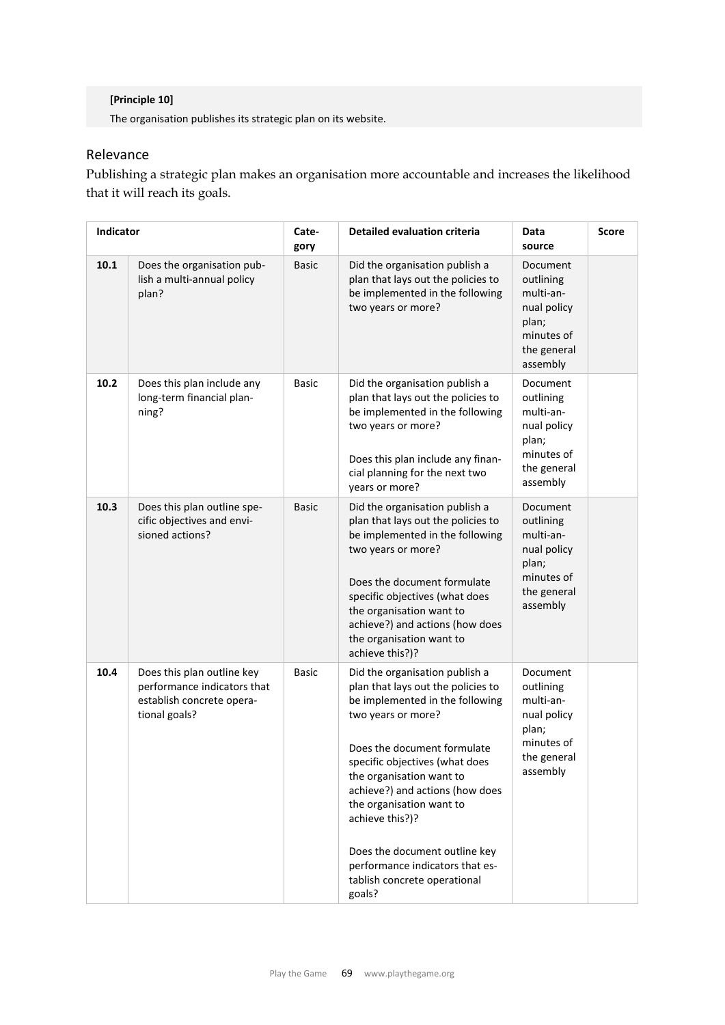## **[Principle 10]**

The organisation publishes its strategic plan on its website.

## Relevance

Publishing a strategic plan makes an organisation more accountable and increases the likelihood that it will reach its goals.

|      | Indicator                                                                                               |              | Detailed evaluation criteria                                                                                                                                                                                                                                                                                                                                                                                               | Data<br>source                                                                                      | <b>Score</b> |
|------|---------------------------------------------------------------------------------------------------------|--------------|----------------------------------------------------------------------------------------------------------------------------------------------------------------------------------------------------------------------------------------------------------------------------------------------------------------------------------------------------------------------------------------------------------------------------|-----------------------------------------------------------------------------------------------------|--------------|
| 10.1 | Does the organisation pub-<br>lish a multi-annual policy<br>plan?                                       | <b>Basic</b> | Did the organisation publish a<br>plan that lays out the policies to<br>be implemented in the following<br>two years or more?                                                                                                                                                                                                                                                                                              | Document<br>outlining<br>multi-an-<br>nual policy<br>plan;<br>minutes of<br>the general<br>assembly |              |
| 10.2 | Does this plan include any<br>long-term financial plan-<br>ning?                                        | <b>Basic</b> | Did the organisation publish a<br>plan that lays out the policies to<br>be implemented in the following<br>two years or more?<br>Does this plan include any finan-<br>cial planning for the next two<br>years or more?                                                                                                                                                                                                     | Document<br>outlining<br>multi-an-<br>nual policy<br>plan;<br>minutes of<br>the general<br>assembly |              |
| 10.3 | Does this plan outline spe-<br>cific objectives and envi-<br>sioned actions?                            | <b>Basic</b> | Did the organisation publish a<br>plan that lays out the policies to<br>be implemented in the following<br>two years or more?<br>Does the document formulate<br>specific objectives (what does<br>the organisation want to<br>achieve?) and actions (how does<br>the organisation want to<br>achieve this?)?                                                                                                               | Document<br>outlining<br>multi-an-<br>nual policy<br>plan;<br>minutes of<br>the general<br>assembly |              |
| 10.4 | Does this plan outline key<br>performance indicators that<br>establish concrete opera-<br>tional goals? | <b>Basic</b> | Did the organisation publish a<br>plan that lays out the policies to<br>be implemented in the following<br>two years or more?<br>Does the document formulate<br>specific objectives (what does<br>the organisation want to<br>achieve?) and actions (how does<br>the organisation want to<br>achieve this?)?<br>Does the document outline key<br>performance indicators that es-<br>tablish concrete operational<br>goals? | Document<br>outlining<br>multi-an-<br>nual policy<br>plan;<br>minutes of<br>the general<br>assembly |              |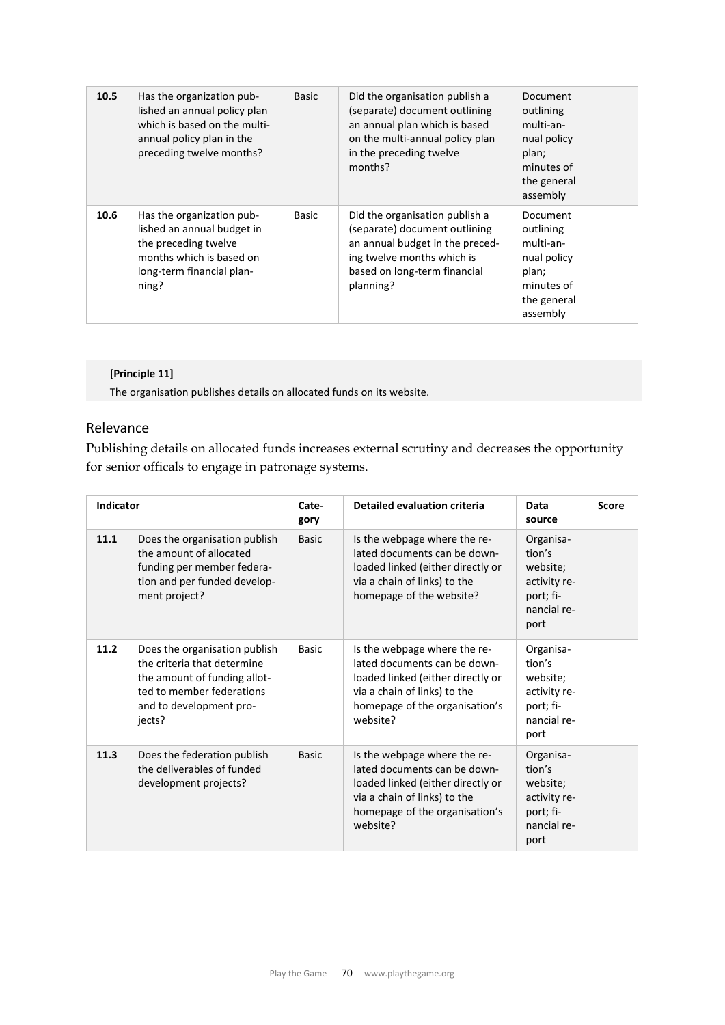| 10.5 | Has the organization pub-<br>lished an annual policy plan<br>which is based on the multi-<br>annual policy plan in the<br>preceding twelve months? | <b>Basic</b> | Did the organisation publish a<br>(separate) document outlining<br>an annual plan which is based<br>on the multi-annual policy plan<br>in the preceding twelve<br>months?     | Document<br>outlining<br>multi-an-<br>nual policy<br>plan;<br>minutes of<br>the general<br>assembly |
|------|----------------------------------------------------------------------------------------------------------------------------------------------------|--------------|-------------------------------------------------------------------------------------------------------------------------------------------------------------------------------|-----------------------------------------------------------------------------------------------------|
| 10.6 | Has the organization pub-<br>lished an annual budget in<br>the preceding twelve<br>months which is based on<br>long-term financial plan-<br>ning?  | Basic        | Did the organisation publish a<br>(separate) document outlining<br>an annual budget in the preced-<br>ing twelve months which is<br>based on long-term financial<br>planning? | Document<br>outlining<br>multi-an-<br>nual policy<br>plan;<br>minutes of<br>the general<br>assembly |

#### **[Principle 11]**

The organisation publishes details on allocated funds on its website.

### Relevance

Publishing details on allocated funds increases external scrutiny and decreases the opportunity for senior officals to engage in patronage systems.

| Indicator |                                                                                                                                                                | Cate-<br>gory | <b>Detailed evaluation criteria</b>                                                                                                                                             | Data<br>source                                                                      | <b>Score</b> |
|-----------|----------------------------------------------------------------------------------------------------------------------------------------------------------------|---------------|---------------------------------------------------------------------------------------------------------------------------------------------------------------------------------|-------------------------------------------------------------------------------------|--------------|
| 11.1      | Does the organisation publish<br>the amount of allocated<br>funding per member federa-<br>tion and per funded develop-<br>ment project?                        | <b>Basic</b>  | Is the webpage where the re-<br>lated documents can be down-<br>loaded linked (either directly or<br>via a chain of links) to the<br>homepage of the website?                   | Organisa-<br>tion's<br>website;<br>activity re-<br>port; fi-<br>nancial re-<br>port |              |
| 11.2      | Does the organisation publish<br>the criteria that determine<br>the amount of funding allot-<br>ted to member federations<br>and to development pro-<br>jects? | <b>Basic</b>  | Is the webpage where the re-<br>lated documents can be down-<br>loaded linked (either directly or<br>via a chain of links) to the<br>homepage of the organisation's<br>website? | Organisa-<br>tion's<br>website;<br>activity re-<br>port; fi-<br>nancial re-<br>port |              |
| 11.3      | Does the federation publish<br>the deliverables of funded<br>development projects?                                                                             | <b>Basic</b>  | Is the webpage where the re-<br>lated documents can be down-<br>loaded linked (either directly or<br>via a chain of links) to the<br>homepage of the organisation's<br>website? | Organisa-<br>tion's<br>website:<br>activity re-<br>port; fi-<br>nancial re-<br>port |              |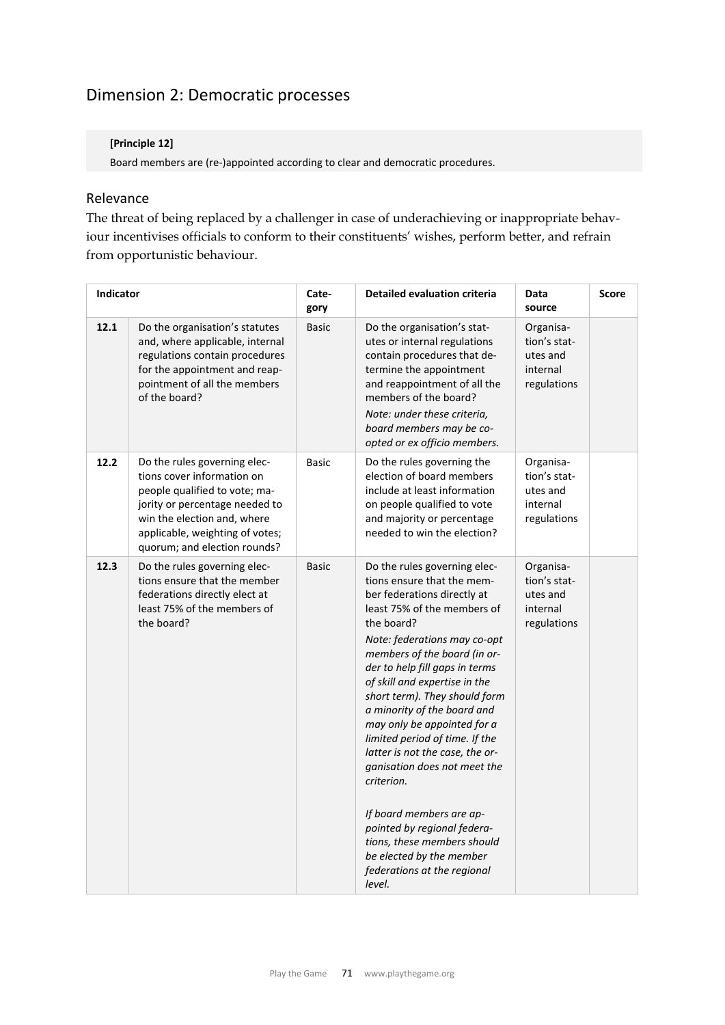## Dimension 2: Democratic processes

## **[Principle 12]**

Board members are (re‐)appointed according to clear and democratic procedures.

## Relevance

The threat of being replaced by a challenger in case of underachieving or inappropriate behaviour incentivises officials to conform to their constituents' wishes, perform better, and refrain from opportunistic behaviour.

| Indicator |                                                                                                                                                                                                                                 | Cate-<br>gory | <b>Detailed evaluation criteria</b>                                                                                                                                                                                                                                                                                                                                                                                                                                                                                                                                                                                                                        | Data<br>source                                                   | <b>Score</b> |
|-----------|---------------------------------------------------------------------------------------------------------------------------------------------------------------------------------------------------------------------------------|---------------|------------------------------------------------------------------------------------------------------------------------------------------------------------------------------------------------------------------------------------------------------------------------------------------------------------------------------------------------------------------------------------------------------------------------------------------------------------------------------------------------------------------------------------------------------------------------------------------------------------------------------------------------------------|------------------------------------------------------------------|--------------|
| 12.1      | Do the organisation's statutes<br>and, where applicable, internal<br>regulations contain procedures<br>for the appointment and reap-<br>pointment of all the members<br>of the board?                                           | <b>Basic</b>  | Do the organisation's stat-<br>utes or internal regulations<br>contain procedures that de-<br>termine the appointment<br>and reappointment of all the<br>members of the board?<br>Note: under these criteria,<br>board members may be co-<br>opted or ex officio members.                                                                                                                                                                                                                                                                                                                                                                                  | Organisa-<br>tion's stat-<br>utes and<br>internal<br>regulations |              |
| 12.2      | Do the rules governing elec-<br>tions cover information on<br>people qualified to vote; ma-<br>jority or percentage needed to<br>win the election and, where<br>applicable, weighting of votes;<br>quorum; and election rounds? | <b>Basic</b>  | Do the rules governing the<br>election of board members<br>include at least information<br>on people qualified to vote<br>and majority or percentage<br>needed to win the election?                                                                                                                                                                                                                                                                                                                                                                                                                                                                        | Organisa-<br>tion's stat-<br>utes and<br>internal<br>regulations |              |
| 12.3      | Do the rules governing elec-<br>tions ensure that the member<br>federations directly elect at<br>least 75% of the members of<br>the board?                                                                                      | <b>Basic</b>  | Do the rules governing elec-<br>tions ensure that the mem-<br>ber federations directly at<br>least 75% of the members of<br>the board?<br>Note: federations may co-opt<br>members of the board (in or-<br>der to help fill gaps in terms<br>of skill and expertise in the<br>short term). They should form<br>a minority of the board and<br>may only be appointed for a<br>limited period of time. If the<br>latter is not the case, the or-<br>ganisation does not meet the<br>criterion.<br>If board members are ap-<br>pointed by regional federa-<br>tions, these members should<br>be elected by the member<br>federations at the regional<br>level. | Organisa-<br>tion's stat-<br>utes and<br>internal<br>regulations |              |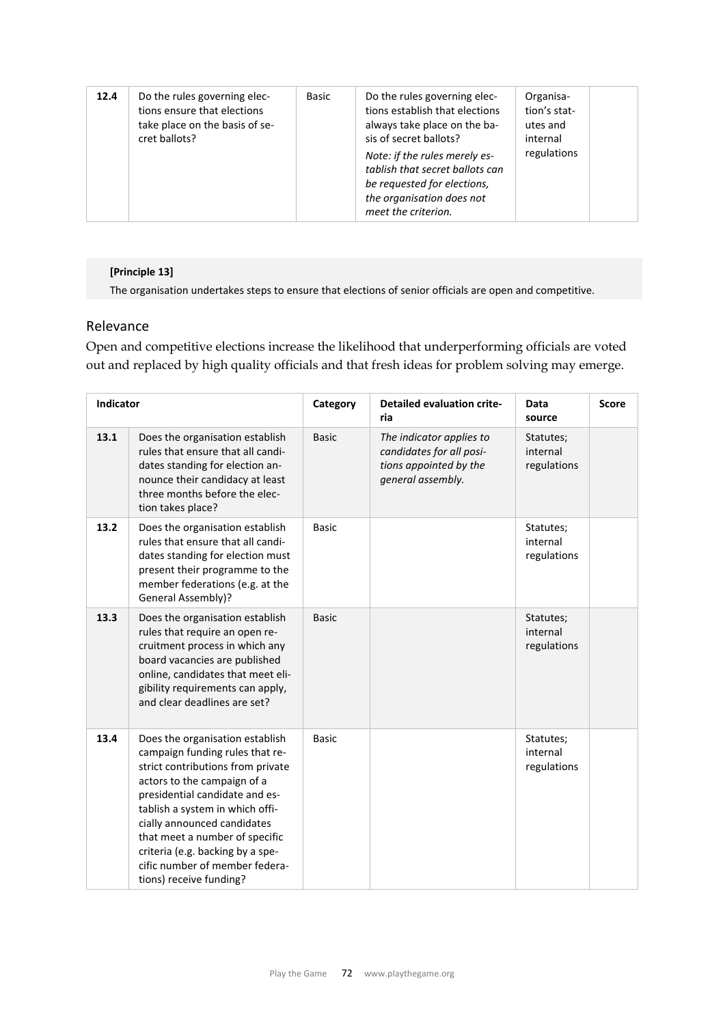| 12.4 | Do the rules governing elec-<br>tions ensure that elections<br>take place on the basis of se-<br>cret ballots? | Basic | Do the rules governing elec-<br>tions establish that elections<br>always take place on the ba-<br>sis of secret ballots?<br>Note: if the rules merely es-<br>tablish that secret ballots can<br>be requested for elections,<br>the organisation does not<br>meet the criterion. | Organisa-<br>tion's stat-<br>utes and<br>internal<br>regulations |
|------|----------------------------------------------------------------------------------------------------------------|-------|---------------------------------------------------------------------------------------------------------------------------------------------------------------------------------------------------------------------------------------------------------------------------------|------------------------------------------------------------------|
|------|----------------------------------------------------------------------------------------------------------------|-------|---------------------------------------------------------------------------------------------------------------------------------------------------------------------------------------------------------------------------------------------------------------------------------|------------------------------------------------------------------|

## **[Principle 13]**

The organisation undertakes steps to ensure that elections of senior officials are open and competitive.

#### Relevance

Open and competitive elections increase the likelihood that underperforming officials are voted out and replaced by high quality officials and that fresh ideas for problem solving may emerge.

| <b>Indicator</b> |                                                                                                                                                                                                                                                                                                                                                                               | Category     | <b>Detailed evaluation crite-</b><br>ria                                                            | Data<br>source                       | <b>Score</b> |
|------------------|-------------------------------------------------------------------------------------------------------------------------------------------------------------------------------------------------------------------------------------------------------------------------------------------------------------------------------------------------------------------------------|--------------|-----------------------------------------------------------------------------------------------------|--------------------------------------|--------------|
| 13.1             | Does the organisation establish<br>rules that ensure that all candi-<br>dates standing for election an-<br>nounce their candidacy at least<br>three months before the elec-<br>tion takes place?                                                                                                                                                                              | <b>Basic</b> | The indicator applies to<br>candidates for all posi-<br>tions appointed by the<br>general assembly. | Statutes;<br>internal<br>regulations |              |
| 13.2             | Does the organisation establish<br>rules that ensure that all candi-<br>dates standing for election must<br>present their programme to the<br>member federations (e.g. at the<br>General Assembly)?                                                                                                                                                                           | <b>Basic</b> |                                                                                                     | Statutes;<br>internal<br>regulations |              |
| 13.3             | Does the organisation establish<br>rules that require an open re-<br>cruitment process in which any<br>board vacancies are published<br>online, candidates that meet eli-<br>gibility requirements can apply,<br>and clear deadlines are set?                                                                                                                                 | <b>Basic</b> |                                                                                                     | Statutes;<br>internal<br>regulations |              |
| 13.4             | Does the organisation establish<br>campaign funding rules that re-<br>strict contributions from private<br>actors to the campaign of a<br>presidential candidate and es-<br>tablish a system in which offi-<br>cially announced candidates<br>that meet a number of specific<br>criteria (e.g. backing by a spe-<br>cific number of member federa-<br>tions) receive funding? | <b>Basic</b> |                                                                                                     | Statutes;<br>internal<br>regulations |              |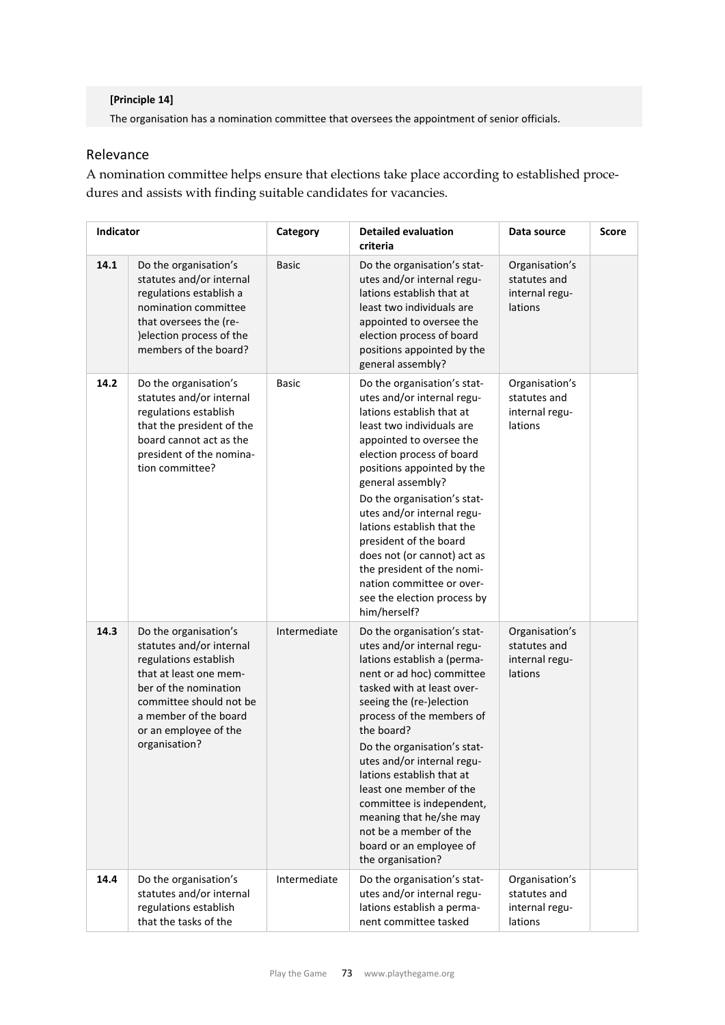#### **[Principle 14]**

The organisation has a nomination committee that oversees the appointment of senior officials.

## Relevance

A nomination committee helps ensure that elections take place according to established procedures and assists with finding suitable candidates for vacancies.

| Indicator |                                                                                                                                                                                                                             | Category     | <b>Detailed evaluation</b><br>criteria                                                                                                                                                                                                                                                                                                                                                                                                                                                        | Data source                                                 | <b>Score</b> |
|-----------|-----------------------------------------------------------------------------------------------------------------------------------------------------------------------------------------------------------------------------|--------------|-----------------------------------------------------------------------------------------------------------------------------------------------------------------------------------------------------------------------------------------------------------------------------------------------------------------------------------------------------------------------------------------------------------------------------------------------------------------------------------------------|-------------------------------------------------------------|--------------|
| 14.1      | Do the organisation's<br>statutes and/or internal<br>regulations establish a<br>nomination committee<br>that oversees the (re-<br>) election process of the<br>members of the board?                                        | <b>Basic</b> | Do the organisation's stat-<br>utes and/or internal regu-<br>lations establish that at<br>least two individuals are<br>appointed to oversee the<br>election process of board<br>positions appointed by the<br>general assembly?                                                                                                                                                                                                                                                               | Organisation's<br>statutes and<br>internal regu-<br>lations |              |
| 14.2      | Do the organisation's<br>statutes and/or internal<br>regulations establish<br>that the president of the<br>board cannot act as the<br>president of the nomina-<br>tion committee?                                           | Basic        | Do the organisation's stat-<br>utes and/or internal regu-<br>lations establish that at<br>least two individuals are<br>appointed to oversee the<br>election process of board<br>positions appointed by the<br>general assembly?<br>Do the organisation's stat-<br>utes and/or internal regu-<br>lations establish that the<br>president of the board<br>does not (or cannot) act as<br>the president of the nomi-<br>nation committee or over-<br>see the election process by<br>him/herself? | Organisation's<br>statutes and<br>internal regu-<br>lations |              |
| 14.3      | Do the organisation's<br>statutes and/or internal<br>regulations establish<br>that at least one mem-<br>ber of the nomination<br>committee should not be<br>a member of the board<br>or an employee of the<br>organisation? | Intermediate | Do the organisation's stat-<br>utes and/or internal regu-<br>lations establish a (perma-<br>nent or ad hoc) committee<br>tasked with at least over-<br>seeing the (re-)election<br>process of the members of<br>the board?<br>Do the organisation's stat-<br>utes and/or internal regu-<br>lations establish that at<br>least one member of the<br>committee is independent,<br>meaning that he/she may<br>not be a member of the<br>board or an employee of<br>the organisation?             | Organisation's<br>statutes and<br>internal regu-<br>lations |              |
| 14.4      | Do the organisation's<br>statutes and/or internal<br>regulations establish<br>that the tasks of the                                                                                                                         | Intermediate | Do the organisation's stat-<br>utes and/or internal regu-<br>lations establish a perma-<br>nent committee tasked                                                                                                                                                                                                                                                                                                                                                                              | Organisation's<br>statutes and<br>internal regu-<br>lations |              |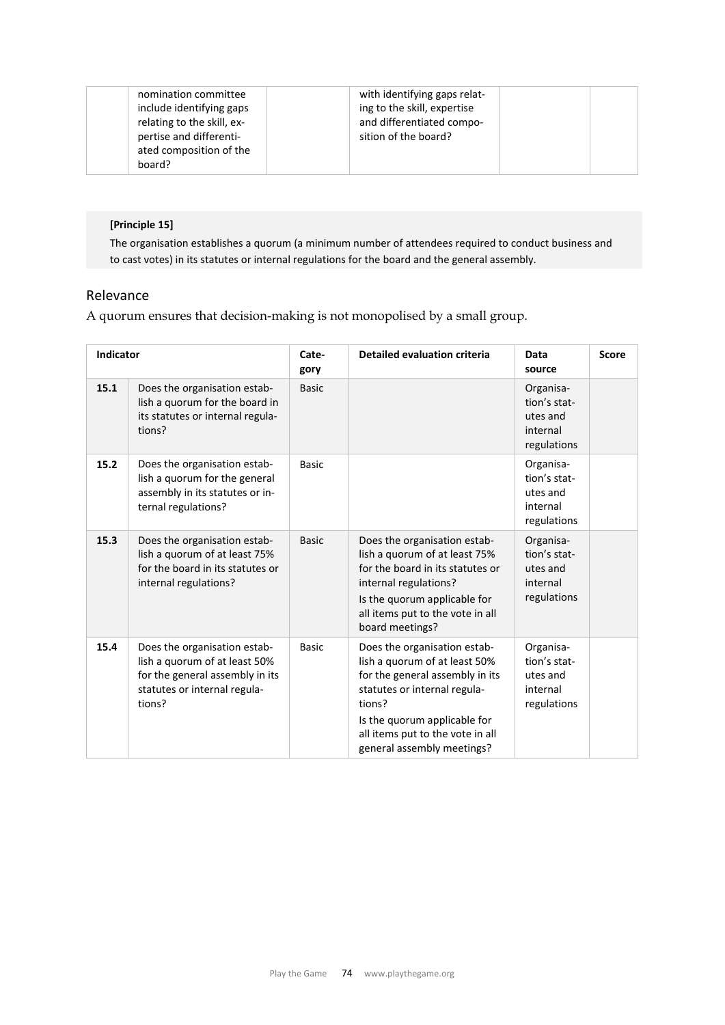| board? |
|--------|
|--------|

## **[Principle 15]**

The organisation establishes a quorum (a minimum number of attendees required to conduct business and to cast votes) in its statutes or internal regulations for the board and the general assembly.

#### Relevance

A quorum ensures that decision-making is not monopolised by a small group.

| <b>Indicator</b> |                                                                                                                                            | Cate-<br>gory | <b>Detailed evaluation criteria</b>                                                                                                                                                                                                          | Data<br>source                                                   | <b>Score</b> |
|------------------|--------------------------------------------------------------------------------------------------------------------------------------------|---------------|----------------------------------------------------------------------------------------------------------------------------------------------------------------------------------------------------------------------------------------------|------------------------------------------------------------------|--------------|
| 15.1             | Does the organisation estab-<br>lish a quorum for the board in<br>its statutes or internal regula-<br>tions?                               | <b>Basic</b>  |                                                                                                                                                                                                                                              | Organisa-<br>tion's stat-<br>utes and<br>internal<br>regulations |              |
| 15.2             | Does the organisation estab-<br>lish a quorum for the general<br>assembly in its statutes or in-<br>ternal regulations?                    | <b>Basic</b>  |                                                                                                                                                                                                                                              | Organisa-<br>tion's stat-<br>utes and<br>internal<br>regulations |              |
| 15.3             | Does the organisation estab-<br>lish a quorum of at least 75%<br>for the board in its statutes or<br>internal regulations?                 | <b>Basic</b>  | Does the organisation estab-<br>lish a quorum of at least 75%<br>for the board in its statutes or<br>internal regulations?<br>Is the quorum applicable for<br>all items put to the vote in all<br>board meetings?                            | Organisa-<br>tion's stat-<br>utes and<br>internal<br>regulations |              |
| 15.4             | Does the organisation estab-<br>lish a quorum of at least 50%<br>for the general assembly in its<br>statutes or internal regula-<br>tions? | <b>Basic</b>  | Does the organisation estab-<br>lish a quorum of at least 50%<br>for the general assembly in its<br>statutes or internal regula-<br>tions?<br>Is the quorum applicable for<br>all items put to the vote in all<br>general assembly meetings? | Organisa-<br>tion's stat-<br>utes and<br>internal<br>regulations |              |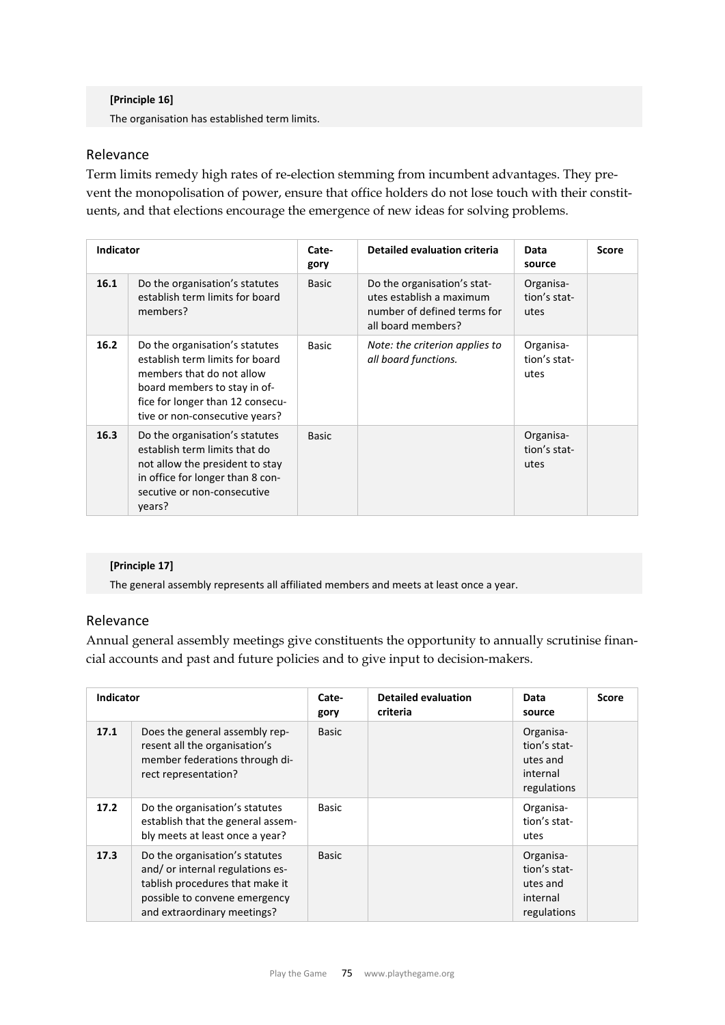#### **[Principle 16]**

The organisation has established term limits.

## Relevance

Term limits remedy high rates of re-election stemming from incumbent advantages. They prevent the monopolisation of power, ensure that office holders do not lose touch with their constituents, and that elections encourage the emergence of new ideas for solving problems.

| <b>Indicator</b> |                                                                                                                                                                                                      | Cate-<br>gory | <b>Detailed evaluation criteria</b>                                                                          | Data<br>source                    | <b>Score</b> |
|------------------|------------------------------------------------------------------------------------------------------------------------------------------------------------------------------------------------------|---------------|--------------------------------------------------------------------------------------------------------------|-----------------------------------|--------------|
| 16.1             | Do the organisation's statutes<br>establish term limits for board<br>members?                                                                                                                        | <b>Basic</b>  | Do the organisation's stat-<br>utes establish a maximum<br>number of defined terms for<br>all board members? | Organisa-<br>tion's stat-<br>utes |              |
| 16.2             | Do the organisation's statutes<br>establish term limits for board<br>members that do not allow<br>board members to stay in of-<br>fice for longer than 12 consecu-<br>tive or non-consecutive years? | <b>Basic</b>  | Note: the criterion applies to<br>all board functions.                                                       | Organisa-<br>tion's stat-<br>utes |              |
| 16.3             | Do the organisation's statutes<br>establish term limits that do<br>not allow the president to stay<br>in office for longer than 8 con-<br>secutive or non-consecutive<br>years?                      | <b>Basic</b>  |                                                                                                              | Organisa-<br>tion's stat-<br>utes |              |

## **[Principle 17]**

The general assembly represents all affiliated members and meets at least once a year.

#### Relevance

Annual general assembly meetings give constituents the opportunity to annually scrutinise financial accounts and past and future policies and to give input to decision-makers.

| <b>Indicator</b> |                                                                                                                                                                       | Cate-<br>gory | <b>Detailed evaluation</b><br>criteria | Data<br>source                                                   | <b>Score</b> |
|------------------|-----------------------------------------------------------------------------------------------------------------------------------------------------------------------|---------------|----------------------------------------|------------------------------------------------------------------|--------------|
| 17.1             | Does the general assembly rep-<br>resent all the organisation's<br>member federations through di-<br>rect representation?                                             | <b>Basic</b>  |                                        | Organisa-<br>tion's stat-<br>utes and<br>internal<br>regulations |              |
| 17.2             | Do the organisation's statutes<br>establish that the general assem-<br>bly meets at least once a year?                                                                | <b>Basic</b>  |                                        | Organisa-<br>tion's stat-<br>utes                                |              |
| 17.3             | Do the organisation's statutes<br>and/ or internal regulations es-<br>tablish procedures that make it<br>possible to convene emergency<br>and extraordinary meetings? | <b>Basic</b>  |                                        | Organisa-<br>tion's stat-<br>utes and<br>internal<br>regulations |              |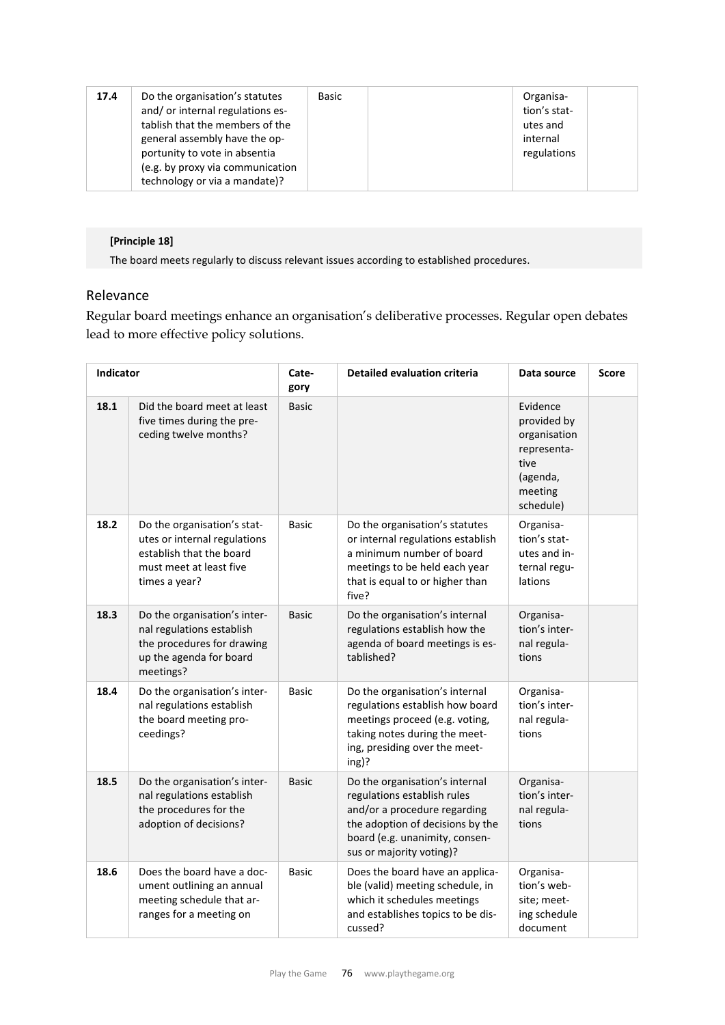| 17.4 | Do the organisation's statutes<br>and/or internal regulations es-<br>tablish that the members of the<br>general assembly have the op-<br>portunity to vote in absentia<br>(e.g. by proxy via communication | Basic | Organisa-<br>tion's stat-<br>utes and<br>internal<br>regulations |  |
|------|------------------------------------------------------------------------------------------------------------------------------------------------------------------------------------------------------------|-------|------------------------------------------------------------------|--|
|      | technology or via a mandate)?                                                                                                                                                                              |       |                                                                  |  |

## **[Principle 18]**

The board meets regularly to discuss relevant issues according to established procedures.

## Relevance

Regular board meetings enhance an organisation's deliberative processes. Regular open debates lead to more effective policy solutions.

| Indicator |                                                                                                                                     | Cate-<br>gory | <b>Detailed evaluation criteria</b>                                                                                                                                                             | Data source                                                                                        | <b>Score</b> |
|-----------|-------------------------------------------------------------------------------------------------------------------------------------|---------------|-------------------------------------------------------------------------------------------------------------------------------------------------------------------------------------------------|----------------------------------------------------------------------------------------------------|--------------|
| 18.1      | Did the board meet at least<br>five times during the pre-<br>ceding twelve months?                                                  | <b>Basic</b>  |                                                                                                                                                                                                 | Evidence<br>provided by<br>organisation<br>representa-<br>tive<br>(agenda,<br>meeting<br>schedule) |              |
| 18.2      | Do the organisation's stat-<br>utes or internal regulations<br>establish that the board<br>must meet at least five<br>times a year? | <b>Basic</b>  | Do the organisation's statutes<br>or internal regulations establish<br>a minimum number of board<br>meetings to be held each year<br>that is equal to or higher than<br>five?                   | Organisa-<br>tion's stat-<br>utes and in-<br>ternal regu-<br>lations                               |              |
| 18.3      | Do the organisation's inter-<br>nal regulations establish<br>the procedures for drawing<br>up the agenda for board<br>meetings?     | <b>Basic</b>  | Do the organisation's internal<br>regulations establish how the<br>agenda of board meetings is es-<br>tablished?                                                                                | Organisa-<br>tion's inter-<br>nal regula-<br>tions                                                 |              |
| 18.4      | Do the organisation's inter-<br>nal regulations establish<br>the board meeting pro-<br>ceedings?                                    | <b>Basic</b>  | Do the organisation's internal<br>regulations establish how board<br>meetings proceed (e.g. voting,<br>taking notes during the meet-<br>ing, presiding over the meet-<br>ing)?                  | Organisa-<br>tion's inter-<br>nal regula-<br>tions                                                 |              |
| 18.5      | Do the organisation's inter-<br>nal regulations establish<br>the procedures for the<br>adoption of decisions?                       | <b>Basic</b>  | Do the organisation's internal<br>regulations establish rules<br>and/or a procedure regarding<br>the adoption of decisions by the<br>board (e.g. unanimity, consen-<br>sus or majority voting)? | Organisa-<br>tion's inter-<br>nal regula-<br>tions                                                 |              |
| 18.6      | Does the board have a doc-<br>ument outlining an annual<br>meeting schedule that ar-<br>ranges for a meeting on                     | <b>Basic</b>  | Does the board have an applica-<br>ble (valid) meeting schedule, in<br>which it schedules meetings<br>and establishes topics to be dis-<br>cussed?                                              | Organisa-<br>tion's web-<br>site; meet-<br>ing schedule<br>document                                |              |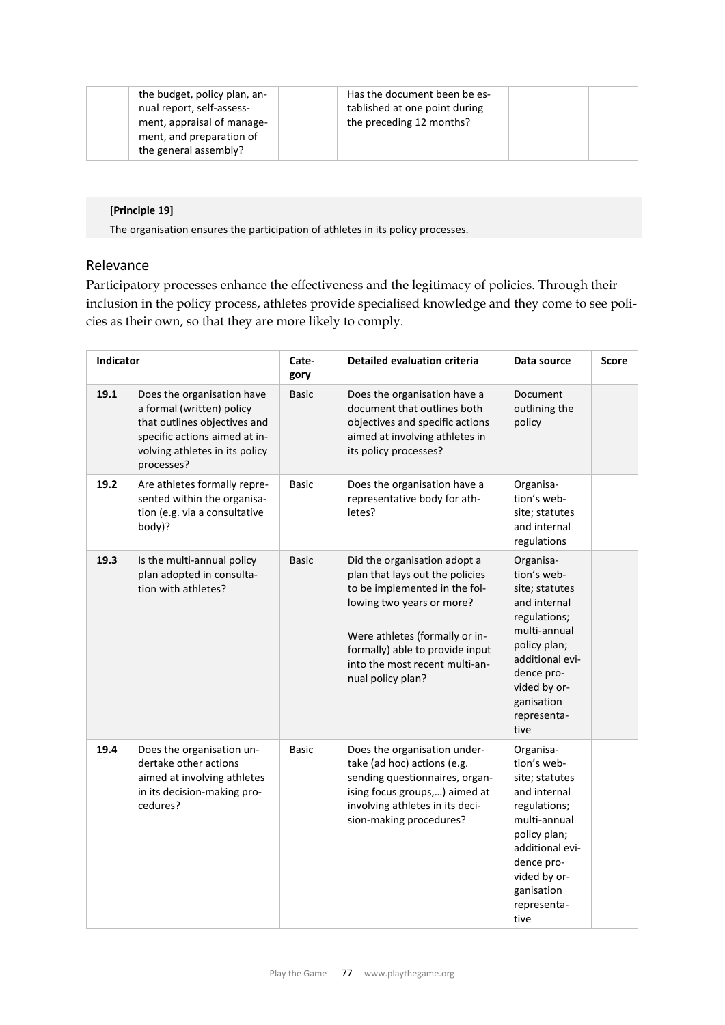| the budget, policy plan, an-<br>nual report, self-assess-<br>ment, appraisal of manage-<br>ment, and preparation of<br>the general assembly? | Has the document been be es-<br>tablished at one point during<br>the preceding 12 months? |
|----------------------------------------------------------------------------------------------------------------------------------------------|-------------------------------------------------------------------------------------------|
|----------------------------------------------------------------------------------------------------------------------------------------------|-------------------------------------------------------------------------------------------|

#### **[Principle 19]**

The organisation ensures the participation of athletes in its policy processes.

## Relevance

Participatory processes enhance the effectiveness and the legitimacy of policies. Through their inclusion in the policy process, athletes provide specialised knowledge and they come to see policies as their own, so that they are more likely to comply.

| Indicator |                                                                                                                                                                          | Cate-<br>gory | <b>Detailed evaluation criteria</b>                                                                                                                                                                                                                       | Data source                                                                                                                                                                                      | <b>Score</b> |
|-----------|--------------------------------------------------------------------------------------------------------------------------------------------------------------------------|---------------|-----------------------------------------------------------------------------------------------------------------------------------------------------------------------------------------------------------------------------------------------------------|--------------------------------------------------------------------------------------------------------------------------------------------------------------------------------------------------|--------------|
| 19.1      | Does the organisation have<br>a formal (written) policy<br>that outlines objectives and<br>specific actions aimed at in-<br>volving athletes in its policy<br>processes? | <b>Basic</b>  | Does the organisation have a<br>document that outlines both<br>objectives and specific actions<br>aimed at involving athletes in<br>its policy processes?                                                                                                 | Document<br>outlining the<br>policy                                                                                                                                                              |              |
| 19.2      | Are athletes formally repre-<br>sented within the organisa-<br>tion (e.g. via a consultative<br>body)?                                                                   | <b>Basic</b>  | Does the organisation have a<br>representative body for ath-<br>letes?                                                                                                                                                                                    | Organisa-<br>tion's web-<br>site; statutes<br>and internal<br>regulations                                                                                                                        |              |
| 19.3      | Is the multi-annual policy<br>plan adopted in consulta-<br>tion with athletes?                                                                                           | <b>Basic</b>  | Did the organisation adopt a<br>plan that lays out the policies<br>to be implemented in the fol-<br>lowing two years or more?<br>Were athletes (formally or in-<br>formally) able to provide input<br>into the most recent multi-an-<br>nual policy plan? | Organisa-<br>tion's web-<br>site; statutes<br>and internal<br>regulations;<br>multi-annual<br>policy plan;<br>additional evi-<br>dence pro-<br>vided by or-<br>ganisation<br>representa-<br>tive |              |
| 19.4      | Does the organisation un-<br>dertake other actions<br>aimed at involving athletes<br>in its decision-making pro-<br>cedures?                                             | Basic         | Does the organisation under-<br>take (ad hoc) actions (e.g.<br>sending questionnaires, organ-<br>ising focus groups,) aimed at<br>involving athletes in its deci-<br>sion-making procedures?                                                              | Organisa-<br>tion's web-<br>site; statutes<br>and internal<br>regulations;<br>multi-annual<br>policy plan;<br>additional evi-<br>dence pro-<br>vided by or-<br>ganisation<br>representa-<br>tive |              |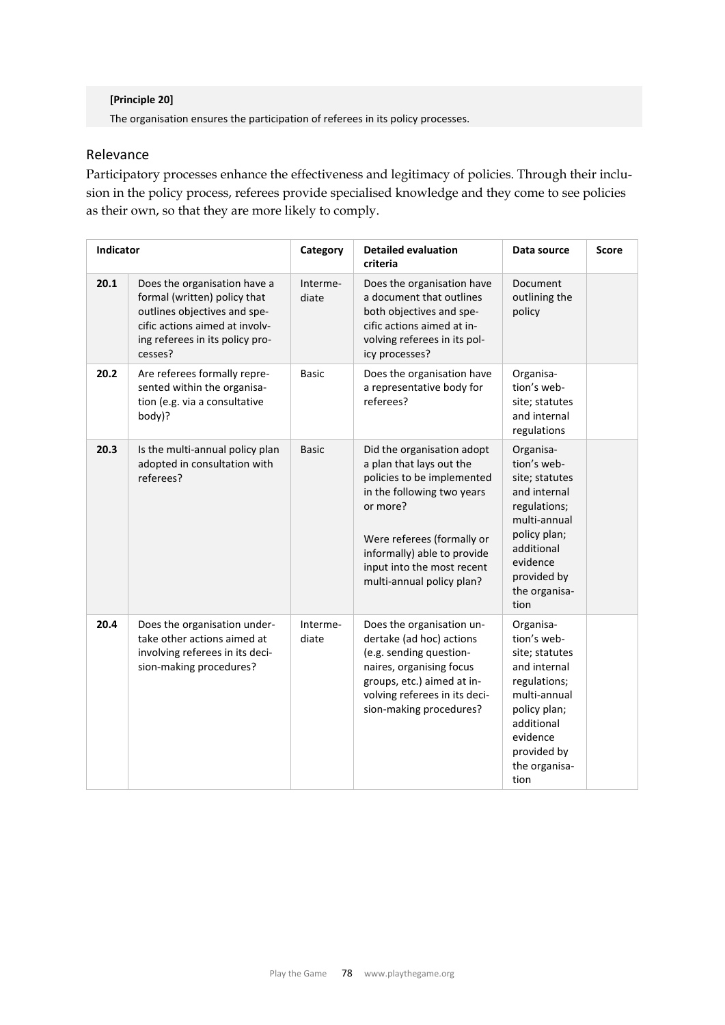#### **[Principle 20]**

The organisation ensures the participation of referees in its policy processes.

## Relevance

Participatory processes enhance the effectiveness and legitimacy of policies. Through their inclusion in the policy process, referees provide specialised knowledge and they come to see policies as their own, so that they are more likely to comply.

| Indicator |                                                                                                                                                                              | Category          | <b>Detailed evaluation</b><br>criteria                                                                                                                                                                                                                 | Data source                                                                                                                                                                  | Score |
|-----------|------------------------------------------------------------------------------------------------------------------------------------------------------------------------------|-------------------|--------------------------------------------------------------------------------------------------------------------------------------------------------------------------------------------------------------------------------------------------------|------------------------------------------------------------------------------------------------------------------------------------------------------------------------------|-------|
| 20.1      | Does the organisation have a<br>formal (written) policy that<br>outlines objectives and spe-<br>cific actions aimed at involv-<br>ing referees in its policy pro-<br>cesses? | Interme-<br>diate | Does the organisation have<br>a document that outlines<br>both objectives and spe-<br>cific actions aimed at in-<br>volving referees in its pol-<br>icy processes?                                                                                     | Document<br>outlining the<br>policy                                                                                                                                          |       |
| 20.2      | Are referees formally repre-<br>sented within the organisa-<br>tion (e.g. via a consultative<br>body)?                                                                       | <b>Basic</b>      | Does the organisation have<br>a representative body for<br>referees?                                                                                                                                                                                   | Organisa-<br>tion's web-<br>site; statutes<br>and internal<br>regulations                                                                                                    |       |
| 20.3      | Is the multi-annual policy plan<br>adopted in consultation with<br>referees?                                                                                                 | <b>Basic</b>      | Did the organisation adopt<br>a plan that lays out the<br>policies to be implemented<br>in the following two years<br>or more?<br>Were referees (formally or<br>informally) able to provide<br>input into the most recent<br>multi-annual policy plan? | Organisa-<br>tion's web-<br>site; statutes<br>and internal<br>regulations;<br>multi-annual<br>policy plan;<br>additional<br>evidence<br>provided by<br>the organisa-<br>tion |       |
| 20.4      | Does the organisation under-<br>take other actions aimed at<br>involving referees in its deci-<br>sion-making procedures?                                                    | Interme-<br>diate | Does the organisation un-<br>dertake (ad hoc) actions<br>(e.g. sending question-<br>naires, organising focus<br>groups, etc.) aimed at in-<br>volving referees in its deci-<br>sion-making procedures?                                                 | Organisa-<br>tion's web-<br>site; statutes<br>and internal<br>regulations;<br>multi-annual<br>policy plan;<br>additional<br>evidence<br>provided by<br>the organisa-<br>tion |       |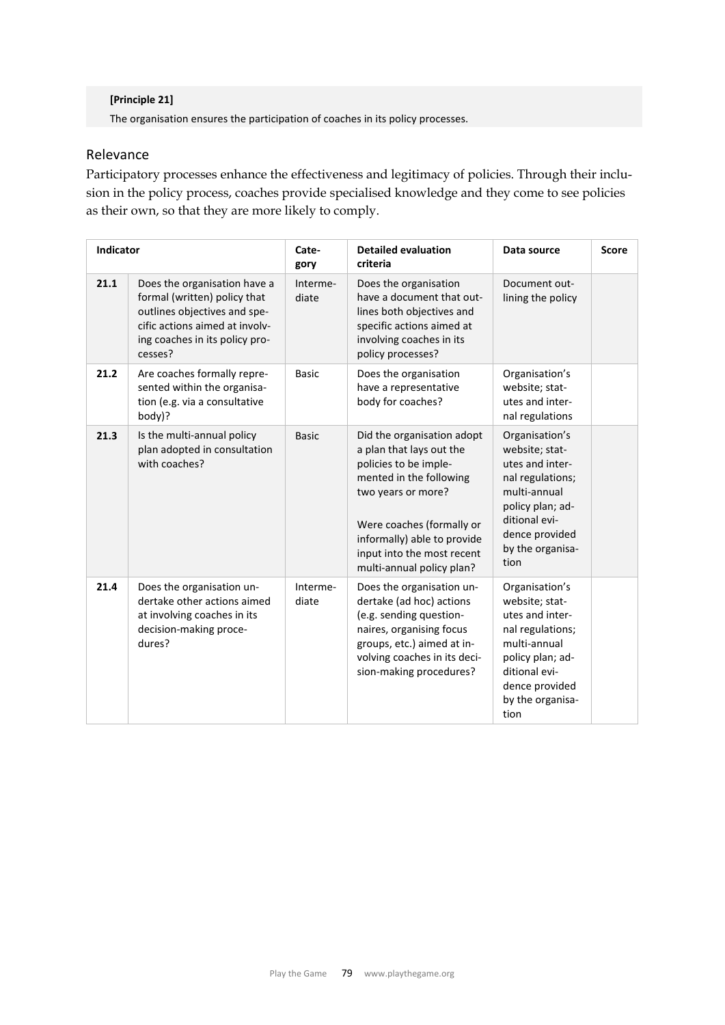#### **[Principle 21]**

The organisation ensures the participation of coaches in its policy processes.

## Relevance

Participatory processes enhance the effectiveness and legitimacy of policies. Through their inclusion in the policy process, coaches provide specialised knowledge and they come to see policies as their own, so that they are more likely to comply.

| <b>Indicator</b> |                                                                                                                                                                             | Cate-<br>gory     | <b>Detailed evaluation</b><br>criteria                                                                                                                                                                                                                  | Data source                                                                                                                                                                | <b>Score</b> |
|------------------|-----------------------------------------------------------------------------------------------------------------------------------------------------------------------------|-------------------|---------------------------------------------------------------------------------------------------------------------------------------------------------------------------------------------------------------------------------------------------------|----------------------------------------------------------------------------------------------------------------------------------------------------------------------------|--------------|
| 21.1             | Does the organisation have a<br>formal (written) policy that<br>outlines objectives and spe-<br>cific actions aimed at involv-<br>ing coaches in its policy pro-<br>cesses? | Interme-<br>diate | Does the organisation<br>have a document that out-<br>lines both objectives and<br>specific actions aimed at<br>involving coaches in its<br>policy processes?                                                                                           | Document out-<br>lining the policy                                                                                                                                         |              |
| 21.2             | Are coaches formally repre-<br>sented within the organisa-<br>tion (e.g. via a consultative<br>body)?                                                                       | <b>Basic</b>      | Does the organisation<br>have a representative<br>body for coaches?                                                                                                                                                                                     | Organisation's<br>website; stat-<br>utes and inter-<br>nal regulations                                                                                                     |              |
| 21.3             | Is the multi-annual policy<br>plan adopted in consultation<br>with coaches?                                                                                                 | <b>Basic</b>      | Did the organisation adopt<br>a plan that lays out the<br>policies to be imple-<br>mented in the following<br>two years or more?<br>Were coaches (formally or<br>informally) able to provide<br>input into the most recent<br>multi-annual policy plan? | Organisation's<br>website; stat-<br>utes and inter-<br>nal regulations;<br>multi-annual<br>policy plan; ad-<br>ditional evi-<br>dence provided<br>by the organisa-<br>tion |              |
| 21.4             | Does the organisation un-<br>dertake other actions aimed<br>at involving coaches in its<br>decision-making proce-<br>dures?                                                 | Interme-<br>diate | Does the organisation un-<br>dertake (ad hoc) actions<br>(e.g. sending question-<br>naires, organising focus<br>groups, etc.) aimed at in-<br>volving coaches in its deci-<br>sion-making procedures?                                                   | Organisation's<br>website; stat-<br>utes and inter-<br>nal regulations;<br>multi-annual<br>policy plan; ad-<br>ditional evi-<br>dence provided<br>by the organisa-<br>tion |              |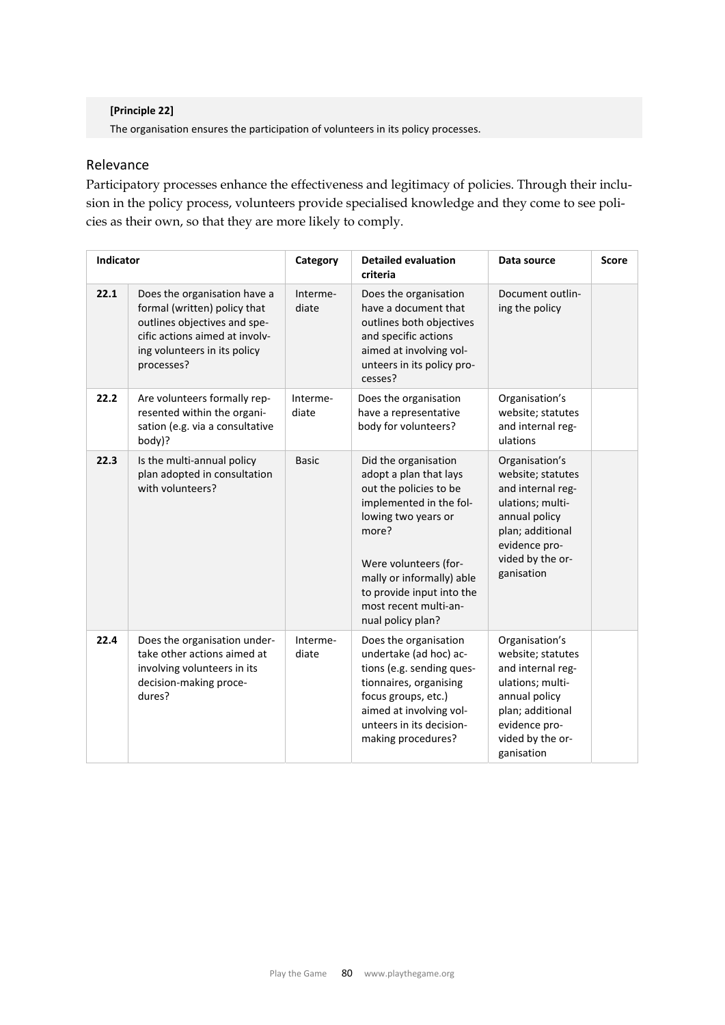#### **[Principle 22]**

The organisation ensures the participation of volunteers in its policy processes.

## Relevance

Participatory processes enhance the effectiveness and legitimacy of policies. Through their inclusion in the policy process, volunteers provide specialised knowledge and they come to see policies as their own, so that they are more likely to comply.

| Indicator |                                                                                                                                                                              | Category          | <b>Detailed evaluation</b><br>criteria                                                                                                                                                                                                                               | Data source                                                                                                                                                          | <b>Score</b> |
|-----------|------------------------------------------------------------------------------------------------------------------------------------------------------------------------------|-------------------|----------------------------------------------------------------------------------------------------------------------------------------------------------------------------------------------------------------------------------------------------------------------|----------------------------------------------------------------------------------------------------------------------------------------------------------------------|--------------|
| 22.1      | Does the organisation have a<br>formal (written) policy that<br>outlines objectives and spe-<br>cific actions aimed at involv-<br>ing volunteers in its policy<br>processes? | Interme-<br>diate | Does the organisation<br>have a document that<br>outlines both objectives<br>and specific actions<br>aimed at involving vol-<br>unteers in its policy pro-<br>cesses?                                                                                                | Document outlin-<br>ing the policy                                                                                                                                   |              |
| 22.2      | Are volunteers formally rep-<br>resented within the organi-<br>sation (e.g. via a consultative<br>body)?                                                                     | Interme-<br>diate | Does the organisation<br>have a representative<br>body for volunteers?                                                                                                                                                                                               | Organisation's<br>website; statutes<br>and internal reg-<br>ulations                                                                                                 |              |
| 22.3      | Is the multi-annual policy<br>plan adopted in consultation<br>with volunteers?                                                                                               | <b>Basic</b>      | Did the organisation<br>adopt a plan that lays<br>out the policies to be<br>implemented in the fol-<br>lowing two years or<br>more?<br>Were volunteers (for-<br>mally or informally) able<br>to provide input into the<br>most recent multi-an-<br>nual policy plan? | Organisation's<br>website; statutes<br>and internal reg-<br>ulations; multi-<br>annual policy<br>plan; additional<br>evidence pro-<br>vided by the or-<br>ganisation |              |
| 22.4      | Does the organisation under-<br>take other actions aimed at<br>involving volunteers in its<br>decision-making proce-<br>dures?                                               | Interme-<br>diate | Does the organisation<br>undertake (ad hoc) ac-<br>tions (e.g. sending ques-<br>tionnaires, organising<br>focus groups, etc.)<br>aimed at involving vol-<br>unteers in its decision-<br>making procedures?                                                           | Organisation's<br>website; statutes<br>and internal reg-<br>ulations; multi-<br>annual policy<br>plan; additional<br>evidence pro-<br>vided by the or-<br>ganisation |              |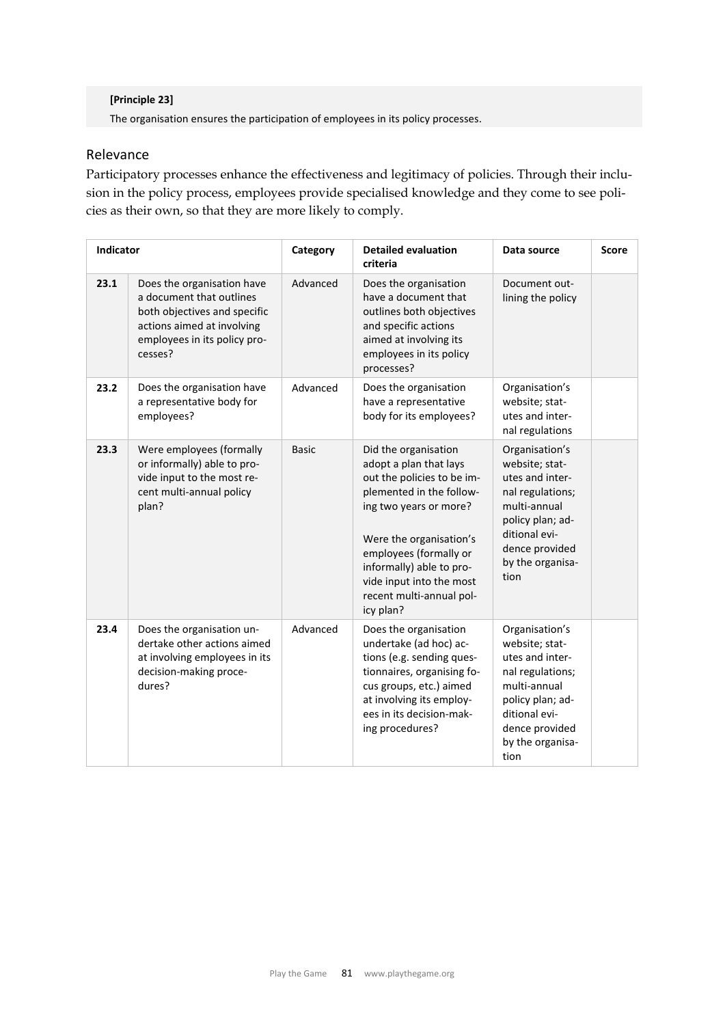#### **[Principle 23]**

The organisation ensures the participation of employees in its policy processes.

## Relevance

Participatory processes enhance the effectiveness and legitimacy of policies. Through their inclusion in the policy process, employees provide specialised knowledge and they come to see policies as their own, so that they are more likely to comply.

| <b>Indicator</b> |                                                                                                                                                                 | Category     | <b>Detailed evaluation</b><br>criteria                                                                                                                                                                                                                                                   | Data source                                                                                                                                                                | <b>Score</b> |
|------------------|-----------------------------------------------------------------------------------------------------------------------------------------------------------------|--------------|------------------------------------------------------------------------------------------------------------------------------------------------------------------------------------------------------------------------------------------------------------------------------------------|----------------------------------------------------------------------------------------------------------------------------------------------------------------------------|--------------|
| 23.1             | Does the organisation have<br>a document that outlines<br>both objectives and specific<br>actions aimed at involving<br>employees in its policy pro-<br>cesses? | Advanced     | Does the organisation<br>have a document that<br>outlines both objectives<br>and specific actions<br>aimed at involving its<br>employees in its policy<br>processes?                                                                                                                     | Document out-<br>lining the policy                                                                                                                                         |              |
| 23.2             | Does the organisation have<br>a representative body for<br>employees?                                                                                           | Advanced     | Does the organisation<br>have a representative<br>body for its employees?                                                                                                                                                                                                                | Organisation's<br>website; stat-<br>utes and inter-<br>nal regulations                                                                                                     |              |
| 23.3             | Were employees (formally<br>or informally) able to pro-<br>vide input to the most re-<br>cent multi-annual policy<br>plan?                                      | <b>Basic</b> | Did the organisation<br>adopt a plan that lays<br>out the policies to be im-<br>plemented in the follow-<br>ing two years or more?<br>Were the organisation's<br>employees (formally or<br>informally) able to pro-<br>vide input into the most<br>recent multi-annual pol-<br>icy plan? | Organisation's<br>website; stat-<br>utes and inter-<br>nal regulations;<br>multi-annual<br>policy plan; ad-<br>ditional evi-<br>dence provided<br>by the organisa-<br>tion |              |
| 23.4             | Does the organisation un-<br>dertake other actions aimed<br>at involving employees in its<br>decision-making proce-<br>dures?                                   | Advanced     | Does the organisation<br>undertake (ad hoc) ac-<br>tions (e.g. sending ques-<br>tionnaires, organising fo-<br>cus groups, etc.) aimed<br>at involving its employ-<br>ees in its decision-mak-<br>ing procedures?                                                                         | Organisation's<br>website; stat-<br>utes and inter-<br>nal regulations;<br>multi-annual<br>policy plan; ad-<br>ditional evi-<br>dence provided<br>by the organisa-<br>tion |              |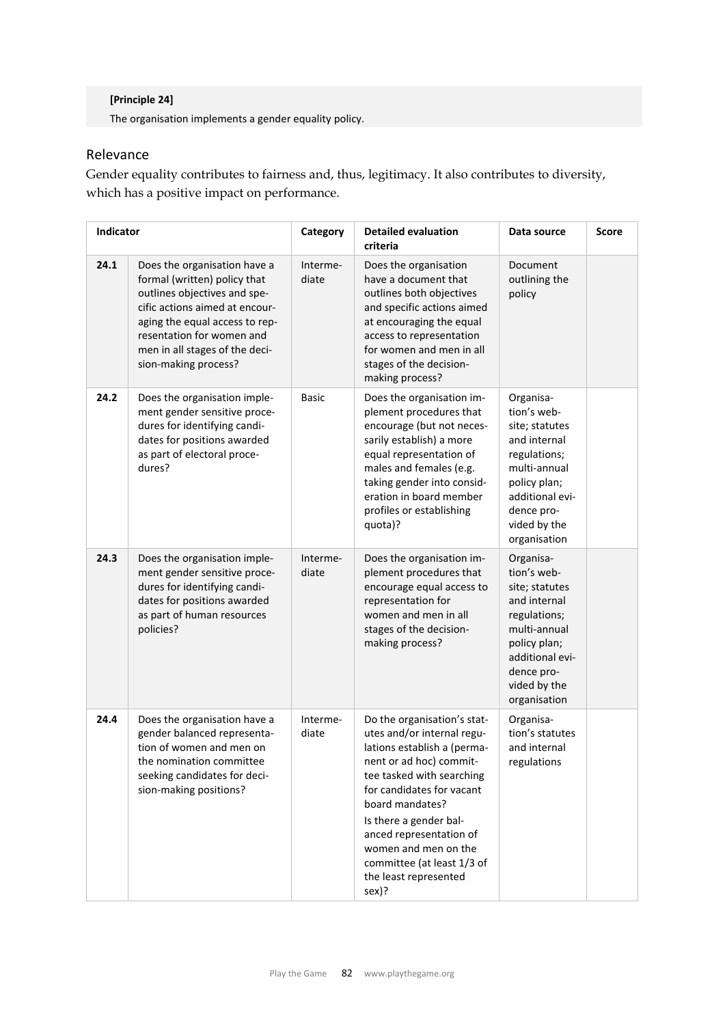## **[Principle 24]**

The organisation implements a gender equality policy.

## Relevance

Gender equality contributes to fairness and, thus, legitimacy. It also contributes to diversity, which has a positive impact on performance.

| <b>Indicator</b> |                                                                                                                                                                                                                                                         | Category          | <b>Detailed evaluation</b><br>criteria                                                                                                                                                                                                                                                                                                        | Data source                                                                                                                                                                 | <b>Score</b> |
|------------------|---------------------------------------------------------------------------------------------------------------------------------------------------------------------------------------------------------------------------------------------------------|-------------------|-----------------------------------------------------------------------------------------------------------------------------------------------------------------------------------------------------------------------------------------------------------------------------------------------------------------------------------------------|-----------------------------------------------------------------------------------------------------------------------------------------------------------------------------|--------------|
| 24.1             | Does the organisation have a<br>formal (written) policy that<br>outlines objectives and spe-<br>cific actions aimed at encour-<br>aging the equal access to rep-<br>resentation for women and<br>men in all stages of the deci-<br>sion-making process? | Interme-<br>diate | Does the organisation<br>have a document that<br>outlines both objectives<br>and specific actions aimed<br>at encouraging the equal<br>access to representation<br>for women and men in all<br>stages of the decision-<br>making process?                                                                                                     | Document<br>outlining the<br>policy                                                                                                                                         |              |
| 24.2             | Does the organisation imple-<br>ment gender sensitive proce-<br>dures for identifying candi-<br>dates for positions awarded<br>as part of electoral proce-<br>dures?                                                                                    | Basic             | Does the organisation im-<br>plement procedures that<br>encourage (but not neces-<br>sarily establish) a more<br>equal representation of<br>males and females (e.g.<br>taking gender into consid-<br>eration in board member<br>profiles or establishing<br>quota)?                                                                           | Organisa-<br>tion's web-<br>site; statutes<br>and internal<br>regulations;<br>multi-annual<br>policy plan;<br>additional evi-<br>dence pro-<br>vided by the<br>organisation |              |
| 24.3             | Does the organisation imple-<br>ment gender sensitive proce-<br>dures for identifying candi-<br>dates for positions awarded<br>as part of human resources<br>policies?                                                                                  | Interme-<br>diate | Does the organisation im-<br>plement procedures that<br>encourage equal access to<br>representation for<br>women and men in all<br>stages of the decision-<br>making process?                                                                                                                                                                 | Organisa-<br>tion's web-<br>site; statutes<br>and internal<br>regulations;<br>multi-annual<br>policy plan;<br>additional evi-<br>dence pro-<br>vided by the<br>organisation |              |
| 24.4             | Does the organisation have a<br>gender balanced representa-<br>tion of women and men on<br>the nomination committee<br>seeking candidates for deci-<br>sion-making positions?                                                                           | Interme-<br>diate | Do the organisation's stat-<br>utes and/or internal regu-<br>lations establish a (perma-<br>nent or ad hoc) commit-<br>tee tasked with searching<br>for candidates for vacant<br>board mandates?<br>Is there a gender bal-<br>anced representation of<br>women and men on the<br>committee (at least 1/3 of<br>the least represented<br>sex)? | Organisa-<br>tion's statutes<br>and internal<br>regulations                                                                                                                 |              |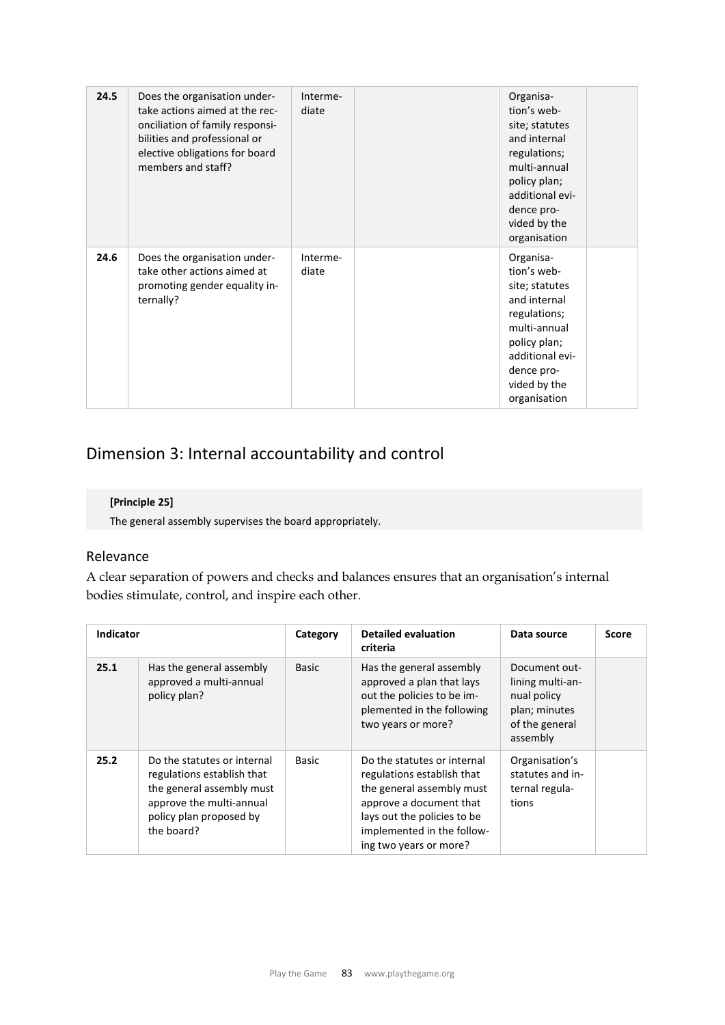| 24.5 | Does the organisation under-<br>take actions aimed at the rec-<br>onciliation of family responsi-<br>bilities and professional or<br>elective obligations for board<br>members and staff? | Interme-<br>diate | Organisa-<br>tion's web-<br>site; statutes<br>and internal<br>regulations;<br>multi-annual<br>policy plan;<br>additional evi-<br>dence pro-<br>vided by the<br>organisation |
|------|-------------------------------------------------------------------------------------------------------------------------------------------------------------------------------------------|-------------------|-----------------------------------------------------------------------------------------------------------------------------------------------------------------------------|
| 24.6 | Does the organisation under-<br>take other actions aimed at<br>promoting gender equality in-<br>ternally?                                                                                 | Interme-<br>diate | Organisa-<br>tion's web-<br>site; statutes<br>and internal<br>regulations;<br>multi-annual<br>policy plan;<br>additional evi-<br>dence pro-<br>vided by the<br>organisation |

# Dimension 3: Internal accountability and control

## **[Principle 25]**

The general assembly supervises the board appropriately.

## Relevance

A clear separation of powers and checks and balances ensures that an organisation's internal bodies stimulate, control, and inspire each other.

| <b>Indicator</b> |                                                                                                                                                             | Category     | <b>Detailed evaluation</b><br>criteria                                                                                                                                                                   | Data source                                                                                     | <b>Score</b> |
|------------------|-------------------------------------------------------------------------------------------------------------------------------------------------------------|--------------|----------------------------------------------------------------------------------------------------------------------------------------------------------------------------------------------------------|-------------------------------------------------------------------------------------------------|--------------|
| 25.1             | Has the general assembly<br>approved a multi-annual<br>policy plan?                                                                                         | <b>Basic</b> | Has the general assembly<br>approved a plan that lays<br>out the policies to be im-<br>plemented in the following<br>two years or more?                                                                  | Document out-<br>lining multi-an-<br>nual policy<br>plan; minutes<br>of the general<br>assembly |              |
| 25.2             | Do the statutes or internal<br>regulations establish that<br>the general assembly must<br>approve the multi-annual<br>policy plan proposed by<br>the board? | Basic        | Do the statutes or internal<br>regulations establish that<br>the general assembly must<br>approve a document that<br>lays out the policies to be<br>implemented in the follow-<br>ing two years or more? | Organisation's<br>statutes and in-<br>ternal regula-<br>tions                                   |              |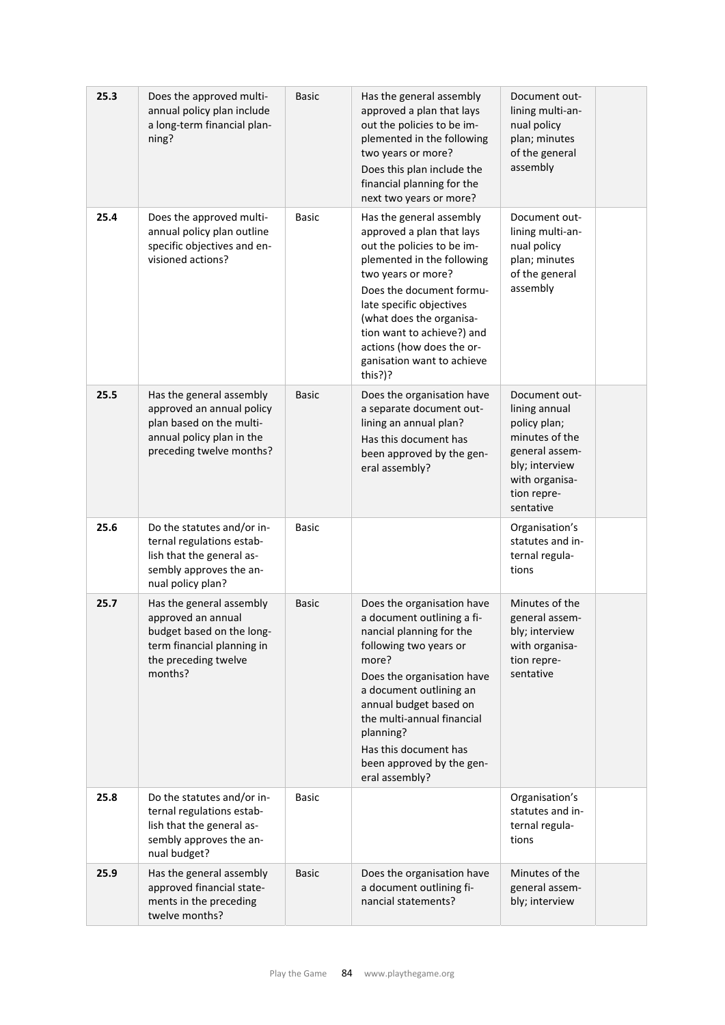| 25.3 | Does the approved multi-<br>annual policy plan include<br>a long-term financial plan-<br>ning?                                               | <b>Basic</b> | Has the general assembly<br>approved a plan that lays<br>out the policies to be im-<br>plemented in the following<br>two years or more?<br>Does this plan include the<br>financial planning for the<br>next two years or more?                                                                                                  | Document out-<br>lining multi-an-<br>nual policy<br>plan; minutes<br>of the general<br>assembly                                                    |  |
|------|----------------------------------------------------------------------------------------------------------------------------------------------|--------------|---------------------------------------------------------------------------------------------------------------------------------------------------------------------------------------------------------------------------------------------------------------------------------------------------------------------------------|----------------------------------------------------------------------------------------------------------------------------------------------------|--|
| 25.4 | Does the approved multi-<br>annual policy plan outline<br>specific objectives and en-<br>visioned actions?                                   | Basic        | Has the general assembly<br>approved a plan that lays<br>out the policies to be im-<br>plemented in the following<br>two years or more?<br>Does the document formu-<br>late specific objectives<br>(what does the organisa-<br>tion want to achieve?) and<br>actions (how does the or-<br>ganisation want to achieve<br>this?)? | Document out-<br>lining multi-an-<br>nual policy<br>plan; minutes<br>of the general<br>assembly                                                    |  |
| 25.5 | Has the general assembly<br>approved an annual policy<br>plan based on the multi-<br>annual policy plan in the<br>preceding twelve months?   | <b>Basic</b> | Does the organisation have<br>a separate document out-<br>lining an annual plan?<br>Has this document has<br>been approved by the gen-<br>eral assembly?                                                                                                                                                                        | Document out-<br>lining annual<br>policy plan;<br>minutes of the<br>general assem-<br>bly; interview<br>with organisa-<br>tion repre-<br>sentative |  |
| 25.6 | Do the statutes and/or in-<br>ternal regulations estab-<br>lish that the general as-<br>sembly approves the an-<br>nual policy plan?         | <b>Basic</b> |                                                                                                                                                                                                                                                                                                                                 | Organisation's<br>statutes and in-<br>ternal regula-<br>tions                                                                                      |  |
| 25.7 | Has the general assembly<br>approved an annual<br>budget based on the long-<br>term financial planning in<br>the preceding twelve<br>months? | <b>Basic</b> | Does the organisation have<br>a document outlining a fi-<br>nancial planning for the<br>following two years or<br>more?<br>Does the organisation have<br>a document outlining an<br>annual budget based on<br>the multi-annual financial<br>planning?<br>Has this document has<br>been approved by the gen-<br>eral assembly?   | Minutes of the<br>general assem-<br>bly; interview<br>with organisa-<br>tion repre-<br>sentative                                                   |  |
| 25.8 | Do the statutes and/or in-<br>ternal regulations estab-<br>lish that the general as-<br>sembly approves the an-<br>nual budget?              | <b>Basic</b> |                                                                                                                                                                                                                                                                                                                                 | Organisation's<br>statutes and in-<br>ternal regula-<br>tions                                                                                      |  |
| 25.9 | Has the general assembly<br>approved financial state-<br>ments in the preceding<br>twelve months?                                            | <b>Basic</b> | Does the organisation have<br>a document outlining fi-<br>nancial statements?                                                                                                                                                                                                                                                   | Minutes of the<br>general assem-<br>bly; interview                                                                                                 |  |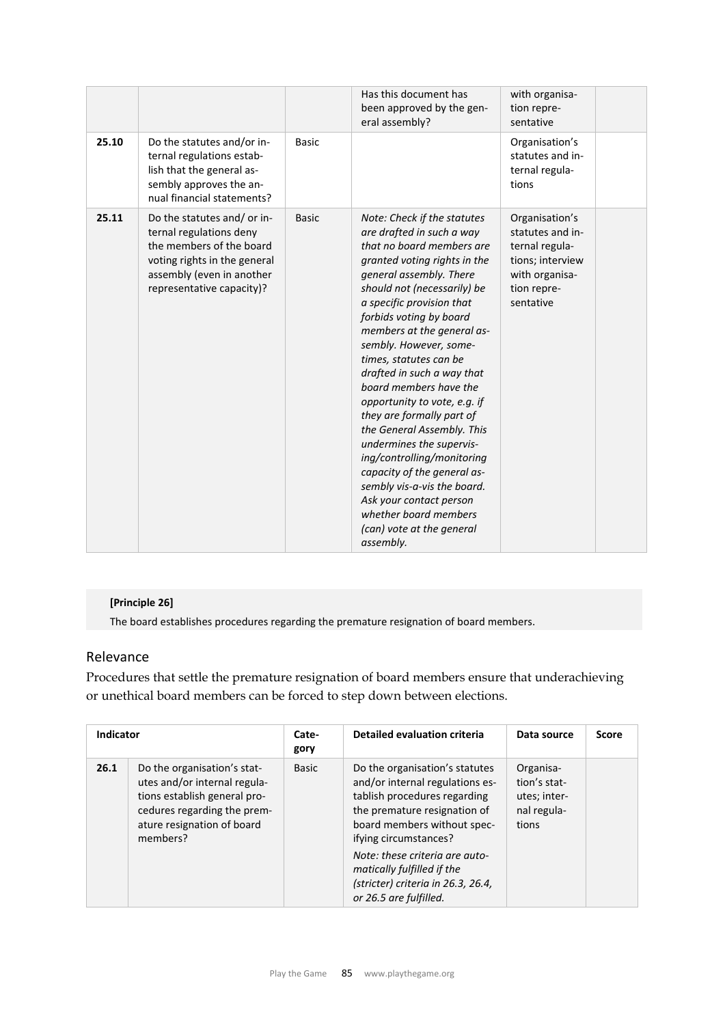|       |                                                                                                                                                                              |              | Has this document has<br>been approved by the gen-<br>eral assembly?                                                                                                                                                                                                                                                                                                                                                                                                                                                                                                                                                                                                                               | with organisa-<br>tion repre-<br>sentative                                                                             |  |
|-------|------------------------------------------------------------------------------------------------------------------------------------------------------------------------------|--------------|----------------------------------------------------------------------------------------------------------------------------------------------------------------------------------------------------------------------------------------------------------------------------------------------------------------------------------------------------------------------------------------------------------------------------------------------------------------------------------------------------------------------------------------------------------------------------------------------------------------------------------------------------------------------------------------------------|------------------------------------------------------------------------------------------------------------------------|--|
| 25.10 | Do the statutes and/or in-<br>ternal regulations estab-<br>lish that the general as-<br>sembly approves the an-<br>nual financial statements?                                | <b>Basic</b> |                                                                                                                                                                                                                                                                                                                                                                                                                                                                                                                                                                                                                                                                                                    | Organisation's<br>statutes and in-<br>ternal regula-<br>tions                                                          |  |
| 25.11 | Do the statutes and/ or in-<br>ternal regulations deny<br>the members of the board<br>voting rights in the general<br>assembly (even in another<br>representative capacity)? | <b>Basic</b> | Note: Check if the statutes<br>are drafted in such a way<br>that no board members are<br>granted voting rights in the<br>general assembly. There<br>should not (necessarily) be<br>a specific provision that<br>forbids voting by board<br>members at the general as-<br>sembly. However, some-<br>times, statutes can be<br>drafted in such a way that<br>board members have the<br>opportunity to vote, e.g. if<br>they are formally part of<br>the General Assembly. This<br>undermines the supervis-<br>ing/controlling/monitoring<br>capacity of the general as-<br>sembly vis-a-vis the board.<br>Ask your contact person<br>whether board members<br>(can) vote at the general<br>assembly. | Organisation's<br>statutes and in-<br>ternal regula-<br>tions; interview<br>with organisa-<br>tion repre-<br>sentative |  |

## **[Principle 26]**

The board establishes procedures regarding the premature resignation of board members.

## Relevance

Procedures that settle the premature resignation of board members ensure that underachieving or unethical board members can be forced to step down between elections.

| <b>Indicator</b> |                                                                                                                                                                      | Cate-<br>gory | <b>Detailed evaluation criteria</b>                                                                                                                                                                                                                                                                                       | Data source                                                       | <b>Score</b> |
|------------------|----------------------------------------------------------------------------------------------------------------------------------------------------------------------|---------------|---------------------------------------------------------------------------------------------------------------------------------------------------------------------------------------------------------------------------------------------------------------------------------------------------------------------------|-------------------------------------------------------------------|--------------|
| 26.1             | Do the organisation's stat-<br>utes and/or internal regula-<br>tions establish general pro-<br>cedures regarding the prem-<br>ature resignation of board<br>members? | Basic         | Do the organisation's statutes<br>and/or internal regulations es-<br>tablish procedures regarding<br>the premature resignation of<br>board members without spec-<br>ifying circumstances?<br>Note: these criteria are auto-<br>matically fulfilled if the<br>(stricter) criteria in 26.3, 26.4,<br>or 26.5 are fulfilled. | Organisa-<br>tion's stat-<br>utes; inter-<br>nal regula-<br>tions |              |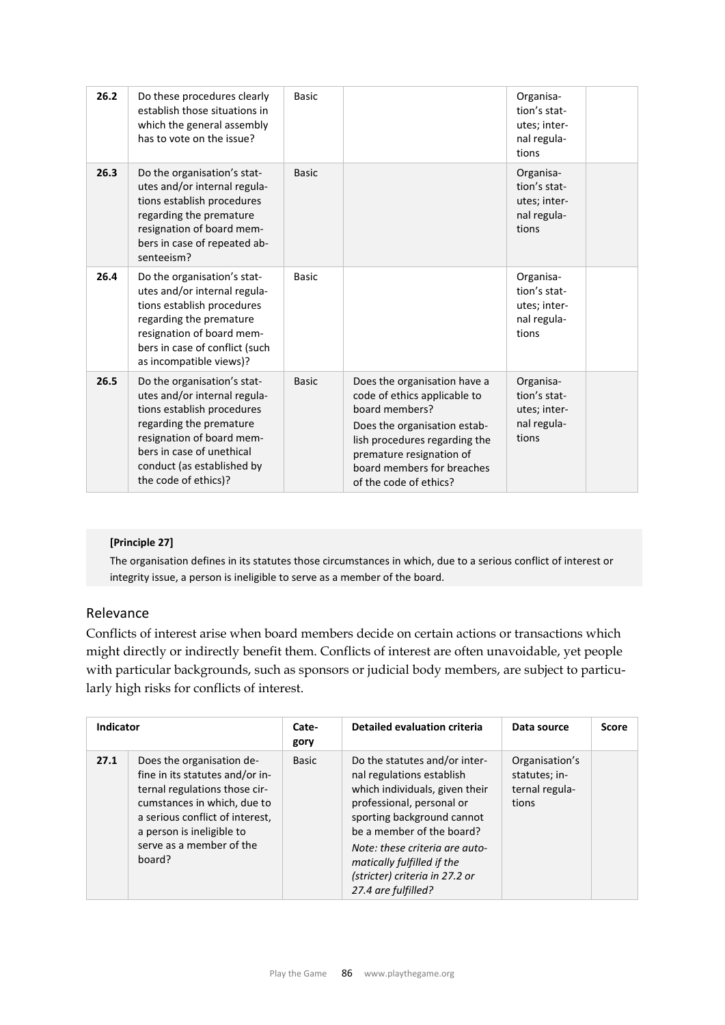| 26.2 | Do these procedures clearly<br>establish those situations in<br>which the general assembly<br>has to vote on the issue?                                                                                                              | <b>Basic</b> |                                                                                                                                                                                                                                     | Organisa-<br>tion's stat-<br>utes; inter-<br>nal regula-<br>tions |  |
|------|--------------------------------------------------------------------------------------------------------------------------------------------------------------------------------------------------------------------------------------|--------------|-------------------------------------------------------------------------------------------------------------------------------------------------------------------------------------------------------------------------------------|-------------------------------------------------------------------|--|
| 26.3 | Do the organisation's stat-<br>utes and/or internal regula-<br>tions establish procedures<br>regarding the premature<br>resignation of board mem-<br>bers in case of repeated ab-<br>senteeism?                                      | <b>Basic</b> |                                                                                                                                                                                                                                     | Organisa-<br>tion's stat-<br>utes; inter-<br>nal regula-<br>tions |  |
| 26.4 | Do the organisation's stat-<br>utes and/or internal regula-<br>tions establish procedures<br>regarding the premature<br>resignation of board mem-<br>bers in case of conflict (such<br>as incompatible views)?                       | <b>Basic</b> |                                                                                                                                                                                                                                     | Organisa-<br>tion's stat-<br>utes; inter-<br>nal regula-<br>tions |  |
| 26.5 | Do the organisation's stat-<br>utes and/or internal regula-<br>tions establish procedures<br>regarding the premature<br>resignation of board mem-<br>bers in case of unethical<br>conduct (as established by<br>the code of ethics)? | <b>Basic</b> | Does the organisation have a<br>code of ethics applicable to<br>board members?<br>Does the organisation estab-<br>lish procedures regarding the<br>premature resignation of<br>board members for breaches<br>of the code of ethics? | Organisa-<br>tion's stat-<br>utes; inter-<br>nal regula-<br>tions |  |

#### **[Principle 27]**

The organisation defines in its statutes those circumstances in which, due to a serious conflict of interest or integrity issue, a person is ineligible to serve as a member of the board.

## Relevance

Conflicts of interest arise when board members decide on certain actions or transactions which might directly or indirectly benefit them. Conflicts of interest are often unavoidable, yet people with particular backgrounds, such as sponsors or judicial body members, are subject to particularly high risks for conflicts of interest.

| <b>Indicator</b> |                                                                                                                                                                                                                                    | Cate-<br>gory | <b>Detailed evaluation criteria</b>                                                                                                                                                                                                                                                                           | Data source                                                | <b>Score</b> |
|------------------|------------------------------------------------------------------------------------------------------------------------------------------------------------------------------------------------------------------------------------|---------------|---------------------------------------------------------------------------------------------------------------------------------------------------------------------------------------------------------------------------------------------------------------------------------------------------------------|------------------------------------------------------------|--------------|
| 27.1             | Does the organisation de-<br>fine in its statutes and/or in-<br>ternal regulations those cir-<br>cumstances in which, due to<br>a serious conflict of interest,<br>a person is ineligible to<br>serve as a member of the<br>board? | <b>Basic</b>  | Do the statutes and/or inter-<br>nal regulations establish<br>which individuals, given their<br>professional, personal or<br>sporting background cannot<br>be a member of the board?<br>Note: these criteria are auto-<br>matically fulfilled if the<br>(stricter) criteria in 27.2 or<br>27.4 are fulfilled? | Organisation's<br>statutes; in-<br>ternal regula-<br>tions |              |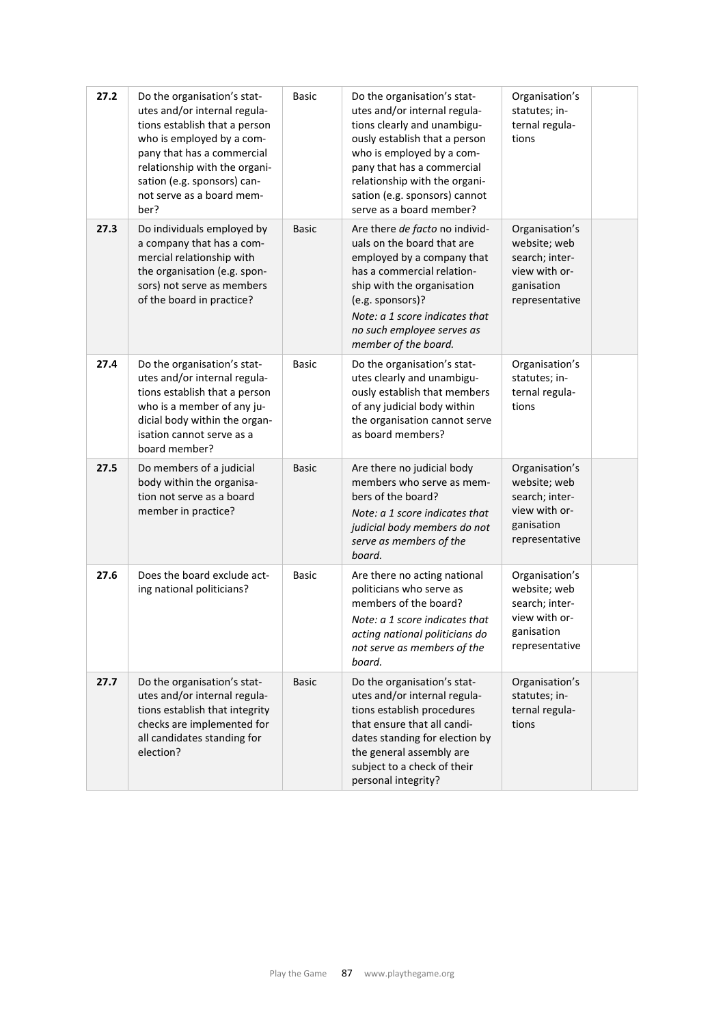| 27.2 | Do the organisation's stat-<br>utes and/or internal regula-<br>tions establish that a person<br>who is employed by a com-<br>pany that has a commercial<br>relationship with the organi-<br>sation (e.g. sponsors) can-<br>not serve as a board mem-<br>ber? | <b>Basic</b> | Do the organisation's stat-<br>utes and/or internal regula-<br>tions clearly and unambigu-<br>ously establish that a person<br>who is employed by a com-<br>pany that has a commercial<br>relationship with the organi-<br>sation (e.g. sponsors) cannot<br>serve as a board member? | Organisation's<br>statutes; in-<br>ternal regula-<br>tions                                        |  |
|------|--------------------------------------------------------------------------------------------------------------------------------------------------------------------------------------------------------------------------------------------------------------|--------------|--------------------------------------------------------------------------------------------------------------------------------------------------------------------------------------------------------------------------------------------------------------------------------------|---------------------------------------------------------------------------------------------------|--|
| 27.3 | Do individuals employed by<br>a company that has a com-<br>mercial relationship with<br>the organisation (e.g. spon-<br>sors) not serve as members<br>of the board in practice?                                                                              | <b>Basic</b> | Are there de facto no individ-<br>uals on the board that are<br>employed by a company that<br>has a commercial relation-<br>ship with the organisation<br>(e.g. sponsors)?<br>Note: a 1 score indicates that<br>no such employee serves as<br>member of the board.                   | Organisation's<br>website; web<br>search; inter-<br>view with or-<br>ganisation<br>representative |  |
| 27.4 | Do the organisation's stat-<br>utes and/or internal regula-<br>tions establish that a person<br>who is a member of any ju-<br>dicial body within the organ-<br>isation cannot serve as a<br>board member?                                                    | <b>Basic</b> | Do the organisation's stat-<br>utes clearly and unambigu-<br>ously establish that members<br>of any judicial body within<br>the organisation cannot serve<br>as board members?                                                                                                       | Organisation's<br>statutes; in-<br>ternal regula-<br>tions                                        |  |
| 27.5 | Do members of a judicial<br>body within the organisa-<br>tion not serve as a board<br>member in practice?                                                                                                                                                    | <b>Basic</b> | Are there no judicial body<br>members who serve as mem-<br>bers of the board?<br>Note: a 1 score indicates that<br>judicial body members do not<br>serve as members of the<br>board.                                                                                                 | Organisation's<br>website; web<br>search; inter-<br>view with or-<br>ganisation<br>representative |  |
| 27.6 | Does the board exclude act-<br>ing national politicians?                                                                                                                                                                                                     | <b>Basic</b> | Are there no acting national<br>politicians who serve as<br>members of the board?<br>Note: a 1 score indicates that<br>acting national politicians do<br>not serve as members of the<br>board.                                                                                       | Organisation's<br>website; web<br>search; inter-<br>view with or-<br>ganisation<br>representative |  |
| 27.7 | Do the organisation's stat-<br>utes and/or internal regula-<br>tions establish that integrity<br>checks are implemented for<br>all candidates standing for<br>election?                                                                                      | <b>Basic</b> | Do the organisation's stat-<br>utes and/or internal regula-<br>tions establish procedures<br>that ensure that all candi-<br>dates standing for election by<br>the general assembly are<br>subject to a check of their<br>personal integrity?                                         | Organisation's<br>statutes; in-<br>ternal regula-<br>tions                                        |  |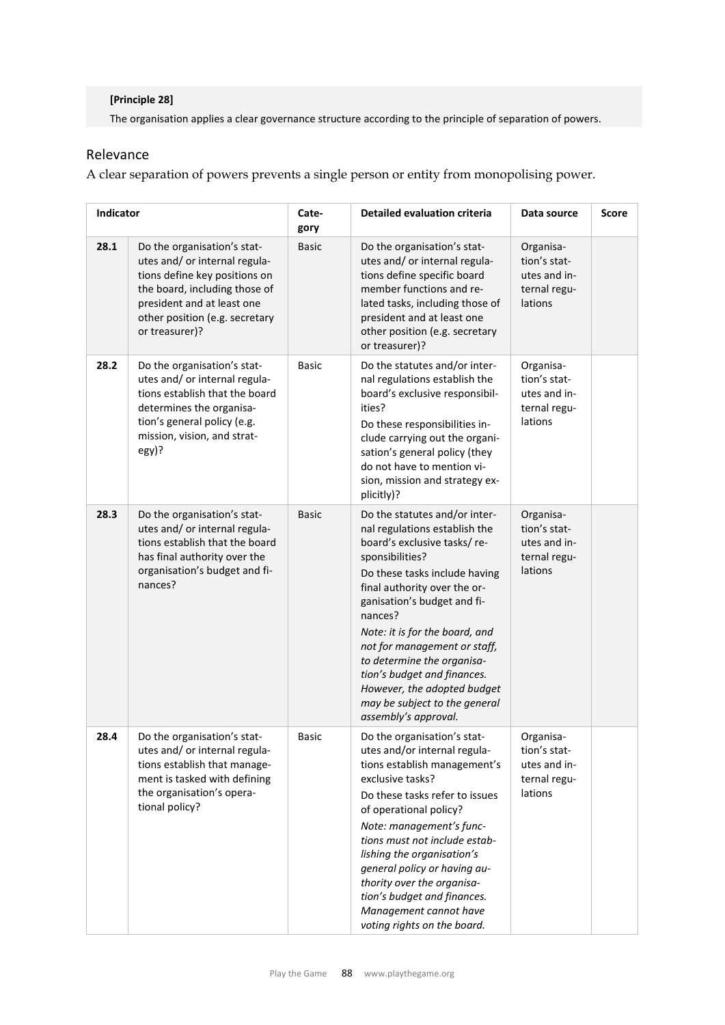#### **[Principle 28]**

The organisation applies a clear governance structure according to the principle of separation of powers.

## Relevance

A clear separation of powers prevents a single person or entity from monopolising power.

| <b>Indicator</b> |                                                                                                                                                                                                                  | Cate-<br>gory | <b>Detailed evaluation criteria</b>                                                                                                                                                                                                                                                                                                                                                                                                                | Data source                                                          | <b>Score</b> |
|------------------|------------------------------------------------------------------------------------------------------------------------------------------------------------------------------------------------------------------|---------------|----------------------------------------------------------------------------------------------------------------------------------------------------------------------------------------------------------------------------------------------------------------------------------------------------------------------------------------------------------------------------------------------------------------------------------------------------|----------------------------------------------------------------------|--------------|
| 28.1             | Do the organisation's stat-<br>utes and/ or internal regula-<br>tions define key positions on<br>the board, including those of<br>president and at least one<br>other position (e.g. secretary<br>or treasurer)? | <b>Basic</b>  | Do the organisation's stat-<br>utes and/ or internal regula-<br>tions define specific board<br>member functions and re-<br>lated tasks, including those of<br>president and at least one<br>other position (e.g. secretary<br>or treasurer)?                                                                                                                                                                                                       | Organisa-<br>tion's stat-<br>utes and in-<br>ternal regu-<br>lations |              |
| 28.2             | Do the organisation's stat-<br>utes and/ or internal regula-<br>tions establish that the board<br>determines the organisa-<br>tion's general policy (e.g.<br>mission, vision, and strat-<br>egy)?                | <b>Basic</b>  | Do the statutes and/or inter-<br>nal regulations establish the<br>board's exclusive responsibil-<br>ities?<br>Do these responsibilities in-<br>clude carrying out the organi-<br>sation's general policy (they<br>do not have to mention vi-<br>sion, mission and strategy ex-<br>plicitly)?                                                                                                                                                       | Organisa-<br>tion's stat-<br>utes and in-<br>ternal regu-<br>lations |              |
| 28.3             | Do the organisation's stat-<br>utes and/ or internal regula-<br>tions establish that the board<br>has final authority over the<br>organisation's budget and fi-<br>nances?                                       | <b>Basic</b>  | Do the statutes and/or inter-<br>nal regulations establish the<br>board's exclusive tasks/re-<br>sponsibilities?<br>Do these tasks include having<br>final authority over the or-<br>ganisation's budget and fi-<br>nances?<br>Note: it is for the board, and<br>not for management or staff,<br>to determine the organisa-<br>tion's budget and finances.<br>However, the adopted budget<br>may be subject to the general<br>assembly's approval. | Organisa-<br>tion's stat-<br>utes and in-<br>ternal regu-<br>lations |              |
| 28.4             | Do the organisation's stat-<br>utes and/ or internal regula-<br>tions establish that manage-<br>ment is tasked with defining<br>the organisation's opera-<br>tional policy?                                      | Basic         | Do the organisation's stat-<br>utes and/or internal regula-<br>tions establish management's<br>exclusive tasks?<br>Do these tasks refer to issues<br>of operational policy?<br>Note: management's func-<br>tions must not include estab-<br>lishing the organisation's<br>general policy or having au-<br>thority over the organisa-<br>tion's budget and finances.<br>Management cannot have<br>voting rights on the board.                       | Organisa-<br>tion's stat-<br>utes and in-<br>ternal regu-<br>lations |              |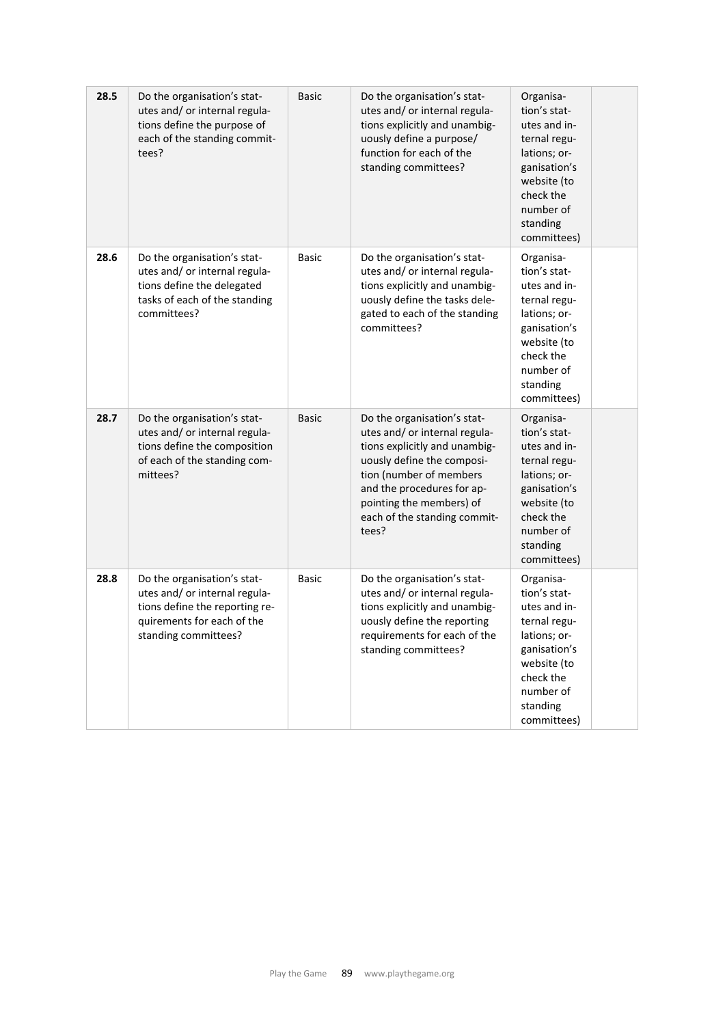| 28.5 | Do the organisation's stat-<br>utes and/ or internal regula-<br>tions define the purpose of<br>each of the standing commit-<br>tees?                 | <b>Basic</b> | Do the organisation's stat-<br>utes and/ or internal regula-<br>tions explicitly and unambig-<br>uously define a purpose/<br>function for each of the<br>standing committees?                                                                             | Organisa-<br>tion's stat-<br>utes and in-<br>ternal regu-<br>lations; or-<br>ganisation's<br>website (to<br>check the<br>number of<br>standing<br>committees) |
|------|------------------------------------------------------------------------------------------------------------------------------------------------------|--------------|-----------------------------------------------------------------------------------------------------------------------------------------------------------------------------------------------------------------------------------------------------------|---------------------------------------------------------------------------------------------------------------------------------------------------------------|
| 28.6 | Do the organisation's stat-<br>utes and/ or internal regula-<br>tions define the delegated<br>tasks of each of the standing<br>committees?           | <b>Basic</b> | Do the organisation's stat-<br>utes and/ or internal regula-<br>tions explicitly and unambig-<br>uously define the tasks dele-<br>gated to each of the standing<br>committees?                                                                            | Organisa-<br>tion's stat-<br>utes and in-<br>ternal regu-<br>lations; or-<br>ganisation's<br>website (to<br>check the<br>number of<br>standing<br>committees) |
| 28.7 | Do the organisation's stat-<br>utes and/ or internal regula-<br>tions define the composition<br>of each of the standing com-<br>mittees?             | <b>Basic</b> | Do the organisation's stat-<br>utes and/ or internal regula-<br>tions explicitly and unambig-<br>uously define the composi-<br>tion (number of members<br>and the procedures for ap-<br>pointing the members) of<br>each of the standing commit-<br>tees? | Organisa-<br>tion's stat-<br>utes and in-<br>ternal regu-<br>lations; or-<br>ganisation's<br>website (to<br>check the<br>number of<br>standing<br>committees) |
| 28.8 | Do the organisation's stat-<br>utes and/ or internal regula-<br>tions define the reporting re-<br>quirements for each of the<br>standing committees? | <b>Basic</b> | Do the organisation's stat-<br>utes and/ or internal regula-<br>tions explicitly and unambig-<br>uously define the reporting<br>requirements for each of the<br>standing committees?                                                                      | Organisa-<br>tion's stat-<br>utes and in-<br>ternal regu-<br>lations; or-<br>ganisation's<br>website (to<br>check the<br>number of<br>standing<br>committees) |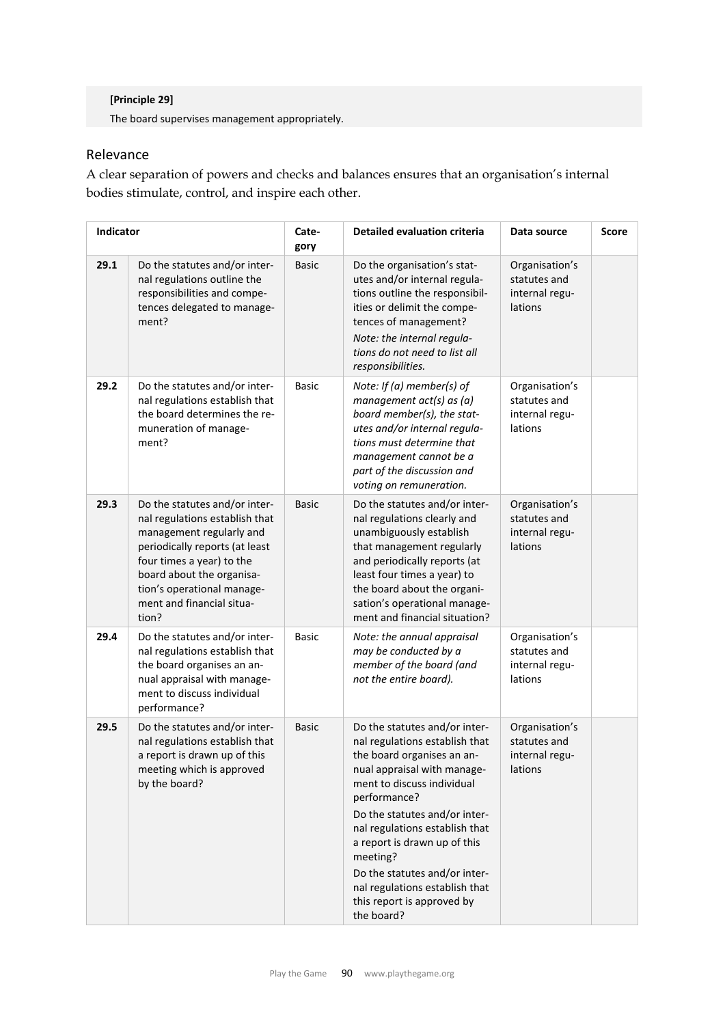#### **[Principle 29]**

The board supervises management appropriately.

## Relevance

A clear separation of powers and checks and balances ensures that an organisation's internal bodies stimulate, control, and inspire each other.

| <b>Indicator</b> |                                                                                                                                                                                                                                                             | Cate-<br>gory | <b>Detailed evaluation criteria</b>                                                                                                                                                                                                                                                                                                                                                                      | Data source                                                 | <b>Score</b> |
|------------------|-------------------------------------------------------------------------------------------------------------------------------------------------------------------------------------------------------------------------------------------------------------|---------------|----------------------------------------------------------------------------------------------------------------------------------------------------------------------------------------------------------------------------------------------------------------------------------------------------------------------------------------------------------------------------------------------------------|-------------------------------------------------------------|--------------|
| 29.1             | Do the statutes and/or inter-<br>nal regulations outline the<br>responsibilities and compe-<br>tences delegated to manage-<br>ment?                                                                                                                         | <b>Basic</b>  | Do the organisation's stat-<br>utes and/or internal regula-<br>tions outline the responsibil-<br>ities or delimit the compe-<br>tences of management?<br>Note: the internal regula-<br>tions do not need to list all<br>responsibilities.                                                                                                                                                                | Organisation's<br>statutes and<br>internal regu-<br>lations |              |
| 29.2             | Do the statutes and/or inter-<br>nal regulations establish that<br>the board determines the re-<br>muneration of manage-<br>ment?                                                                                                                           | <b>Basic</b>  | Note: If (a) member(s) of<br>management $act(s)$ as $(a)$<br>board member(s), the stat-<br>utes and/or internal regula-<br>tions must determine that<br>management cannot be a<br>part of the discussion and<br>voting on remuneration.                                                                                                                                                                  | Organisation's<br>statutes and<br>internal regu-<br>lations |              |
| 29.3             | Do the statutes and/or inter-<br>nal regulations establish that<br>management regularly and<br>periodically reports (at least<br>four times a year) to the<br>board about the organisa-<br>tion's operational manage-<br>ment and financial situa-<br>tion? | <b>Basic</b>  | Do the statutes and/or inter-<br>nal regulations clearly and<br>unambiguously establish<br>that management regularly<br>and periodically reports (at<br>least four times a year) to<br>the board about the organi-<br>sation's operational manage-<br>ment and financial situation?                                                                                                                      | Organisation's<br>statutes and<br>internal regu-<br>lations |              |
| 29.4             | Do the statutes and/or inter-<br>nal regulations establish that<br>the board organises an an-<br>nual appraisal with manage-<br>ment to discuss individual<br>performance?                                                                                  | <b>Basic</b>  | Note: the annual appraisal<br>may be conducted by a<br>member of the board (and<br>not the entire board).                                                                                                                                                                                                                                                                                                | Organisation's<br>statutes and<br>internal regu-<br>lations |              |
| 29.5             | Do the statutes and/or inter-<br>nal regulations establish that<br>a report is drawn up of this<br>meeting which is approved<br>by the board?                                                                                                               | <b>Basic</b>  | Do the statutes and/or inter-<br>nal regulations establish that<br>the board organises an an-<br>nual appraisal with manage-<br>ment to discuss individual<br>performance?<br>Do the statutes and/or inter-<br>nal regulations establish that<br>a report is drawn up of this<br>meeting?<br>Do the statutes and/or inter-<br>nal regulations establish that<br>this report is approved by<br>the board? | Organisation's<br>statutes and<br>internal regu-<br>lations |              |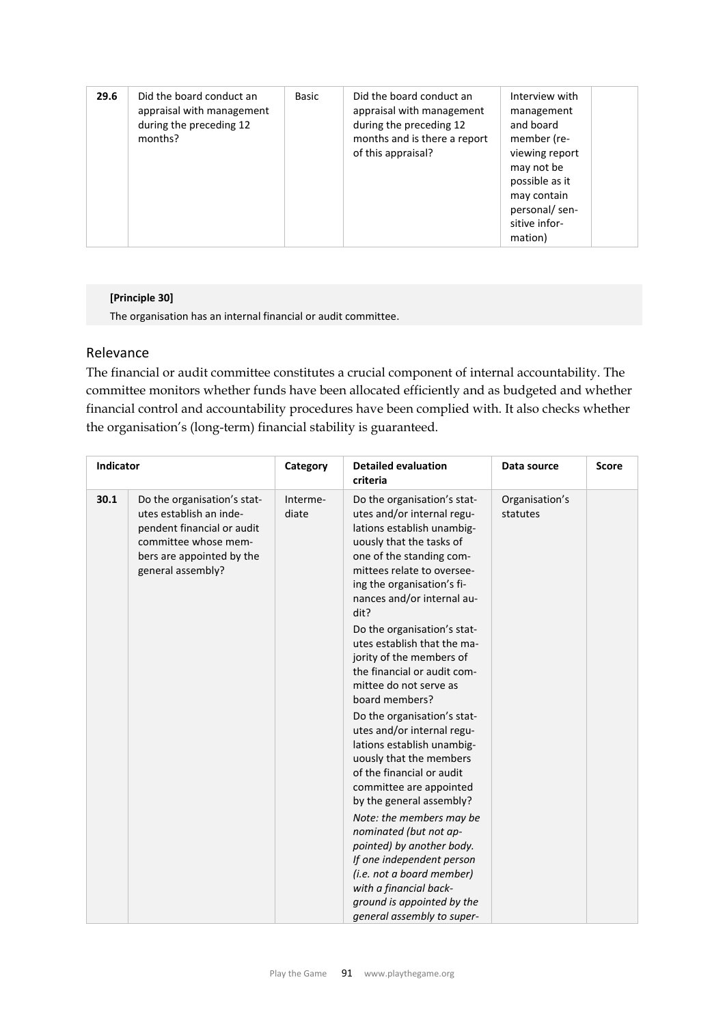| 29.6 | Did the board conduct an<br>appraisal with management<br>during the preceding 12<br>months? | Basic | Did the board conduct an<br>appraisal with management<br>during the preceding 12<br>months and is there a report<br>of this appraisal? | Interview with<br>management<br>and board<br>member (re-<br>viewing report<br>may not be<br>possible as it<br>may contain<br>personal/sen-<br>sitive infor-<br>mation) |
|------|---------------------------------------------------------------------------------------------|-------|----------------------------------------------------------------------------------------------------------------------------------------|------------------------------------------------------------------------------------------------------------------------------------------------------------------------|
|------|---------------------------------------------------------------------------------------------|-------|----------------------------------------------------------------------------------------------------------------------------------------|------------------------------------------------------------------------------------------------------------------------------------------------------------------------|

#### **[Principle 30]**

The organisation has an internal financial or audit committee.

#### Relevance

The financial or audit committee constitutes a crucial component of internal accountability. The committee monitors whether funds have been allocated efficiently and as budgeted and whether financial control and accountability procedures have been complied with. It also checks whether the organisation's (long-term) financial stability is guaranteed.

| Indicator |                                                                                                                                                                | Category          | <b>Detailed evaluation</b><br>criteria                                                                                                                                                                                                                                                                                                                                                                                                                                                                                                                                                                                                                                                                                                                                                                                                                              | Data source                | <b>Score</b> |
|-----------|----------------------------------------------------------------------------------------------------------------------------------------------------------------|-------------------|---------------------------------------------------------------------------------------------------------------------------------------------------------------------------------------------------------------------------------------------------------------------------------------------------------------------------------------------------------------------------------------------------------------------------------------------------------------------------------------------------------------------------------------------------------------------------------------------------------------------------------------------------------------------------------------------------------------------------------------------------------------------------------------------------------------------------------------------------------------------|----------------------------|--------------|
| 30.1      | Do the organisation's stat-<br>utes establish an inde-<br>pendent financial or audit<br>committee whose mem-<br>bers are appointed by the<br>general assembly? | Interme-<br>diate | Do the organisation's stat-<br>utes and/or internal regu-<br>lations establish unambig-<br>uously that the tasks of<br>one of the standing com-<br>mittees relate to oversee-<br>ing the organisation's fi-<br>nances and/or internal au-<br>dit?<br>Do the organisation's stat-<br>utes establish that the ma-<br>jority of the members of<br>the financial or audit com-<br>mittee do not serve as<br>board members?<br>Do the organisation's stat-<br>utes and/or internal regu-<br>lations establish unambig-<br>uously that the members<br>of the financial or audit<br>committee are appointed<br>by the general assembly?<br>Note: the members may be<br>nominated (but not ap-<br>pointed) by another body.<br>If one independent person<br>(i.e. not a board member)<br>with a financial back-<br>ground is appointed by the<br>general assembly to super- | Organisation's<br>statutes |              |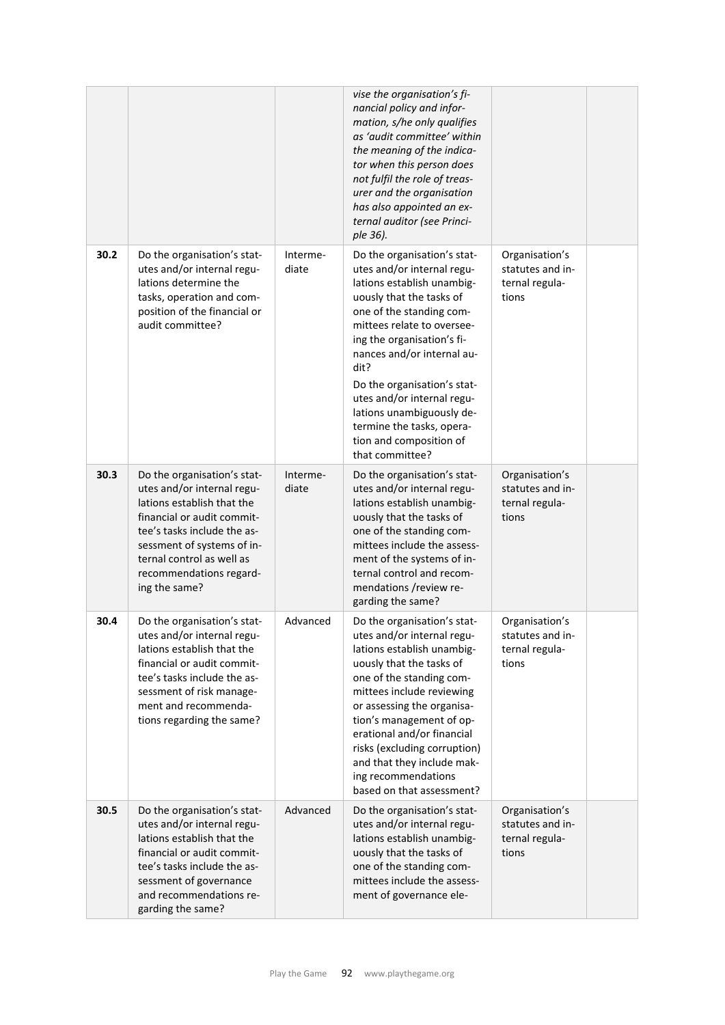|      |                                                                                                                                                                                                                                                             |                   | vise the organisation's fi-<br>nancial policy and infor-<br>mation, s/he only qualifies<br>as 'audit committee' within<br>the meaning of the indica-<br>tor when this person does<br>not fulfil the role of treas-<br>urer and the organisation<br>has also appointed an ex-<br>ternal auditor (see Princi-<br>ple 36).                                                                                                |                                                               |  |
|------|-------------------------------------------------------------------------------------------------------------------------------------------------------------------------------------------------------------------------------------------------------------|-------------------|------------------------------------------------------------------------------------------------------------------------------------------------------------------------------------------------------------------------------------------------------------------------------------------------------------------------------------------------------------------------------------------------------------------------|---------------------------------------------------------------|--|
| 30.2 | Do the organisation's stat-<br>utes and/or internal regu-<br>lations determine the<br>tasks, operation and com-<br>position of the financial or<br>audit committee?                                                                                         | Interme-<br>diate | Do the organisation's stat-<br>utes and/or internal regu-<br>lations establish unambig-<br>uously that the tasks of<br>one of the standing com-<br>mittees relate to oversee-<br>ing the organisation's fi-<br>nances and/or internal au-<br>dit?<br>Do the organisation's stat-<br>utes and/or internal regu-<br>lations unambiguously de-<br>termine the tasks, opera-<br>tion and composition of<br>that committee? | Organisation's<br>statutes and in-<br>ternal regula-<br>tions |  |
| 30.3 | Do the organisation's stat-<br>utes and/or internal regu-<br>lations establish that the<br>financial or audit commit-<br>tee's tasks include the as-<br>sessment of systems of in-<br>ternal control as well as<br>recommendations regard-<br>ing the same? | Interme-<br>diate | Do the organisation's stat-<br>utes and/or internal regu-<br>lations establish unambig-<br>uously that the tasks of<br>one of the standing com-<br>mittees include the assess-<br>ment of the systems of in-<br>ternal control and recom-<br>mendations /review re-<br>garding the same?                                                                                                                               | Organisation's<br>statutes and in-<br>ternal regula-<br>tions |  |
| 30.4 | Do the organisation's stat-<br>utes and/or internal regu-<br>lations establish that the<br>financial or audit commit-<br>tee's tasks include the as-<br>sessment of risk manage-<br>ment and recommenda-<br>tions regarding the same?                       | Advanced          | Do the organisation's stat-<br>utes and/or internal regu-<br>lations establish unambig-<br>uously that the tasks of<br>one of the standing com-<br>mittees include reviewing<br>or assessing the organisa-<br>tion's management of op-<br>erational and/or financial<br>risks (excluding corruption)<br>and that they include mak-<br>ing recommendations<br>based on that assessment?                                 | Organisation's<br>statutes and in-<br>ternal regula-<br>tions |  |
| 30.5 | Do the organisation's stat-<br>utes and/or internal regu-<br>lations establish that the<br>financial or audit commit-<br>tee's tasks include the as-<br>sessment of governance<br>and recommendations re-<br>garding the same?                              | Advanced          | Do the organisation's stat-<br>utes and/or internal regu-<br>lations establish unambig-<br>uously that the tasks of<br>one of the standing com-<br>mittees include the assess-<br>ment of governance ele-                                                                                                                                                                                                              | Organisation's<br>statutes and in-<br>ternal regula-<br>tions |  |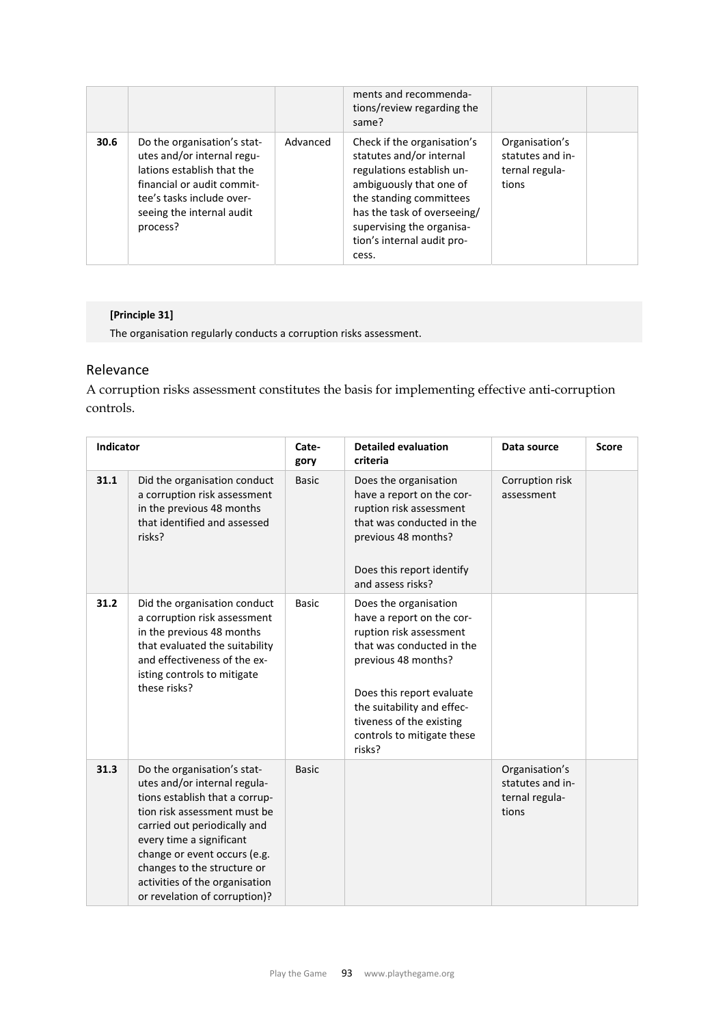|      |                                                                                                                                                                                             |          | ments and recommenda-<br>tions/review regarding the<br>same?                                                                                                                                                                                  |                                                               |  |
|------|---------------------------------------------------------------------------------------------------------------------------------------------------------------------------------------------|----------|-----------------------------------------------------------------------------------------------------------------------------------------------------------------------------------------------------------------------------------------------|---------------------------------------------------------------|--|
| 30.6 | Do the organisation's stat-<br>utes and/or internal regu-<br>lations establish that the<br>financial or audit commit-<br>tee's tasks include over-<br>seeing the internal audit<br>process? | Advanced | Check if the organisation's<br>statutes and/or internal<br>regulations establish un-<br>ambiguously that one of<br>the standing committees<br>has the task of overseeing/<br>supervising the organisa-<br>tion's internal audit pro-<br>cess. | Organisation's<br>statutes and in-<br>ternal regula-<br>tions |  |

## **[Principle 31]**

The organisation regularly conducts a corruption risks assessment.

## Relevance

A corruption risks assessment constitutes the basis for implementing effective anti-corruption controls.

| <b>Indicator</b> |                                                                                                                                                                                                                                                                                                                             | Cate-<br>gory | <b>Detailed evaluation</b><br>criteria                                                                                                                                                                                                                           | Data source                                                   | <b>Score</b> |
|------------------|-----------------------------------------------------------------------------------------------------------------------------------------------------------------------------------------------------------------------------------------------------------------------------------------------------------------------------|---------------|------------------------------------------------------------------------------------------------------------------------------------------------------------------------------------------------------------------------------------------------------------------|---------------------------------------------------------------|--------------|
| 31.1             | Did the organisation conduct<br>a corruption risk assessment<br>in the previous 48 months<br>that identified and assessed<br>risks?                                                                                                                                                                                         | <b>Basic</b>  | Does the organisation<br>have a report on the cor-<br>ruption risk assessment<br>that was conducted in the<br>previous 48 months?<br>Does this report identify<br>and assess risks?                                                                              | Corruption risk<br>assessment                                 |              |
| 31.2             | Did the organisation conduct<br>a corruption risk assessment<br>in the previous 48 months<br>that evaluated the suitability<br>and effectiveness of the ex-<br>isting controls to mitigate<br>these risks?                                                                                                                  | <b>Basic</b>  | Does the organisation<br>have a report on the cor-<br>ruption risk assessment<br>that was conducted in the<br>previous 48 months?<br>Does this report evaluate<br>the suitability and effec-<br>tiveness of the existing<br>controls to mitigate these<br>risks? |                                                               |              |
| 31.3             | Do the organisation's stat-<br>utes and/or internal regula-<br>tions establish that a corrup-<br>tion risk assessment must be<br>carried out periodically and<br>every time a significant<br>change or event occurs (e.g.<br>changes to the structure or<br>activities of the organisation<br>or revelation of corruption)? | <b>Basic</b>  |                                                                                                                                                                                                                                                                  | Organisation's<br>statutes and in-<br>ternal regula-<br>tions |              |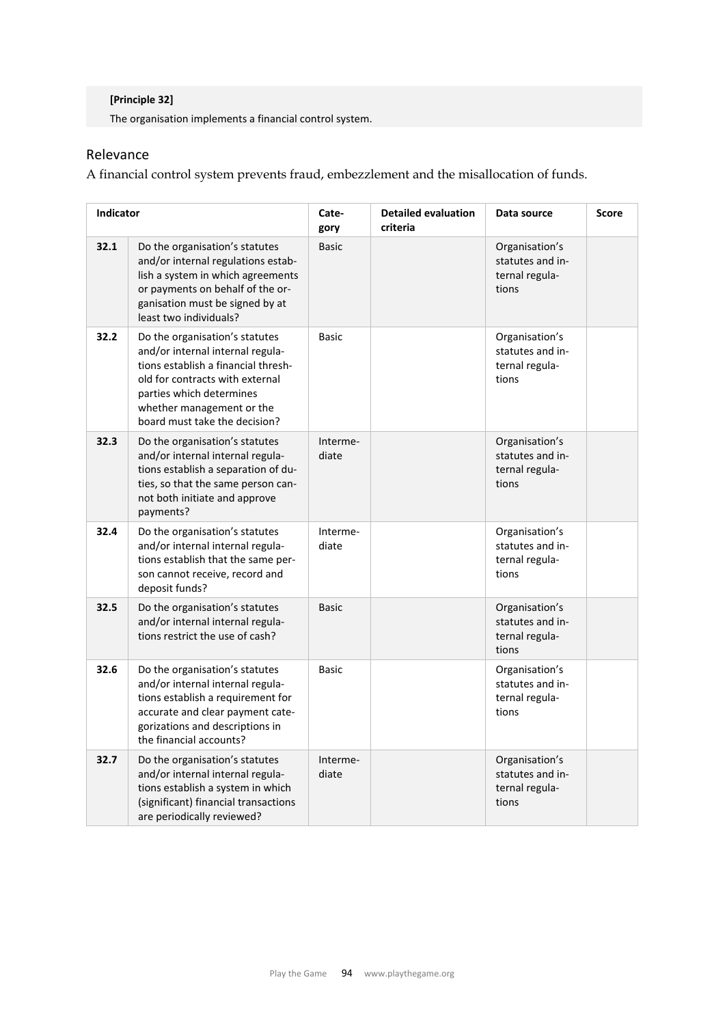## **[Principle 32]**

The organisation implements a financial control system.

## Relevance

A financial control system prevents fraud, embezzlement and the misallocation of funds.

| Indicator |                                                                                                                                                                                                                                        | Cate-<br>gory     | <b>Detailed evaluation</b><br>criteria | Data source                                                   | <b>Score</b> |
|-----------|----------------------------------------------------------------------------------------------------------------------------------------------------------------------------------------------------------------------------------------|-------------------|----------------------------------------|---------------------------------------------------------------|--------------|
| 32.1      | Do the organisation's statutes<br>and/or internal regulations estab-<br>lish a system in which agreements<br>or payments on behalf of the or-<br>ganisation must be signed by at<br>least two individuals?                             | <b>Basic</b>      |                                        | Organisation's<br>statutes and in-<br>ternal regula-<br>tions |              |
| 32.2      | Do the organisation's statutes<br>and/or internal internal regula-<br>tions establish a financial thresh-<br>old for contracts with external<br>parties which determines<br>whether management or the<br>board must take the decision? | <b>Basic</b>      |                                        | Organisation's<br>statutes and in-<br>ternal regula-<br>tions |              |
| 32.3      | Do the organisation's statutes<br>and/or internal internal regula-<br>tions establish a separation of du-<br>ties, so that the same person can-<br>not both initiate and approve<br>payments?                                          | Interme-<br>diate |                                        | Organisation's<br>statutes and in-<br>ternal regula-<br>tions |              |
| 32.4      | Do the organisation's statutes<br>and/or internal internal regula-<br>tions establish that the same per-<br>son cannot receive, record and<br>deposit funds?                                                                           | Interme-<br>diate |                                        | Organisation's<br>statutes and in-<br>ternal regula-<br>tions |              |
| 32.5      | Do the organisation's statutes<br>and/or internal internal regula-<br>tions restrict the use of cash?                                                                                                                                  | <b>Basic</b>      |                                        | Organisation's<br>statutes and in-<br>ternal regula-<br>tions |              |
| 32.6      | Do the organisation's statutes<br>and/or internal internal regula-<br>tions establish a requirement for<br>accurate and clear payment cate-<br>gorizations and descriptions in<br>the financial accounts?                              | <b>Basic</b>      |                                        | Organisation's<br>statutes and in-<br>ternal regula-<br>tions |              |
| 32.7      | Do the organisation's statutes<br>and/or internal internal regula-<br>tions establish a system in which<br>(significant) financial transactions<br>are periodically reviewed?                                                          | Interme-<br>diate |                                        | Organisation's<br>statutes and in-<br>ternal regula-<br>tions |              |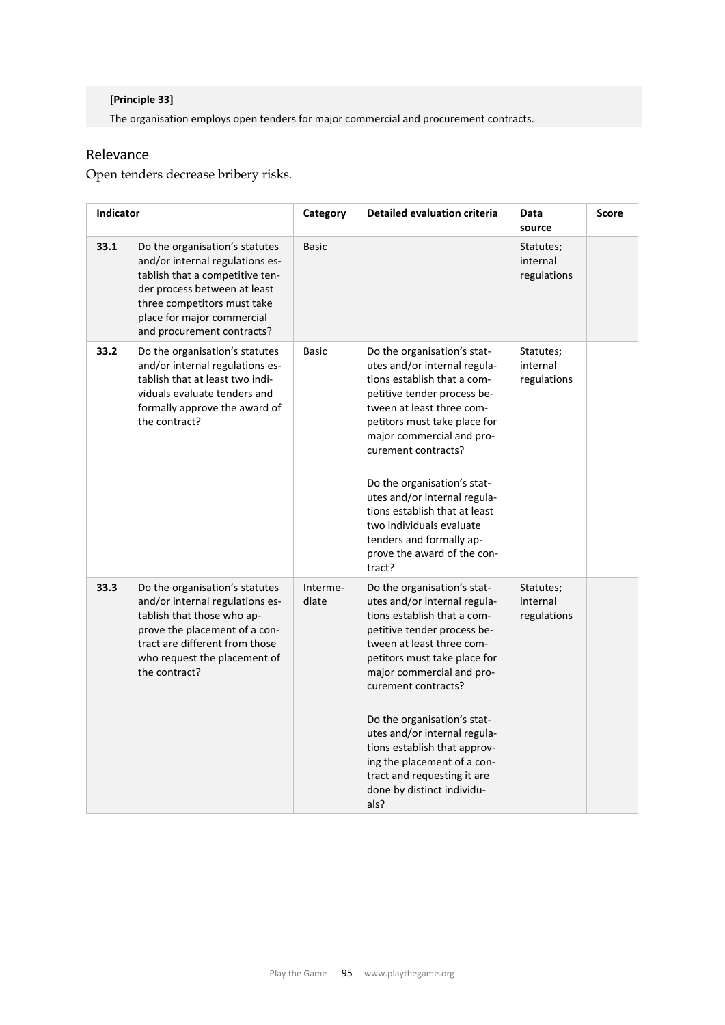## **[Principle 33]**

The organisation employs open tenders for major commercial and procurement contracts.

## Relevance

Open tenders decrease bribery risks.

| Indicator |                                                                                                                                                                                                                                 | Category          | <b>Detailed evaluation criteria</b>                                                                                                                                                                                                                                                                                                                                                                                                           | Data<br>source                       | <b>Score</b> |
|-----------|---------------------------------------------------------------------------------------------------------------------------------------------------------------------------------------------------------------------------------|-------------------|-----------------------------------------------------------------------------------------------------------------------------------------------------------------------------------------------------------------------------------------------------------------------------------------------------------------------------------------------------------------------------------------------------------------------------------------------|--------------------------------------|--------------|
| 33.1      | Do the organisation's statutes<br>and/or internal regulations es-<br>tablish that a competitive ten-<br>der process between at least<br>three competitors must take<br>place for major commercial<br>and procurement contracts? | <b>Basic</b>      |                                                                                                                                                                                                                                                                                                                                                                                                                                               | Statutes;<br>internal<br>regulations |              |
| 33.2      | Do the organisation's statutes<br>and/or internal regulations es-<br>tablish that at least two indi-<br>viduals evaluate tenders and<br>formally approve the award of<br>the contract?                                          | Basic             | Do the organisation's stat-<br>utes and/or internal regula-<br>tions establish that a com-<br>petitive tender process be-<br>tween at least three com-<br>petitors must take place for<br>major commercial and pro-<br>curement contracts?<br>Do the organisation's stat-<br>utes and/or internal regula-<br>tions establish that at least<br>two individuals evaluate<br>tenders and formally ap-<br>prove the award of the con-<br>tract?   | Statutes;<br>internal<br>regulations |              |
| 33.3      | Do the organisation's statutes<br>and/or internal regulations es-<br>tablish that those who ap-<br>prove the placement of a con-<br>tract are different from those<br>who request the placement of<br>the contract?             | Interme-<br>diate | Do the organisation's stat-<br>utes and/or internal regula-<br>tions establish that a com-<br>petitive tender process be-<br>tween at least three com-<br>petitors must take place for<br>major commercial and pro-<br>curement contracts?<br>Do the organisation's stat-<br>utes and/or internal regula-<br>tions establish that approv-<br>ing the placement of a con-<br>tract and requesting it are<br>done by distinct individu-<br>als? | Statutes;<br>internal<br>regulations |              |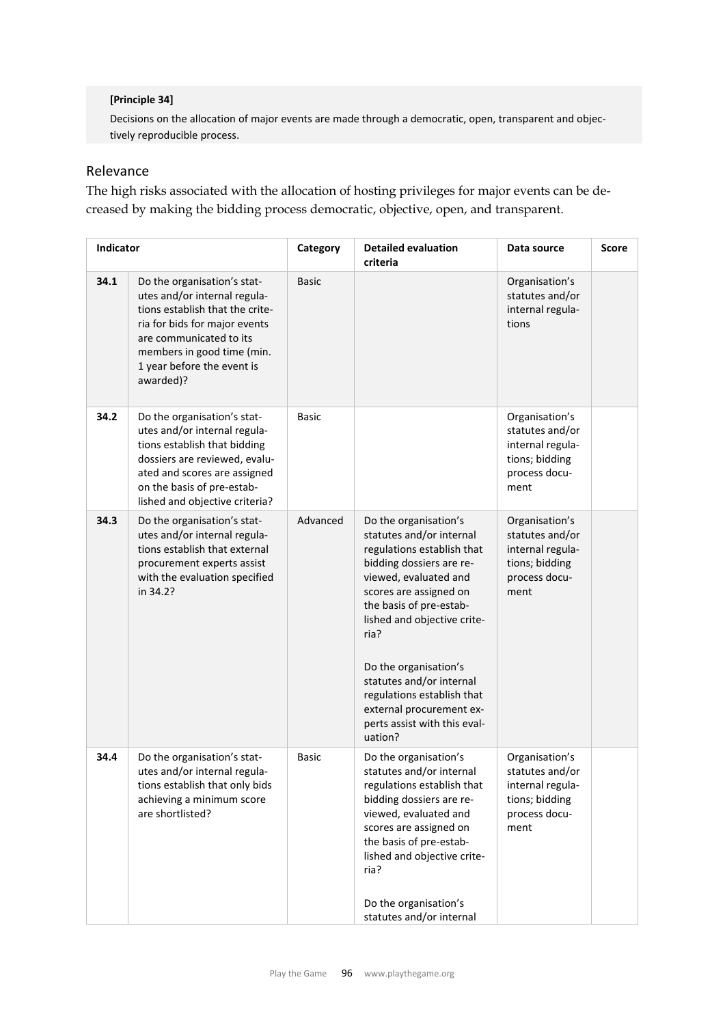### **[Principle 34]**

Decisions on the allocation of major events are made through a democratic, open, transparent and objec‐ tively reproducible process.

# Relevance

The high risks associated with the allocation of hosting privileges for major events can be decreased by making the bidding process democratic, objective, open, and transparent.

| Indicator |                                                                                                                                                                                                                                     | Category     | <b>Detailed evaluation</b><br>criteria                                                                                                                                                                                                                                                                                                                                                     | Data source                                                                                      | <b>Score</b> |
|-----------|-------------------------------------------------------------------------------------------------------------------------------------------------------------------------------------------------------------------------------------|--------------|--------------------------------------------------------------------------------------------------------------------------------------------------------------------------------------------------------------------------------------------------------------------------------------------------------------------------------------------------------------------------------------------|--------------------------------------------------------------------------------------------------|--------------|
| 34.1      | Do the organisation's stat-<br>utes and/or internal regula-<br>tions establish that the crite-<br>ria for bids for major events<br>are communicated to its<br>members in good time (min.<br>1 year before the event is<br>awarded)? | <b>Basic</b> |                                                                                                                                                                                                                                                                                                                                                                                            | Organisation's<br>statutes and/or<br>internal regula-<br>tions                                   |              |
| 34.2      | Do the organisation's stat-<br>utes and/or internal regula-<br>tions establish that bidding<br>dossiers are reviewed, evalu-<br>ated and scores are assigned<br>on the basis of pre-estab-<br>lished and objective criteria?        | <b>Basic</b> |                                                                                                                                                                                                                                                                                                                                                                                            | Organisation's<br>statutes and/or<br>internal regula-<br>tions; bidding<br>process docu-<br>ment |              |
| 34.3      | Do the organisation's stat-<br>utes and/or internal regula-<br>tions establish that external<br>procurement experts assist<br>with the evaluation specified<br>in 34.2?                                                             | Advanced     | Do the organisation's<br>statutes and/or internal<br>regulations establish that<br>bidding dossiers are re-<br>viewed, evaluated and<br>scores are assigned on<br>the basis of pre-estab-<br>lished and objective crite-<br>ria?<br>Do the organisation's<br>statutes and/or internal<br>regulations establish that<br>external procurement ex-<br>perts assist with this eval-<br>uation? | Organisation's<br>statutes and/or<br>internal regula-<br>tions; bidding<br>process docu-<br>ment |              |
| 34.4      | Do the organisation's stat-<br>utes and/or internal regula-<br>tions establish that only bids<br>achieving a minimum score<br>are shortlisted?                                                                                      | <b>Basic</b> | Do the organisation's<br>statutes and/or internal<br>regulations establish that<br>bidding dossiers are re-<br>viewed, evaluated and<br>scores are assigned on<br>the basis of pre-estab-<br>lished and objective crite-<br>ria?<br>Do the organisation's<br>statutes and/or internal                                                                                                      | Organisation's<br>statutes and/or<br>internal regula-<br>tions; bidding<br>process docu-<br>ment |              |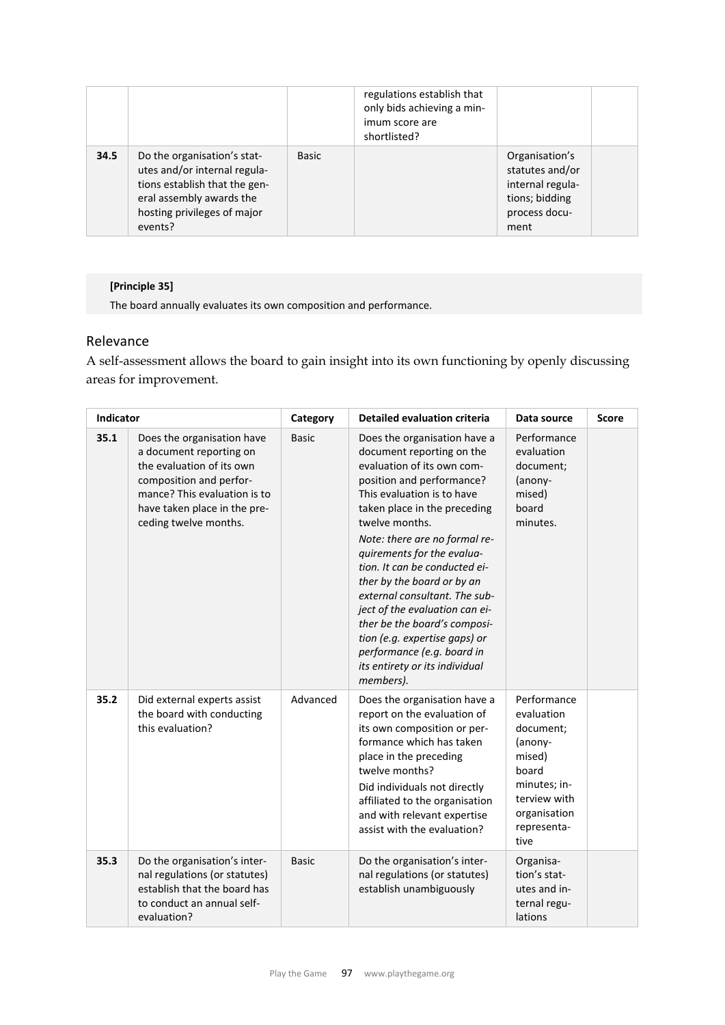|      |                                                                                                                                                                    |              | regulations establish that<br>only bids achieving a min-<br>imum score are<br>shortlisted? |                                                                                                  |  |
|------|--------------------------------------------------------------------------------------------------------------------------------------------------------------------|--------------|--------------------------------------------------------------------------------------------|--------------------------------------------------------------------------------------------------|--|
| 34.5 | Do the organisation's stat-<br>utes and/or internal regula-<br>tions establish that the gen-<br>eral assembly awards the<br>hosting privileges of major<br>events? | <b>Basic</b> |                                                                                            | Organisation's<br>statutes and/or<br>internal regula-<br>tions; bidding<br>process docu-<br>ment |  |

# **[Principle 35]**

The board annually evaluates its own composition and performance.

# Relevance

A self-assessment allows the board to gain insight into its own functioning by openly discussing areas for improvement.

| Indicator |                                                                                                                                                                                                        | Category     | <b>Detailed evaluation criteria</b>                                                                                                                                                                                                                                                                                                                                                                                                                                                                                                                 | Data source                                                                                                                                 | <b>Score</b> |
|-----------|--------------------------------------------------------------------------------------------------------------------------------------------------------------------------------------------------------|--------------|-----------------------------------------------------------------------------------------------------------------------------------------------------------------------------------------------------------------------------------------------------------------------------------------------------------------------------------------------------------------------------------------------------------------------------------------------------------------------------------------------------------------------------------------------------|---------------------------------------------------------------------------------------------------------------------------------------------|--------------|
| 35.1      | Does the organisation have<br>a document reporting on<br>the evaluation of its own<br>composition and perfor-<br>mance? This evaluation is to<br>have taken place in the pre-<br>ceding twelve months. | <b>Basic</b> | Does the organisation have a<br>document reporting on the<br>evaluation of its own com-<br>position and performance?<br>This evaluation is to have<br>taken place in the preceding<br>twelve months.<br>Note: there are no formal re-<br>quirements for the evalua-<br>tion. It can be conducted ei-<br>ther by the board or by an<br>external consultant. The sub-<br>ject of the evaluation can ei-<br>ther be the board's composi-<br>tion (e.g. expertise gaps) or<br>performance (e.g. board in<br>its entirety or its individual<br>members). | Performance<br>evaluation<br>document;<br>(anony-<br>mised)<br>board<br>minutes.                                                            |              |
| 35.2      | Did external experts assist<br>the board with conducting<br>this evaluation?                                                                                                                           | Advanced     | Does the organisation have a<br>report on the evaluation of<br>its own composition or per-<br>formance which has taken<br>place in the preceding<br>twelve months?<br>Did individuals not directly<br>affiliated to the organisation<br>and with relevant expertise<br>assist with the evaluation?                                                                                                                                                                                                                                                  | Performance<br>evaluation<br>document;<br>(anony-<br>mised)<br>board<br>minutes; in-<br>terview with<br>organisation<br>representa-<br>tive |              |
| 35.3      | Do the organisation's inter-<br>nal regulations (or statutes)<br>establish that the board has<br>to conduct an annual self-<br>evaluation?                                                             | <b>Basic</b> | Do the organisation's inter-<br>nal regulations (or statutes)<br>establish unambiguously                                                                                                                                                                                                                                                                                                                                                                                                                                                            | Organisa-<br>tion's stat-<br>utes and in-<br>ternal regu-<br>lations                                                                        |              |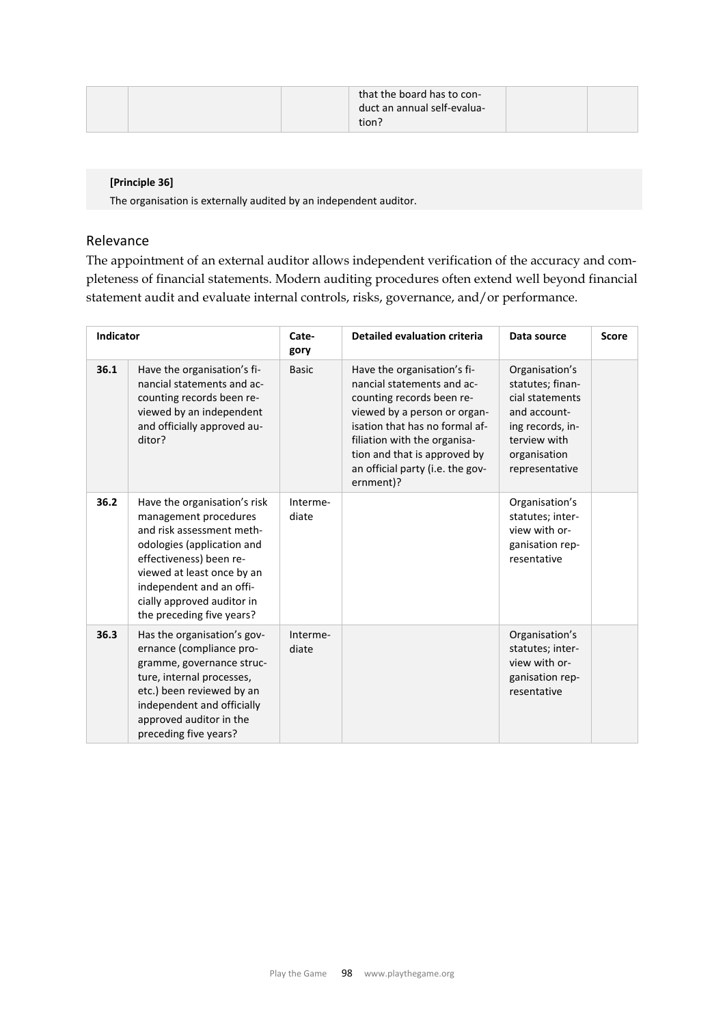|  | that the board has to con-  |  |
|--|-----------------------------|--|
|  | duct an annual self-evalua- |  |
|  | tion?                       |  |

### **[Principle 36]**

The organisation is externally audited by an independent auditor.

### Relevance

The appointment of an external auditor allows independent verification of the accuracy and completeness of financial statements. Modern auditing procedures often extend well beyond financial statement audit and evaluate internal controls, risks, governance, and/or performance.

| Indicator |                                                                                                                                                                                                                                                                  | Cate-<br>gory     | Detailed evaluation criteria                                                                                                                                                                                                                                              | Data source                                                                                                                                 | <b>Score</b> |
|-----------|------------------------------------------------------------------------------------------------------------------------------------------------------------------------------------------------------------------------------------------------------------------|-------------------|---------------------------------------------------------------------------------------------------------------------------------------------------------------------------------------------------------------------------------------------------------------------------|---------------------------------------------------------------------------------------------------------------------------------------------|--------------|
| 36.1      | Have the organisation's fi-<br>nancial statements and ac-<br>counting records been re-<br>viewed by an independent<br>and officially approved au-<br>ditor?                                                                                                      | <b>Basic</b>      | Have the organisation's fi-<br>nancial statements and ac-<br>counting records been re-<br>viewed by a person or organ-<br>isation that has no formal af-<br>filiation with the organisa-<br>tion and that is approved by<br>an official party (i.e. the gov-<br>ernment)? | Organisation's<br>statutes; finan-<br>cial statements<br>and account-<br>ing records, in-<br>terview with<br>organisation<br>representative |              |
| 36.2      | Have the organisation's risk<br>management procedures<br>and risk assessment meth-<br>odologies (application and<br>effectiveness) been re-<br>viewed at least once by an<br>independent and an offi-<br>cially approved auditor in<br>the preceding five years? | Interme-<br>diate |                                                                                                                                                                                                                                                                           | Organisation's<br>statutes; inter-<br>view with or-<br>ganisation rep-<br>resentative                                                       |              |
| 36.3      | Has the organisation's gov-<br>ernance (compliance pro-<br>gramme, governance struc-<br>ture, internal processes,<br>etc.) been reviewed by an<br>independent and officially<br>approved auditor in the<br>preceding five years?                                 | Interme-<br>diate |                                                                                                                                                                                                                                                                           | Organisation's<br>statutes; inter-<br>view with or-<br>ganisation rep-<br>resentative                                                       |              |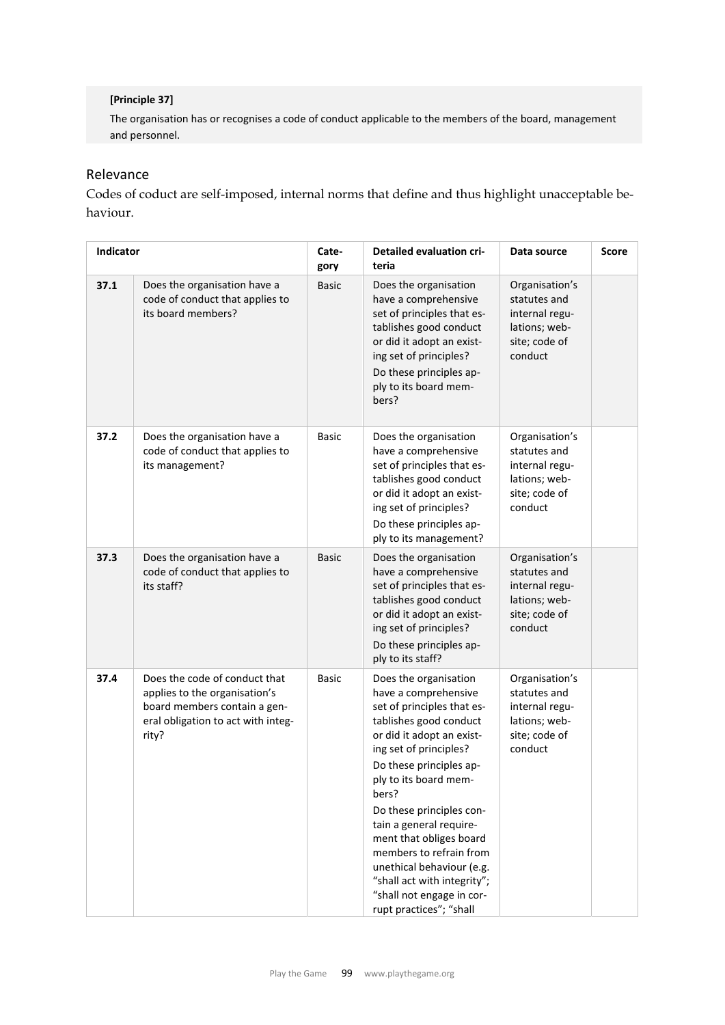### **[Principle 37]**

The organisation has or recognises a code of conduct applicable to the members of the board, management and personnel.

# Relevance

Codes of coduct are self-imposed, internal norms that define and thus highlight unacceptable behaviour.

| Indicator |                                                                                                                                               | Cate-<br>gory | <b>Detailed evaluation cri-</b><br>teria                                                                                                                                                                                                                                                                                                                                                                                                                   | Data source                                                                                   | <b>Score</b> |
|-----------|-----------------------------------------------------------------------------------------------------------------------------------------------|---------------|------------------------------------------------------------------------------------------------------------------------------------------------------------------------------------------------------------------------------------------------------------------------------------------------------------------------------------------------------------------------------------------------------------------------------------------------------------|-----------------------------------------------------------------------------------------------|--------------|
| 37.1      | Does the organisation have a<br>code of conduct that applies to<br>its board members?                                                         | <b>Basic</b>  | Does the organisation<br>have a comprehensive<br>set of principles that es-<br>tablishes good conduct<br>or did it adopt an exist-<br>ing set of principles?<br>Do these principles ap-<br>ply to its board mem-<br>bers?                                                                                                                                                                                                                                  | Organisation's<br>statutes and<br>internal regu-<br>lations; web-<br>site; code of<br>conduct |              |
| 37.2      | Does the organisation have a<br>code of conduct that applies to<br>its management?                                                            | <b>Basic</b>  | Does the organisation<br>have a comprehensive<br>set of principles that es-<br>tablishes good conduct<br>or did it adopt an exist-<br>ing set of principles?<br>Do these principles ap-<br>ply to its management?                                                                                                                                                                                                                                          | Organisation's<br>statutes and<br>internal regu-<br>lations; web-<br>site; code of<br>conduct |              |
| 37.3      | Does the organisation have a<br>code of conduct that applies to<br>its staff?                                                                 | <b>Basic</b>  | Does the organisation<br>have a comprehensive<br>set of principles that es-<br>tablishes good conduct<br>or did it adopt an exist-<br>ing set of principles?<br>Do these principles ap-<br>ply to its staff?                                                                                                                                                                                                                                               | Organisation's<br>statutes and<br>internal regu-<br>lations; web-<br>site; code of<br>conduct |              |
| 37.4      | Does the code of conduct that<br>applies to the organisation's<br>board members contain a gen-<br>eral obligation to act with integ-<br>rity? | <b>Basic</b>  | Does the organisation<br>have a comprehensive<br>set of principles that es-<br>tablishes good conduct<br>or did it adopt an exist-<br>ing set of principles?<br>Do these principles ap-<br>ply to its board mem-<br>bers?<br>Do these principles con-<br>tain a general require-<br>ment that obliges board<br>members to refrain from<br>unethical behaviour (e.g.<br>"shall act with integrity";<br>"shall not engage in cor-<br>rupt practices"; "shall | Organisation's<br>statutes and<br>internal regu-<br>lations; web-<br>site; code of<br>conduct |              |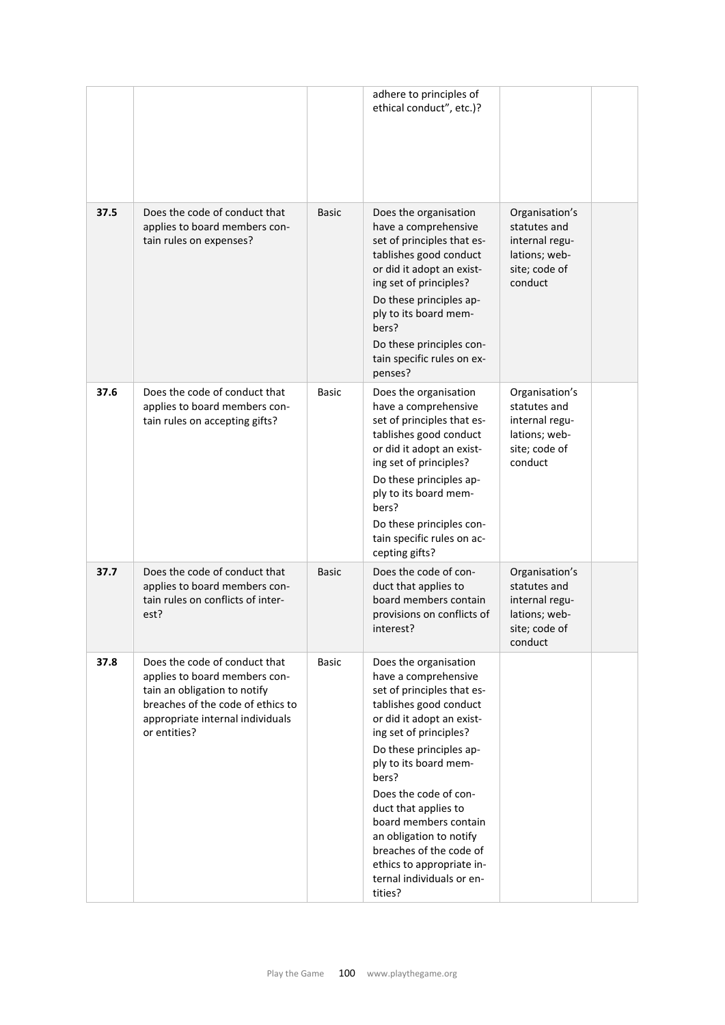|      |                                                                                                                                                                                         |              | adhere to principles of<br>ethical conduct", etc.)?                                                                                                                                                                                                                                                                                                                                                                            |                                                                                               |  |
|------|-----------------------------------------------------------------------------------------------------------------------------------------------------------------------------------------|--------------|--------------------------------------------------------------------------------------------------------------------------------------------------------------------------------------------------------------------------------------------------------------------------------------------------------------------------------------------------------------------------------------------------------------------------------|-----------------------------------------------------------------------------------------------|--|
| 37.5 | Does the code of conduct that<br>applies to board members con-<br>tain rules on expenses?                                                                                               | <b>Basic</b> | Does the organisation<br>have a comprehensive<br>set of principles that es-<br>tablishes good conduct<br>or did it adopt an exist-<br>ing set of principles?<br>Do these principles ap-<br>ply to its board mem-<br>bers?<br>Do these principles con-<br>tain specific rules on ex-<br>penses?                                                                                                                                 | Organisation's<br>statutes and<br>internal regu-<br>lations; web-<br>site; code of<br>conduct |  |
| 37.6 | Does the code of conduct that<br>applies to board members con-<br>tain rules on accepting gifts?                                                                                        | <b>Basic</b> | Does the organisation<br>have a comprehensive<br>set of principles that es-<br>tablishes good conduct<br>or did it adopt an exist-<br>ing set of principles?<br>Do these principles ap-<br>ply to its board mem-<br>bers?<br>Do these principles con-<br>tain specific rules on ac-<br>cepting gifts?                                                                                                                          | Organisation's<br>statutes and<br>internal regu-<br>lations; web-<br>site; code of<br>conduct |  |
| 37.7 | Does the code of conduct that<br>applies to board members con-<br>tain rules on conflicts of inter-<br>est?                                                                             | <b>Basic</b> | Does the code of con-<br>duct that applies to<br>board members contain<br>provisions on conflicts of<br>interest?                                                                                                                                                                                                                                                                                                              | Organisation's<br>statutes and<br>internal regu-<br>lations; web-<br>site; code of<br>conduct |  |
| 37.8 | Does the code of conduct that<br>applies to board members con-<br>tain an obligation to notify<br>breaches of the code of ethics to<br>appropriate internal individuals<br>or entities? | <b>Basic</b> | Does the organisation<br>have a comprehensive<br>set of principles that es-<br>tablishes good conduct<br>or did it adopt an exist-<br>ing set of principles?<br>Do these principles ap-<br>ply to its board mem-<br>bers?<br>Does the code of con-<br>duct that applies to<br>board members contain<br>an obligation to notify<br>breaches of the code of<br>ethics to appropriate in-<br>ternal individuals or en-<br>tities? |                                                                                               |  |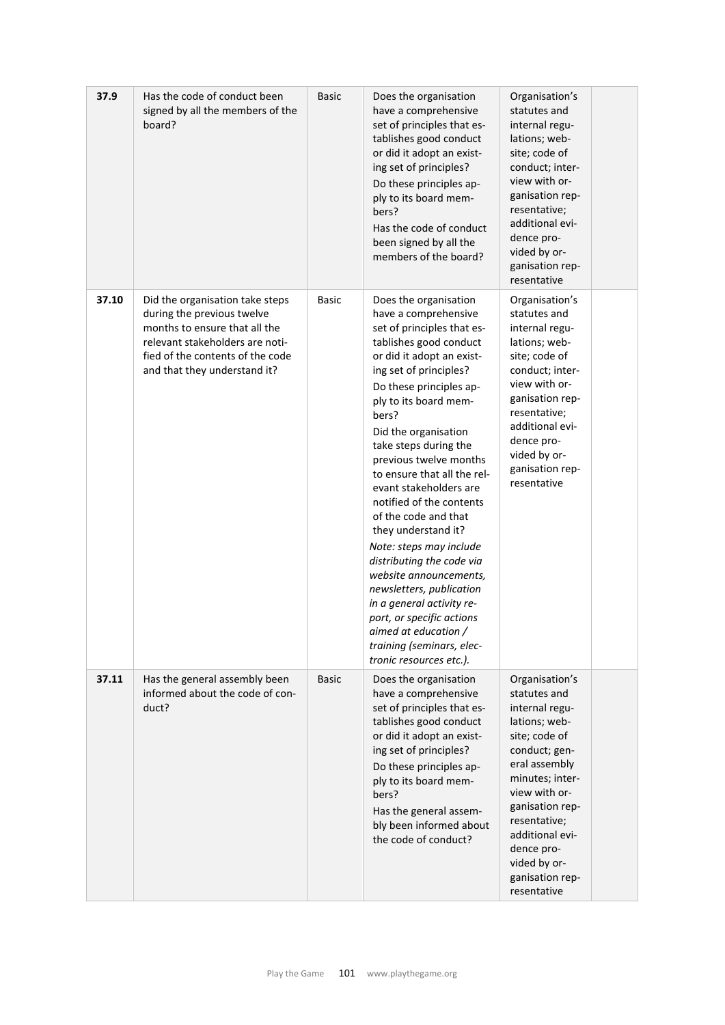| 37.9  | Has the code of conduct been<br>signed by all the members of the<br>board?                                                                                                                            | <b>Basic</b> | Does the organisation<br>have a comprehensive<br>set of principles that es-<br>tablishes good conduct<br>or did it adopt an exist-<br>ing set of principles?<br>Do these principles ap-<br>ply to its board mem-<br>bers?<br>Has the code of conduct<br>been signed by all the<br>members of the board?                                                                                                                                                                                                                                                                                                                                                                                          | Organisation's<br>statutes and<br>internal regu-<br>lations; web-<br>site; code of<br>conduct; inter-<br>view with or-<br>ganisation rep-<br>resentative;<br>additional evi-<br>dence pro-<br>vided by or-<br>ganisation rep-<br>resentative                                   |  |
|-------|-------------------------------------------------------------------------------------------------------------------------------------------------------------------------------------------------------|--------------|--------------------------------------------------------------------------------------------------------------------------------------------------------------------------------------------------------------------------------------------------------------------------------------------------------------------------------------------------------------------------------------------------------------------------------------------------------------------------------------------------------------------------------------------------------------------------------------------------------------------------------------------------------------------------------------------------|--------------------------------------------------------------------------------------------------------------------------------------------------------------------------------------------------------------------------------------------------------------------------------|--|
| 37.10 | Did the organisation take steps<br>during the previous twelve<br>months to ensure that all the<br>relevant stakeholders are noti-<br>fied of the contents of the code<br>and that they understand it? | <b>Basic</b> | Does the organisation<br>have a comprehensive<br>set of principles that es-<br>tablishes good conduct<br>or did it adopt an exist-<br>ing set of principles?<br>Do these principles ap-<br>ply to its board mem-<br>bers?<br>Did the organisation<br>take steps during the<br>previous twelve months<br>to ensure that all the rel-<br>evant stakeholders are<br>notified of the contents<br>of the code and that<br>they understand it?<br>Note: steps may include<br>distributing the code via<br>website announcements,<br>newsletters, publication<br>in a general activity re-<br>port, or specific actions<br>aimed at education /<br>training (seminars, elec-<br>tronic resources etc.). | Organisation's<br>statutes and<br>internal regu-<br>lations; web-<br>site; code of<br>conduct; inter-<br>view with or-<br>ganisation rep-<br>resentative;<br>additional evi-<br>dence pro-<br>vided by or-<br>ganisation rep-<br>resentative                                   |  |
| 37.11 | Has the general assembly been<br>informed about the code of con-<br>duct?                                                                                                                             | <b>Basic</b> | Does the organisation<br>have a comprehensive<br>set of principles that es-<br>tablishes good conduct<br>or did it adopt an exist-<br>ing set of principles?<br>Do these principles ap-<br>ply to its board mem-<br>bers?<br>Has the general assem-<br>bly been informed about<br>the code of conduct?                                                                                                                                                                                                                                                                                                                                                                                           | Organisation's<br>statutes and<br>internal regu-<br>lations; web-<br>site; code of<br>conduct; gen-<br>eral assembly<br>minutes; inter-<br>view with or-<br>ganisation rep-<br>resentative;<br>additional evi-<br>dence pro-<br>vided by or-<br>ganisation rep-<br>resentative |  |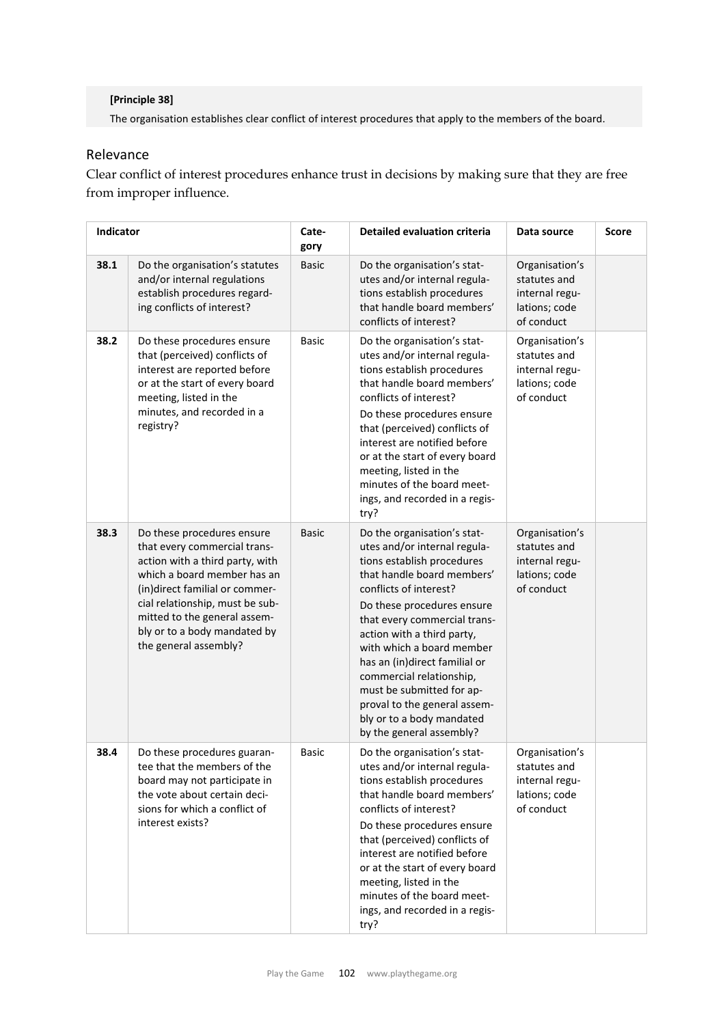### **[Principle 38]**

The organisation establishes clear conflict of interest procedures that apply to the members of the board.

# Relevance

Clear conflict of interest procedures enhance trust in decisions by making sure that they are free from improper influence.

| Indicator |                                                                                                                                                                                                                                                                                            | Cate-<br>gory | <b>Detailed evaluation criteria</b>                                                                                                                                                                                                                                                                                                                                                                                                                           | Data source                                                                     | Score |
|-----------|--------------------------------------------------------------------------------------------------------------------------------------------------------------------------------------------------------------------------------------------------------------------------------------------|---------------|---------------------------------------------------------------------------------------------------------------------------------------------------------------------------------------------------------------------------------------------------------------------------------------------------------------------------------------------------------------------------------------------------------------------------------------------------------------|---------------------------------------------------------------------------------|-------|
| 38.1      | Do the organisation's statutes<br>and/or internal regulations<br>establish procedures regard-<br>ing conflicts of interest?                                                                                                                                                                | <b>Basic</b>  | Do the organisation's stat-<br>utes and/or internal regula-<br>tions establish procedures<br>that handle board members'<br>conflicts of interest?                                                                                                                                                                                                                                                                                                             | Organisation's<br>statutes and<br>internal regu-<br>lations; code<br>of conduct |       |
| 38.2      | Do these procedures ensure<br>that (perceived) conflicts of<br>interest are reported before<br>or at the start of every board<br>meeting, listed in the<br>minutes, and recorded in a<br>registry?                                                                                         | <b>Basic</b>  | Do the organisation's stat-<br>utes and/or internal regula-<br>tions establish procedures<br>that handle board members'<br>conflicts of interest?<br>Do these procedures ensure<br>that (perceived) conflicts of<br>interest are notified before<br>or at the start of every board<br>meeting, listed in the<br>minutes of the board meet-<br>ings, and recorded in a regis-<br>try?                                                                          | Organisation's<br>statutes and<br>internal regu-<br>lations; code<br>of conduct |       |
| 38.3      | Do these procedures ensure<br>that every commercial trans-<br>action with a third party, with<br>which a board member has an<br>(in)direct familial or commer-<br>cial relationship, must be sub-<br>mitted to the general assem-<br>bly or to a body mandated by<br>the general assembly? | <b>Basic</b>  | Do the organisation's stat-<br>utes and/or internal regula-<br>tions establish procedures<br>that handle board members'<br>conflicts of interest?<br>Do these procedures ensure<br>that every commercial trans-<br>action with a third party,<br>with which a board member<br>has an (in)direct familial or<br>commercial relationship,<br>must be submitted for ap-<br>proval to the general assem-<br>bly or to a body mandated<br>by the general assembly? | Organisation's<br>statutes and<br>internal regu-<br>lations; code<br>of conduct |       |
| 38.4      | Do these procedures guaran-<br>tee that the members of the<br>board may not participate in<br>the vote about certain deci-<br>sions for which a conflict of<br>interest exists?                                                                                                            | Basic         | Do the organisation's stat-<br>utes and/or internal regula-<br>tions establish procedures<br>that handle board members'<br>conflicts of interest?<br>Do these procedures ensure<br>that (perceived) conflicts of<br>interest are notified before<br>or at the start of every board<br>meeting, listed in the<br>minutes of the board meet-<br>ings, and recorded in a regis-<br>try?                                                                          | Organisation's<br>statutes and<br>internal regu-<br>lations; code<br>of conduct |       |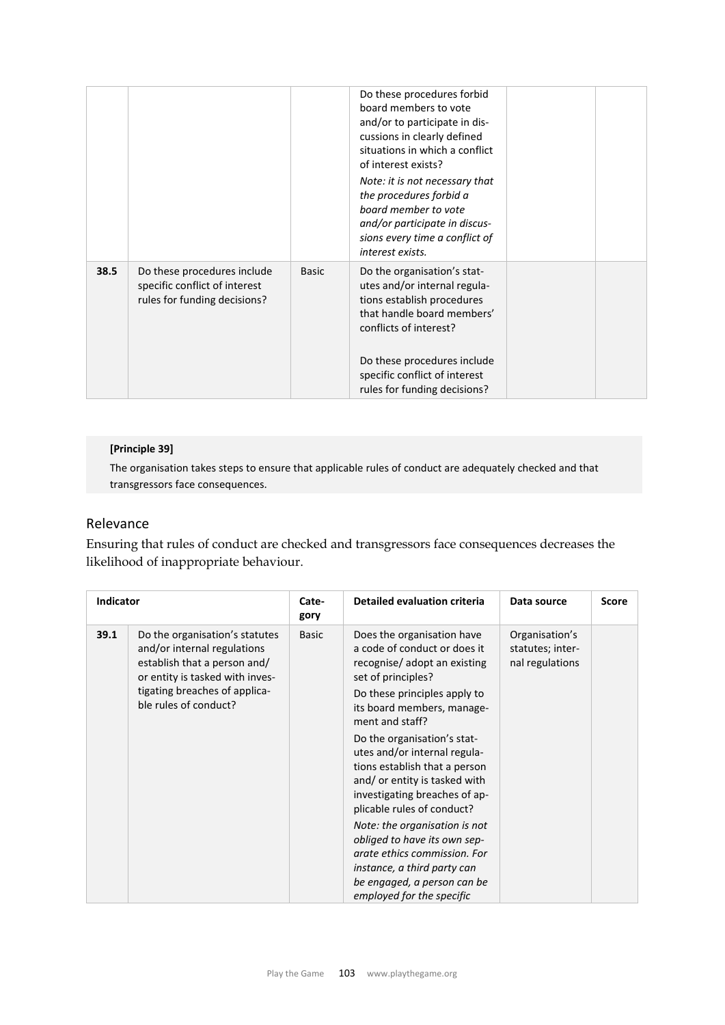|      |                                                                                              |              | Do these procedures forbid<br>board members to vote<br>and/or to participate in dis-<br>cussions in clearly defined<br>situations in which a conflict<br>of interest exists?<br>Note: it is not necessary that<br>the procedures forbid a<br>board member to vote<br>and/or participate in discus-<br>sions every time a conflict of<br>interest exists. |  |
|------|----------------------------------------------------------------------------------------------|--------------|----------------------------------------------------------------------------------------------------------------------------------------------------------------------------------------------------------------------------------------------------------------------------------------------------------------------------------------------------------|--|
| 38.5 | Do these procedures include<br>specific conflict of interest<br>rules for funding decisions? | <b>Basic</b> | Do the organisation's stat-<br>utes and/or internal regula-<br>tions establish procedures<br>that handle board members'<br>conflicts of interest?<br>Do these procedures include<br>specific conflict of interest<br>rules for funding decisions?                                                                                                        |  |

### **[Principle 39]**

The organisation takes steps to ensure that applicable rules of conduct are adequately checked and that transgressors face consequences.

## Relevance

Ensuring that rules of conduct are checked and transgressors face consequences decreases the likelihood of inappropriate behaviour.

| <b>Indicator</b> |                                                                                                                                                                                            | Cate-<br>gory | Detailed evaluation criteria                                                                                                                                                                                                                                                                                                                                                                                                                                                                                                                                                                | Data source                                           | <b>Score</b> |
|------------------|--------------------------------------------------------------------------------------------------------------------------------------------------------------------------------------------|---------------|---------------------------------------------------------------------------------------------------------------------------------------------------------------------------------------------------------------------------------------------------------------------------------------------------------------------------------------------------------------------------------------------------------------------------------------------------------------------------------------------------------------------------------------------------------------------------------------------|-------------------------------------------------------|--------------|
| 39.1             | Do the organisation's statutes<br>and/or internal regulations<br>establish that a person and/<br>or entity is tasked with inves-<br>tigating breaches of applica-<br>ble rules of conduct? | <b>Basic</b>  | Does the organisation have<br>a code of conduct or does it<br>recognise/adopt an existing<br>set of principles?<br>Do these principles apply to<br>its board members, manage-<br>ment and staff?<br>Do the organisation's stat-<br>utes and/or internal regula-<br>tions establish that a person<br>and/or entity is tasked with<br>investigating breaches of ap-<br>plicable rules of conduct?<br>Note: the organisation is not<br>obliged to have its own sep-<br>arate ethics commission. For<br>instance, a third party can<br>be engaged, a person can be<br>employed for the specific | Organisation's<br>statutes; inter-<br>nal regulations |              |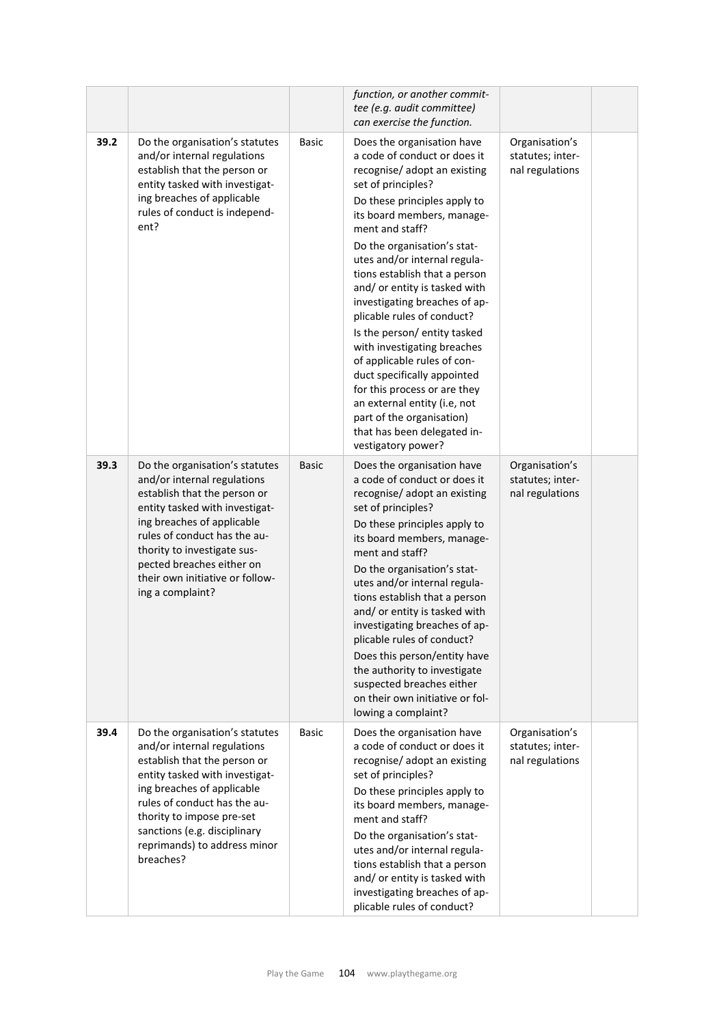|      |                                                                                                                                                                                                                                                                                                                  |              | function, or another commit-<br>tee (e.g. audit committee)<br>can exercise the function.                                                                                                                                                                                                                                                                                                                                                                                                                                                                                                                                                                                         |                                                       |  |
|------|------------------------------------------------------------------------------------------------------------------------------------------------------------------------------------------------------------------------------------------------------------------------------------------------------------------|--------------|----------------------------------------------------------------------------------------------------------------------------------------------------------------------------------------------------------------------------------------------------------------------------------------------------------------------------------------------------------------------------------------------------------------------------------------------------------------------------------------------------------------------------------------------------------------------------------------------------------------------------------------------------------------------------------|-------------------------------------------------------|--|
| 39.2 | Do the organisation's statutes<br>and/or internal regulations<br>establish that the person or<br>entity tasked with investigat-<br>ing breaches of applicable<br>rules of conduct is independ-<br>ent?                                                                                                           | <b>Basic</b> | Does the organisation have<br>a code of conduct or does it<br>recognise/ adopt an existing<br>set of principles?<br>Do these principles apply to<br>its board members, manage-<br>ment and staff?<br>Do the organisation's stat-<br>utes and/or internal regula-<br>tions establish that a person<br>and/ or entity is tasked with<br>investigating breaches of ap-<br>plicable rules of conduct?<br>Is the person/ entity tasked<br>with investigating breaches<br>of applicable rules of con-<br>duct specifically appointed<br>for this process or are they<br>an external entity (i.e, not<br>part of the organisation)<br>that has been delegated in-<br>vestigatory power? | Organisation's<br>statutes; inter-<br>nal regulations |  |
| 39.3 | Do the organisation's statutes<br>and/or internal regulations<br>establish that the person or<br>entity tasked with investigat-<br>ing breaches of applicable<br>rules of conduct has the au-<br>thority to investigate sus-<br>pected breaches either on<br>their own initiative or follow-<br>ing a complaint? | <b>Basic</b> | Does the organisation have<br>a code of conduct or does it<br>recognise/ adopt an existing<br>set of principles?<br>Do these principles apply to<br>its board members, manage-<br>ment and staff?<br>Do the organisation's stat-<br>utes and/or internal regula-<br>tions establish that a person<br>and/ or entity is tasked with<br>investigating breaches of ap-<br>plicable rules of conduct?<br>Does this person/entity have<br>the authority to investigate<br>suspected breaches either<br>on their own initiative or fol-<br>lowing a complaint?                                                                                                                         | Organisation's<br>statutes; inter-<br>nal regulations |  |
| 39.4 | Do the organisation's statutes<br>and/or internal regulations<br>establish that the person or<br>entity tasked with investigat-<br>ing breaches of applicable<br>rules of conduct has the au-<br>thority to impose pre-set<br>sanctions (e.g. disciplinary<br>reprimands) to address minor<br>breaches?          | <b>Basic</b> | Does the organisation have<br>a code of conduct or does it<br>recognise/ adopt an existing<br>set of principles?<br>Do these principles apply to<br>its board members, manage-<br>ment and staff?<br>Do the organisation's stat-<br>utes and/or internal regula-<br>tions establish that a person<br>and/ or entity is tasked with<br>investigating breaches of ap-<br>plicable rules of conduct?                                                                                                                                                                                                                                                                                | Organisation's<br>statutes; inter-<br>nal regulations |  |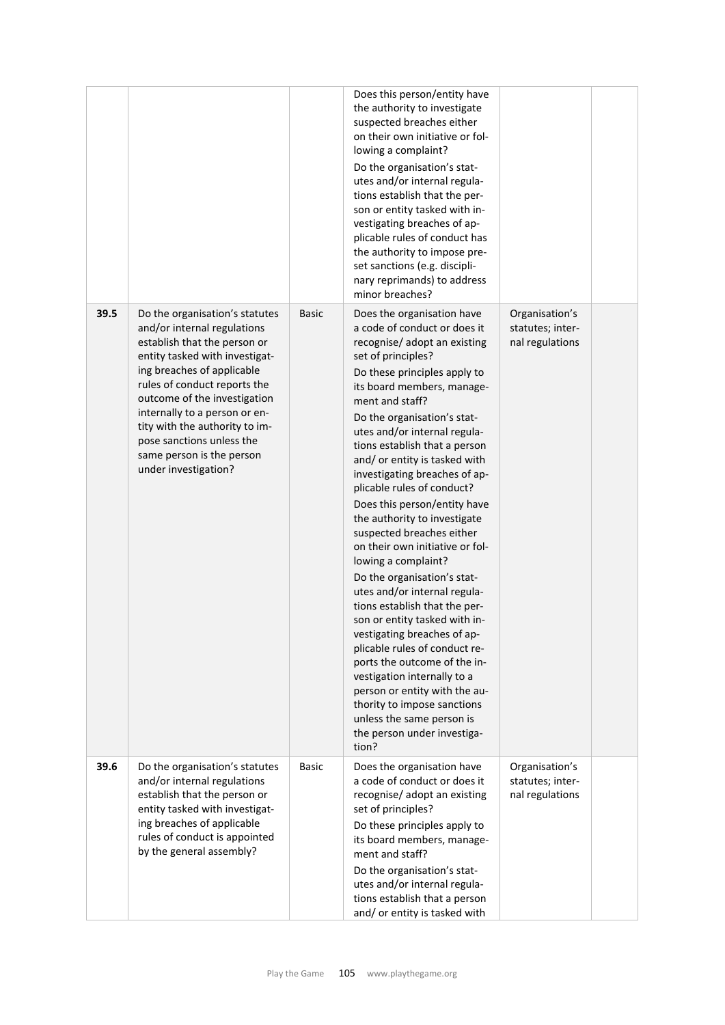|      |                                                                                                                                                                                                                                                                                                                                                                                    |              | Does this person/entity have<br>the authority to investigate<br>suspected breaches either<br>on their own initiative or fol-<br>lowing a complaint?<br>Do the organisation's stat-<br>utes and/or internal regula-<br>tions establish that the per-<br>son or entity tasked with in-<br>vestigating breaches of ap-<br>plicable rules of conduct has<br>the authority to impose pre-<br>set sanctions (e.g. discipli-<br>nary reprimands) to address<br>minor breaches?                                                                                                                                                                                                                                                                                                                                                                                                                                                                                       |                                                       |  |
|------|------------------------------------------------------------------------------------------------------------------------------------------------------------------------------------------------------------------------------------------------------------------------------------------------------------------------------------------------------------------------------------|--------------|---------------------------------------------------------------------------------------------------------------------------------------------------------------------------------------------------------------------------------------------------------------------------------------------------------------------------------------------------------------------------------------------------------------------------------------------------------------------------------------------------------------------------------------------------------------------------------------------------------------------------------------------------------------------------------------------------------------------------------------------------------------------------------------------------------------------------------------------------------------------------------------------------------------------------------------------------------------|-------------------------------------------------------|--|
| 39.5 | Do the organisation's statutes<br>and/or internal regulations<br>establish that the person or<br>entity tasked with investigat-<br>ing breaches of applicable<br>rules of conduct reports the<br>outcome of the investigation<br>internally to a person or en-<br>tity with the authority to im-<br>pose sanctions unless the<br>same person is the person<br>under investigation? | <b>Basic</b> | Does the organisation have<br>a code of conduct or does it<br>recognise/ adopt an existing<br>set of principles?<br>Do these principles apply to<br>its board members, manage-<br>ment and staff?<br>Do the organisation's stat-<br>utes and/or internal regula-<br>tions establish that a person<br>and/ or entity is tasked with<br>investigating breaches of ap-<br>plicable rules of conduct?<br>Does this person/entity have<br>the authority to investigate<br>suspected breaches either<br>on their own initiative or fol-<br>lowing a complaint?<br>Do the organisation's stat-<br>utes and/or internal regula-<br>tions establish that the per-<br>son or entity tasked with in-<br>vestigating breaches of ap-<br>plicable rules of conduct re-<br>ports the outcome of the in-<br>vestigation internally to a<br>person or entity with the au-<br>thority to impose sanctions<br>unless the same person is<br>the person under investiga-<br>tion? | Organisation's<br>statutes; inter-<br>nal regulations |  |
| 39.6 | Do the organisation's statutes<br>and/or internal regulations<br>establish that the person or<br>entity tasked with investigat-<br>ing breaches of applicable<br>rules of conduct is appointed<br>by the general assembly?                                                                                                                                                         | Basic        | Does the organisation have<br>a code of conduct or does it<br>recognise/ adopt an existing<br>set of principles?<br>Do these principles apply to<br>its board members, manage-<br>ment and staff?<br>Do the organisation's stat-<br>utes and/or internal regula-<br>tions establish that a person<br>and/ or entity is tasked with                                                                                                                                                                                                                                                                                                                                                                                                                                                                                                                                                                                                                            | Organisation's<br>statutes; inter-<br>nal regulations |  |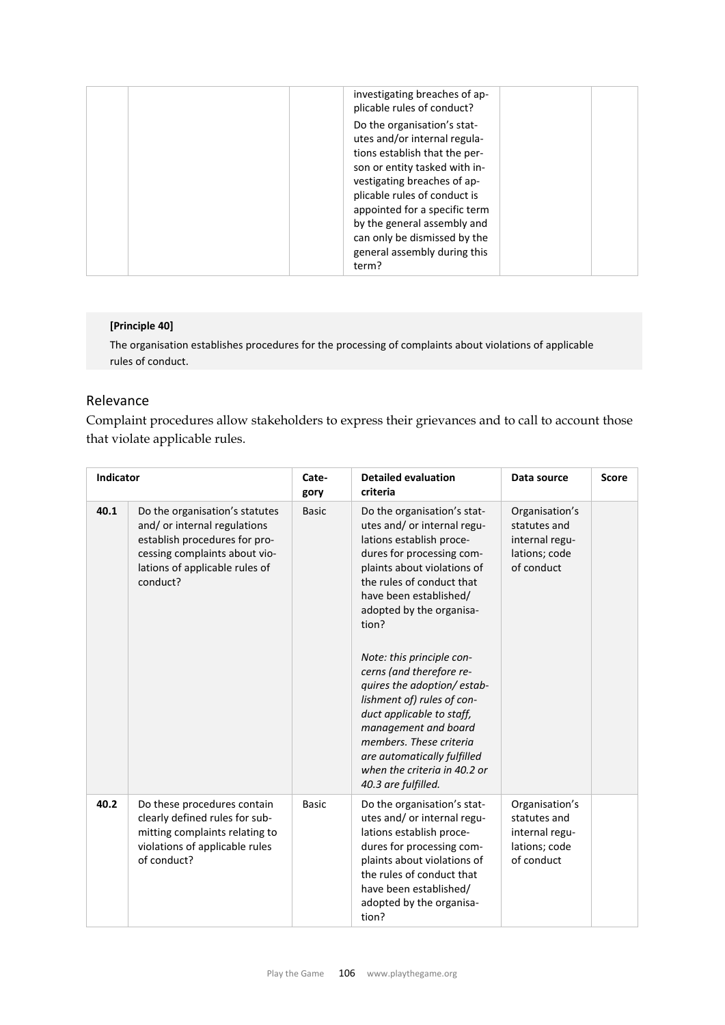| investigating breaches of ap-<br>plicable rules of conduct?                                                                                                                                                                                                                                                                           |  |
|---------------------------------------------------------------------------------------------------------------------------------------------------------------------------------------------------------------------------------------------------------------------------------------------------------------------------------------|--|
| Do the organisation's stat-<br>utes and/or internal regula-<br>tions establish that the per-<br>son or entity tasked with in-<br>vestigating breaches of ap-<br>plicable rules of conduct is<br>appointed for a specific term<br>by the general assembly and<br>can only be dismissed by the<br>general assembly during this<br>term? |  |

#### **[Principle 40]**

The organisation establishes procedures for the processing of complaints about violations of applicable rules of conduct.

## Relevance

Complaint procedures allow stakeholders to express their grievances and to call to account those that violate applicable rules.

| <b>Indicator</b> |                                                                                                                                                                               | Cate-<br>gory | <b>Detailed evaluation</b><br>criteria                                                                                                                                                                                                                                                                                                                                                                                                                                                                                                    | Data source                                                                     | <b>Score</b> |
|------------------|-------------------------------------------------------------------------------------------------------------------------------------------------------------------------------|---------------|-------------------------------------------------------------------------------------------------------------------------------------------------------------------------------------------------------------------------------------------------------------------------------------------------------------------------------------------------------------------------------------------------------------------------------------------------------------------------------------------------------------------------------------------|---------------------------------------------------------------------------------|--------------|
| 40.1             | Do the organisation's statutes<br>and/or internal regulations<br>establish procedures for pro-<br>cessing complaints about vio-<br>lations of applicable rules of<br>conduct? | <b>Basic</b>  | Do the organisation's stat-<br>utes and/ or internal regu-<br>lations establish proce-<br>dures for processing com-<br>plaints about violations of<br>the rules of conduct that<br>have been established/<br>adopted by the organisa-<br>tion?<br>Note: this principle con-<br>cerns (and therefore re-<br>quires the adoption/estab-<br>lishment of) rules of con-<br>duct applicable to staff,<br>management and board<br>members. These criteria<br>are automatically fulfilled<br>when the criteria in 40.2 or<br>40.3 are fulfilled. | Organisation's<br>statutes and<br>internal regu-<br>lations; code<br>of conduct |              |
| 40.2             | Do these procedures contain<br>clearly defined rules for sub-<br>mitting complaints relating to<br>violations of applicable rules<br>of conduct?                              | <b>Basic</b>  | Do the organisation's stat-<br>utes and/or internal regu-<br>lations establish proce-<br>dures for processing com-<br>plaints about violations of<br>the rules of conduct that<br>have been established/<br>adopted by the organisa-<br>tion?                                                                                                                                                                                                                                                                                             | Organisation's<br>statutes and<br>internal regu-<br>lations; code<br>of conduct |              |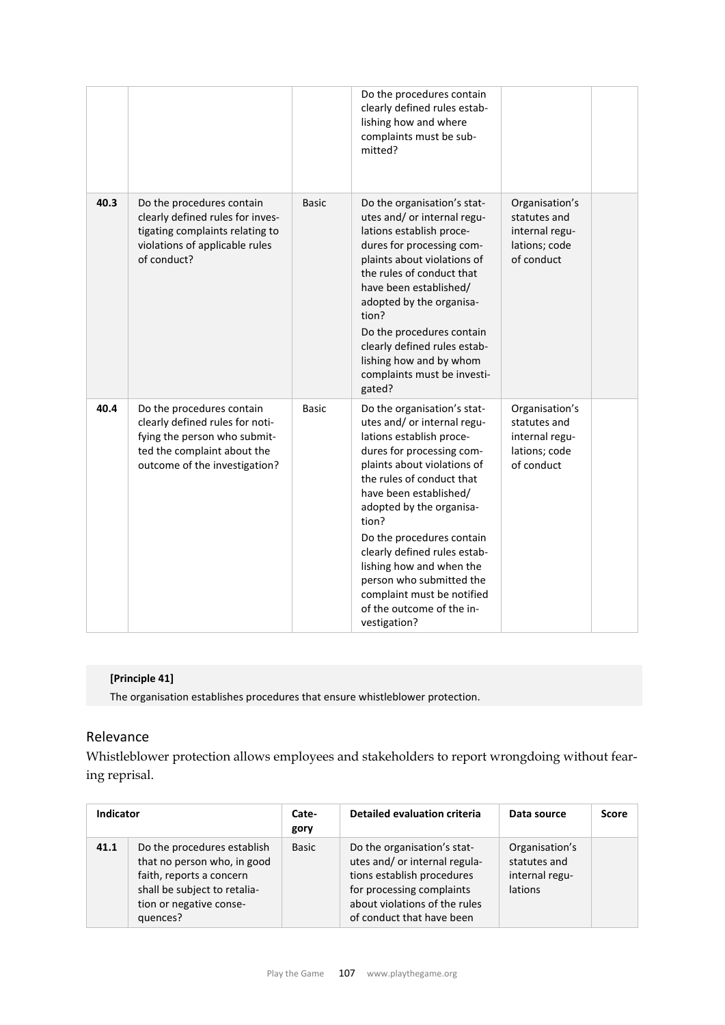|      |                                                                                                                                                              |              | Do the procedures contain<br>clearly defined rules estab-<br>lishing how and where<br>complaints must be sub-<br>mitted?                                                                                                                                                                                                                                                                                                                       |                                                                                 |  |
|------|--------------------------------------------------------------------------------------------------------------------------------------------------------------|--------------|------------------------------------------------------------------------------------------------------------------------------------------------------------------------------------------------------------------------------------------------------------------------------------------------------------------------------------------------------------------------------------------------------------------------------------------------|---------------------------------------------------------------------------------|--|
| 40.3 | Do the procedures contain<br>clearly defined rules for inves-<br>tigating complaints relating to<br>violations of applicable rules<br>of conduct?            | <b>Basic</b> | Do the organisation's stat-<br>utes and/ or internal regu-<br>lations establish proce-<br>dures for processing com-<br>plaints about violations of<br>the rules of conduct that<br>have been established/<br>adopted by the organisa-<br>tion?<br>Do the procedures contain<br>clearly defined rules estab-<br>lishing how and by whom<br>complaints must be investi-<br>gated?                                                                | Organisation's<br>statutes and<br>internal regu-<br>lations; code<br>of conduct |  |
| 40.4 | Do the procedures contain<br>clearly defined rules for noti-<br>fying the person who submit-<br>ted the complaint about the<br>outcome of the investigation? | <b>Basic</b> | Do the organisation's stat-<br>utes and/ or internal regu-<br>lations establish proce-<br>dures for processing com-<br>plaints about violations of<br>the rules of conduct that<br>have been established/<br>adopted by the organisa-<br>tion?<br>Do the procedures contain<br>clearly defined rules estab-<br>lishing how and when the<br>person who submitted the<br>complaint must be notified<br>of the outcome of the in-<br>vestigation? | Organisation's<br>statutes and<br>internal regu-<br>lations; code<br>of conduct |  |

## **[Principle 41]**

The organisation establishes procedures that ensure whistleblower protection.

## Relevance

Whistleblower protection allows employees and stakeholders to report wrongdoing without fearing reprisal.

| <b>Indicator</b> |                                                                                                                                                               | Cate-<br>gory | <b>Detailed evaluation criteria</b>                                                                                                                                                   | Data source                                                 | <b>Score</b> |
|------------------|---------------------------------------------------------------------------------------------------------------------------------------------------------------|---------------|---------------------------------------------------------------------------------------------------------------------------------------------------------------------------------------|-------------------------------------------------------------|--------------|
| 41.1             | Do the procedures establish<br>that no person who, in good<br>faith, reports a concern<br>shall be subject to retalia-<br>tion or negative conse-<br>quences? | Basic         | Do the organisation's stat-<br>utes and/ or internal regula-<br>tions establish procedures<br>for processing complaints<br>about violations of the rules<br>of conduct that have been | Organisation's<br>statutes and<br>internal regu-<br>lations |              |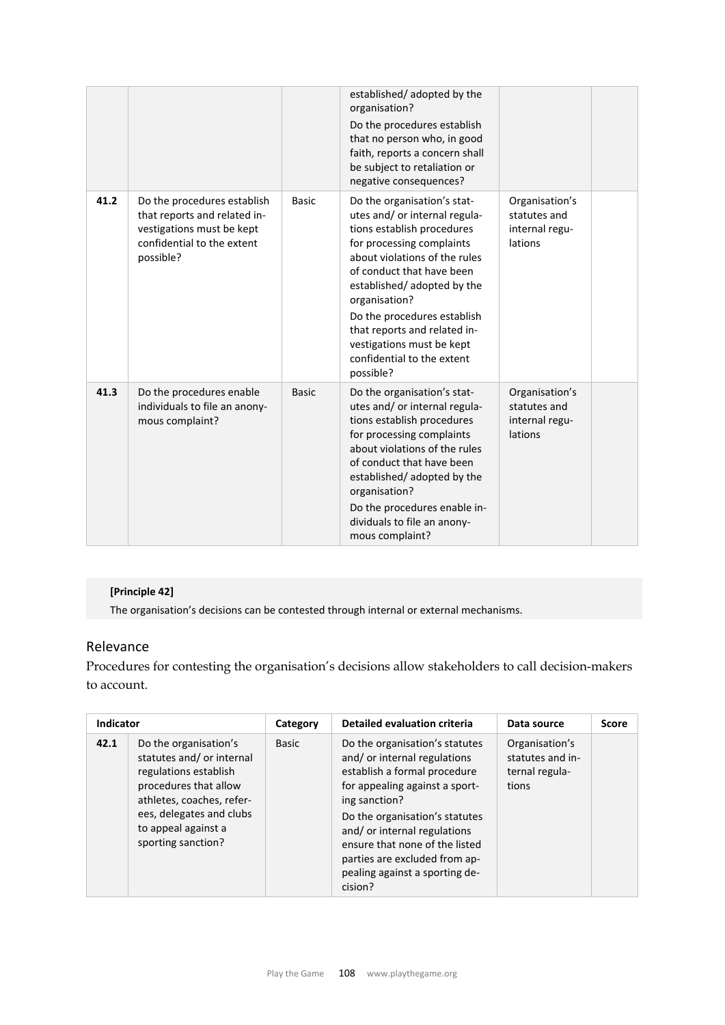|      |                                                                                                                                     |              | established/adopted by the<br>organisation?<br>Do the procedures establish<br>that no person who, in good<br>faith, reports a concern shall<br>be subject to retaliation or<br>negative consequences?                                                                                                                                                                       |                                                             |  |
|------|-------------------------------------------------------------------------------------------------------------------------------------|--------------|-----------------------------------------------------------------------------------------------------------------------------------------------------------------------------------------------------------------------------------------------------------------------------------------------------------------------------------------------------------------------------|-------------------------------------------------------------|--|
| 41.2 | Do the procedures establish<br>that reports and related in-<br>vestigations must be kept<br>confidential to the extent<br>possible? | <b>Basic</b> | Do the organisation's stat-<br>utes and/ or internal regula-<br>tions establish procedures<br>for processing complaints<br>about violations of the rules<br>of conduct that have been<br>established/adopted by the<br>organisation?<br>Do the procedures establish<br>that reports and related in-<br>vestigations must be kept<br>confidential to the extent<br>possible? | Organisation's<br>statutes and<br>internal regu-<br>lations |  |
| 41.3 | Do the procedures enable<br>individuals to file an anony-<br>mous complaint?                                                        | <b>Basic</b> | Do the organisation's stat-<br>utes and/ or internal regula-<br>tions establish procedures<br>for processing complaints<br>about violations of the rules<br>of conduct that have been<br>established/adopted by the<br>organisation?<br>Do the procedures enable in-<br>dividuals to file an anony-<br>mous complaint?                                                      | Organisation's<br>statutes and<br>internal regu-<br>lations |  |

## **[Principle 42]**

The organisation's decisions can be contested through internal or external mechanisms.

# Relevance

Procedures for contesting the organisation's decisions allow stakeholders to call decision-makers to account.

| Indicator |                                                                                                                                                                                                           | Category | <b>Detailed evaluation criteria</b>                                                                                                                                                                                                                                                                                               | Data source                                                   | <b>Score</b> |
|-----------|-----------------------------------------------------------------------------------------------------------------------------------------------------------------------------------------------------------|----------|-----------------------------------------------------------------------------------------------------------------------------------------------------------------------------------------------------------------------------------------------------------------------------------------------------------------------------------|---------------------------------------------------------------|--------------|
| 42.1      | Do the organisation's<br>statutes and/or internal<br>regulations establish<br>procedures that allow<br>athletes, coaches, refer-<br>ees, delegates and clubs<br>to appeal against a<br>sporting sanction? | Basic    | Do the organisation's statutes<br>and/or internal regulations<br>establish a formal procedure<br>for appealing against a sport-<br>ing sanction?<br>Do the organisation's statutes<br>and/or internal regulations<br>ensure that none of the listed<br>parties are excluded from ap-<br>pealing against a sporting de-<br>cision? | Organisation's<br>statutes and in-<br>ternal regula-<br>tions |              |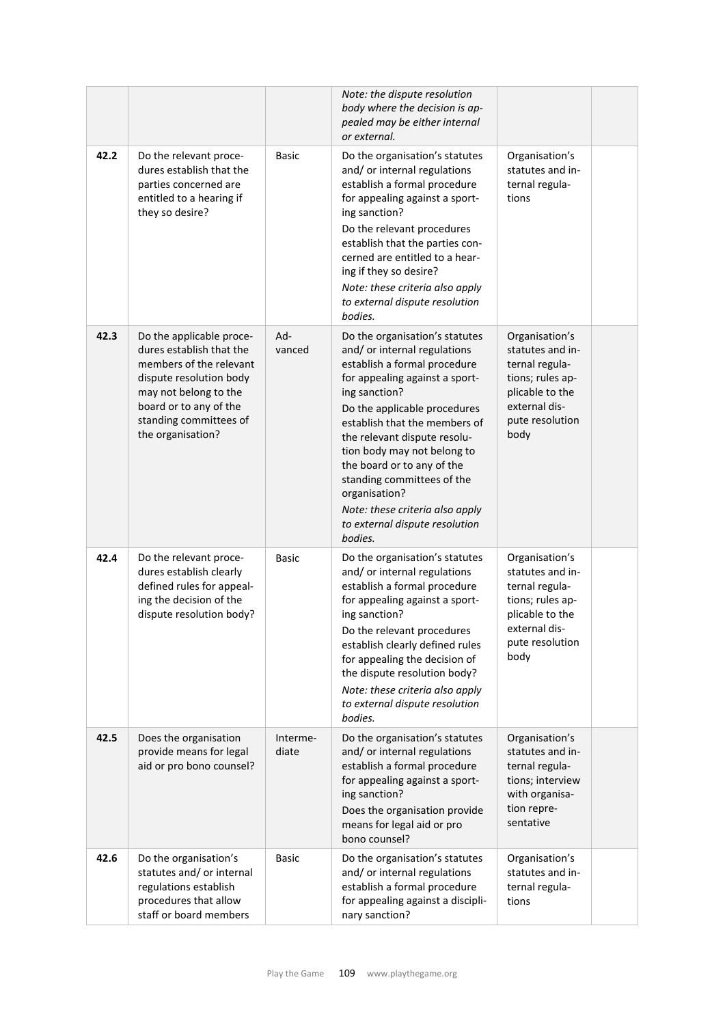|      |                                                                                                                                                                                                              |                   | Note: the dispute resolution<br>body where the decision is ap-<br>pealed may be either internal<br>or external.                                                                                                                                                                                                                                                                                                                                |                                                                                                                                         |  |
|------|--------------------------------------------------------------------------------------------------------------------------------------------------------------------------------------------------------------|-------------------|------------------------------------------------------------------------------------------------------------------------------------------------------------------------------------------------------------------------------------------------------------------------------------------------------------------------------------------------------------------------------------------------------------------------------------------------|-----------------------------------------------------------------------------------------------------------------------------------------|--|
| 42.2 | Do the relevant proce-<br>dures establish that the<br>parties concerned are<br>entitled to a hearing if<br>they so desire?                                                                                   | Basic             | Do the organisation's statutes<br>and/ or internal regulations<br>establish a formal procedure<br>for appealing against a sport-<br>ing sanction?<br>Do the relevant procedures<br>establish that the parties con-<br>cerned are entitled to a hear-<br>ing if they so desire?<br>Note: these criteria also apply<br>to external dispute resolution<br>bodies.                                                                                 | Organisation's<br>statutes and in-<br>ternal regula-<br>tions                                                                           |  |
| 42.3 | Do the applicable proce-<br>dures establish that the<br>members of the relevant<br>dispute resolution body<br>may not belong to the<br>board or to any of the<br>standing committees of<br>the organisation? | Ad-<br>vanced     | Do the organisation's statutes<br>and/ or internal regulations<br>establish a formal procedure<br>for appealing against a sport-<br>ing sanction?<br>Do the applicable procedures<br>establish that the members of<br>the relevant dispute resolu-<br>tion body may not belong to<br>the board or to any of the<br>standing committees of the<br>organisation?<br>Note: these criteria also apply<br>to external dispute resolution<br>bodies. | Organisation's<br>statutes and in-<br>ternal regula-<br>tions; rules ap-<br>plicable to the<br>external dis-<br>pute resolution<br>body |  |
| 42.4 | Do the relevant proce-<br>dures establish clearly<br>defined rules for appeal-<br>ing the decision of the<br>dispute resolution body?                                                                        | <b>Basic</b>      | Do the organisation's statutes<br>and/ or internal regulations<br>establish a formal procedure<br>for appealing against a sport-<br>ing sanction?<br>Do the relevant procedures<br>establish clearly defined rules<br>for appealing the decision of<br>the dispute resolution body?<br>Note: these criteria also apply<br>to external dispute resolution<br>bodies.                                                                            | Organisation's<br>statutes and in-<br>ternal regula-<br>tions; rules ap-<br>plicable to the<br>external dis-<br>pute resolution<br>body |  |
| 42.5 | Does the organisation<br>provide means for legal<br>aid or pro bono counsel?                                                                                                                                 | Interme-<br>diate | Do the organisation's statutes<br>and/ or internal regulations<br>establish a formal procedure<br>for appealing against a sport-<br>ing sanction?<br>Does the organisation provide<br>means for legal aid or pro<br>bono counsel?                                                                                                                                                                                                              | Organisation's<br>statutes and in-<br>ternal regula-<br>tions; interview<br>with organisa-<br>tion repre-<br>sentative                  |  |
| 42.6 | Do the organisation's<br>statutes and/ or internal<br>regulations establish<br>procedures that allow<br>staff or board members                                                                               | Basic             | Do the organisation's statutes<br>and/ or internal regulations<br>establish a formal procedure<br>for appealing against a discipli-<br>nary sanction?                                                                                                                                                                                                                                                                                          | Organisation's<br>statutes and in-<br>ternal regula-<br>tions                                                                           |  |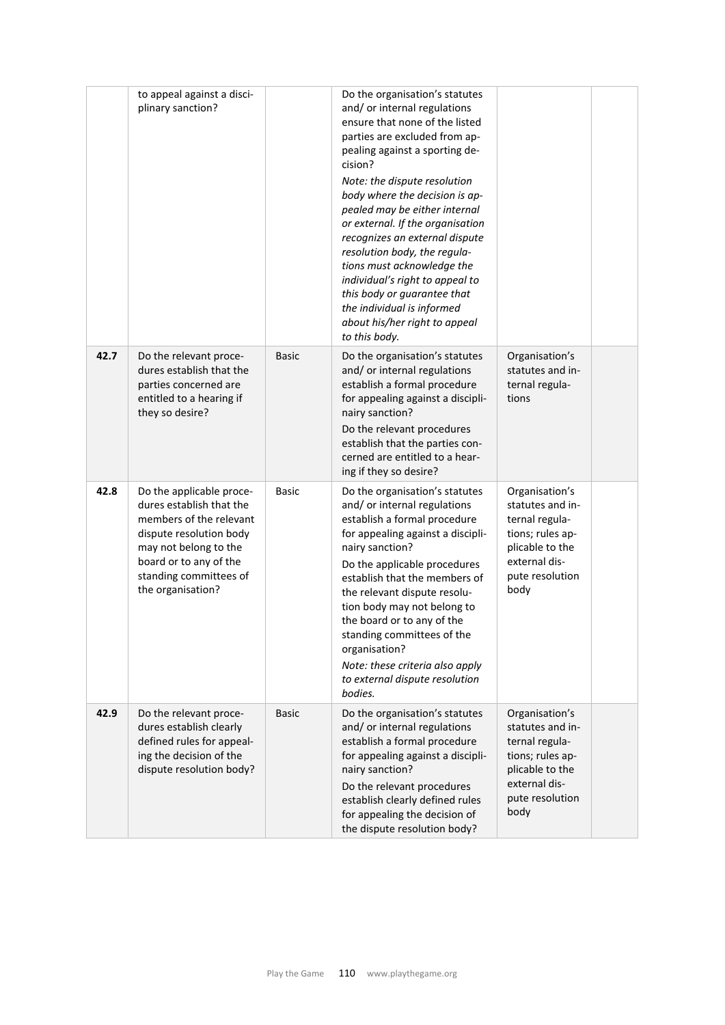|      | to appeal against a disci-<br>plinary sanction?                                                                                                                                                              |              | Do the organisation's statutes<br>and/ or internal regulations<br>ensure that none of the listed<br>parties are excluded from ap-<br>pealing against a sporting de-<br>cision?<br>Note: the dispute resolution<br>body where the decision is ap-<br>pealed may be either internal<br>or external. If the organisation<br>recognizes an external dispute<br>resolution body, the regula-<br>tions must acknowledge the<br>individual's right to appeal to<br>this body or guarantee that<br>the individual is informed<br>about his/her right to appeal<br>to this body. |                                                                                                                                         |  |
|------|--------------------------------------------------------------------------------------------------------------------------------------------------------------------------------------------------------------|--------------|-------------------------------------------------------------------------------------------------------------------------------------------------------------------------------------------------------------------------------------------------------------------------------------------------------------------------------------------------------------------------------------------------------------------------------------------------------------------------------------------------------------------------------------------------------------------------|-----------------------------------------------------------------------------------------------------------------------------------------|--|
| 42.7 | Do the relevant proce-<br>dures establish that the<br>parties concerned are<br>entitled to a hearing if<br>they so desire?                                                                                   | <b>Basic</b> | Do the organisation's statutes<br>and/ or internal regulations<br>establish a formal procedure<br>for appealing against a discipli-<br>nairy sanction?<br>Do the relevant procedures<br>establish that the parties con-<br>cerned are entitled to a hear-<br>ing if they so desire?                                                                                                                                                                                                                                                                                     | Organisation's<br>statutes and in-<br>ternal regula-<br>tions                                                                           |  |
| 42.8 | Do the applicable proce-<br>dures establish that the<br>members of the relevant<br>dispute resolution body<br>may not belong to the<br>board or to any of the<br>standing committees of<br>the organisation? | Basic        | Do the organisation's statutes<br>and/ or internal regulations<br>establish a formal procedure<br>for appealing against a discipli-<br>nairy sanction?<br>Do the applicable procedures<br>establish that the members of<br>the relevant dispute resolu-<br>tion body may not belong to<br>the board or to any of the<br>standing committees of the<br>organisation?<br>Note: these criteria also apply<br>to external dispute resolution<br>bodies.                                                                                                                     | Organisation's<br>statutes and in-<br>ternal regula-<br>tions; rules ap-<br>plicable to the<br>external dis-<br>pute resolution<br>body |  |
| 42.9 | Do the relevant proce-<br>dures establish clearly<br>defined rules for appeal-<br>ing the decision of the<br>dispute resolution body?                                                                        | <b>Basic</b> | Do the organisation's statutes<br>and/ or internal regulations<br>establish a formal procedure<br>for appealing against a discipli-<br>nairy sanction?<br>Do the relevant procedures<br>establish clearly defined rules<br>for appealing the decision of<br>the dispute resolution body?                                                                                                                                                                                                                                                                                | Organisation's<br>statutes and in-<br>ternal regula-<br>tions; rules ap-<br>plicable to the<br>external dis-<br>pute resolution<br>body |  |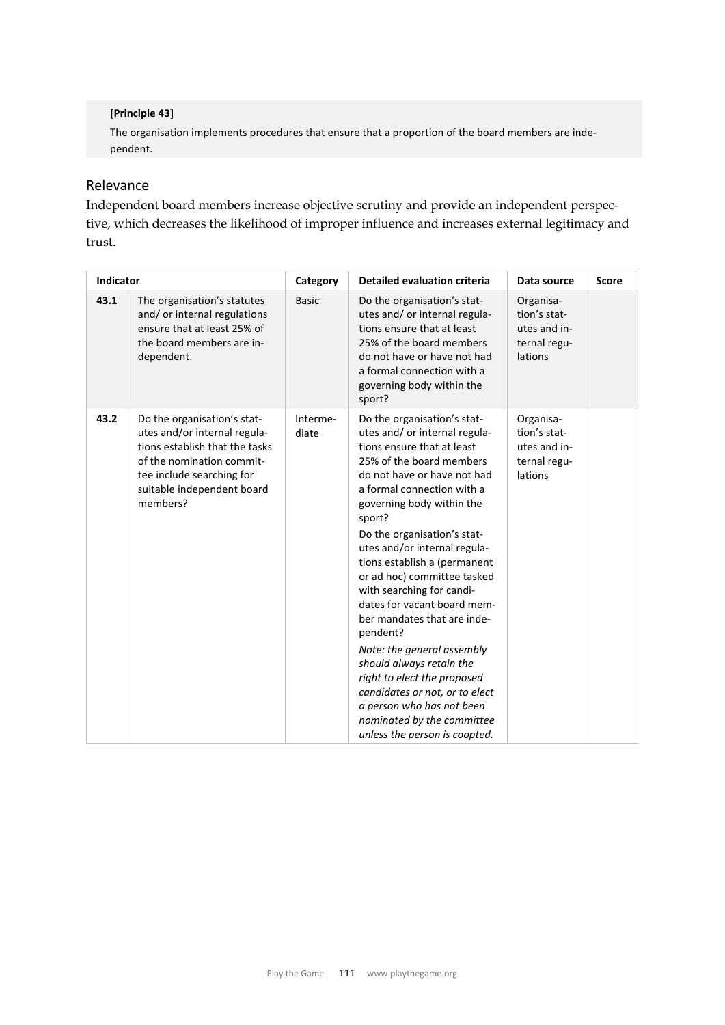### **[Principle 43]**

The organisation implements procedures that ensure that a proportion of the board members are inde‐ pendent.

### Relevance

Independent board members increase objective scrutiny and provide an independent perspective, which decreases the likelihood of improper influence and increases external legitimacy and trust.

| Indicator |                                                                                                                                                                                                   | Category          | <b>Detailed evaluation criteria</b>                                                                                                                                                                                                                                                                                                                                                                                                                                                                                                                                                                                                                                                    | Data source                                                          | <b>Score</b> |
|-----------|---------------------------------------------------------------------------------------------------------------------------------------------------------------------------------------------------|-------------------|----------------------------------------------------------------------------------------------------------------------------------------------------------------------------------------------------------------------------------------------------------------------------------------------------------------------------------------------------------------------------------------------------------------------------------------------------------------------------------------------------------------------------------------------------------------------------------------------------------------------------------------------------------------------------------------|----------------------------------------------------------------------|--------------|
| 43.1      | The organisation's statutes<br>and/or internal regulations<br>ensure that at least 25% of<br>the board members are in-<br>dependent.                                                              | <b>Basic</b>      | Do the organisation's stat-<br>utes and/or internal regula-<br>tions ensure that at least<br>25% of the board members<br>do not have or have not had<br>a formal connection with a<br>governing body within the<br>sport?                                                                                                                                                                                                                                                                                                                                                                                                                                                              | Organisa-<br>tion's stat-<br>utes and in-<br>ternal regu-<br>lations |              |
| 43.2      | Do the organisation's stat-<br>utes and/or internal regula-<br>tions establish that the tasks<br>of the nomination commit-<br>tee include searching for<br>suitable independent board<br>members? | Interme-<br>diate | Do the organisation's stat-<br>utes and/ or internal regula-<br>tions ensure that at least<br>25% of the board members<br>do not have or have not had<br>a formal connection with a<br>governing body within the<br>sport?<br>Do the organisation's stat-<br>utes and/or internal regula-<br>tions establish a (permanent<br>or ad hoc) committee tasked<br>with searching for candi-<br>dates for vacant board mem-<br>ber mandates that are inde-<br>pendent?<br>Note: the general assembly<br>should always retain the<br>right to elect the proposed<br>candidates or not, or to elect<br>a person who has not been<br>nominated by the committee<br>unless the person is coopted. | Organisa-<br>tion's stat-<br>utes and in-<br>ternal regu-<br>lations |              |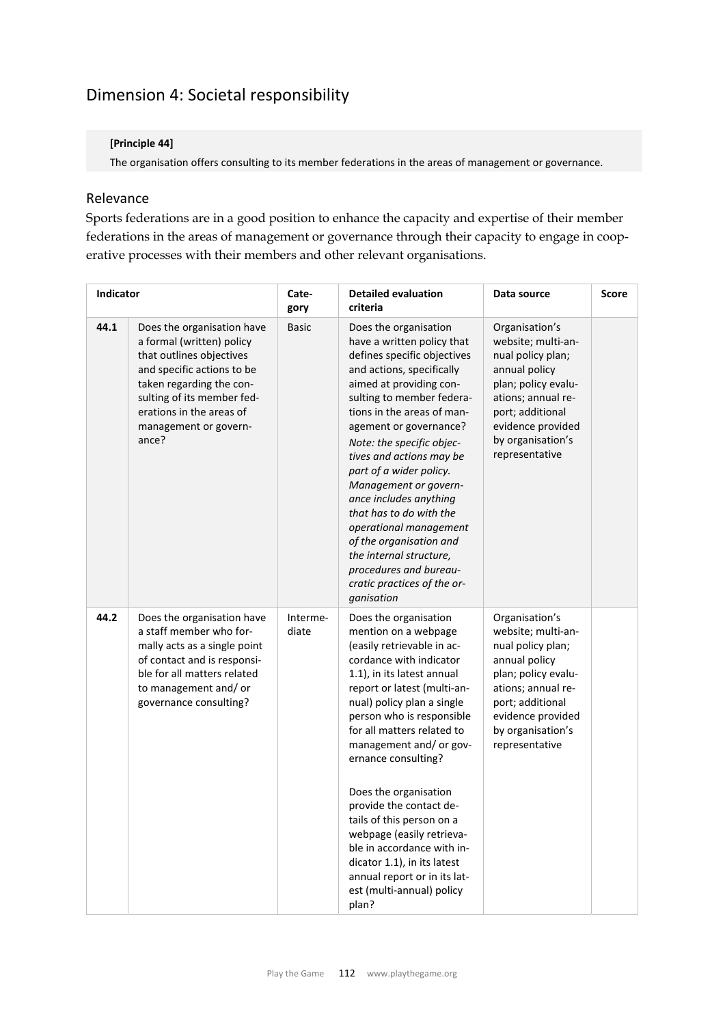# Dimension 4: Societal responsibility

### **[Principle 44]**

The organisation offers consulting to its member federations in the areas of management or governance.

## Relevance

Sports federations are in a good position to enhance the capacity and expertise of their member federations in the areas of management or governance through their capacity to engage in cooperative processes with their members and other relevant organisations.

| <b>Indicator</b> |                                                                                                                                                                                                                                           | Cate-<br>gory     | <b>Detailed evaluation</b><br>criteria                                                                                                                                                                                                                                                                                                                                                                                                                                                                                                                          | Data source                                                                                                                                                                                             | <b>Score</b> |
|------------------|-------------------------------------------------------------------------------------------------------------------------------------------------------------------------------------------------------------------------------------------|-------------------|-----------------------------------------------------------------------------------------------------------------------------------------------------------------------------------------------------------------------------------------------------------------------------------------------------------------------------------------------------------------------------------------------------------------------------------------------------------------------------------------------------------------------------------------------------------------|---------------------------------------------------------------------------------------------------------------------------------------------------------------------------------------------------------|--------------|
| 44.1             | Does the organisation have<br>a formal (written) policy<br>that outlines objectives<br>and specific actions to be<br>taken regarding the con-<br>sulting of its member fed-<br>erations in the areas of<br>management or govern-<br>ance? | <b>Basic</b>      | Does the organisation<br>have a written policy that<br>defines specific objectives<br>and actions, specifically<br>aimed at providing con-<br>sulting to member federa-<br>tions in the areas of man-<br>agement or governance?<br>Note: the specific objec-<br>tives and actions may be<br>part of a wider policy.<br>Management or govern-<br>ance includes anything<br>that has to do with the<br>operational management<br>of the organisation and<br>the internal structure,<br>procedures and bureau-<br>cratic practices of the or-<br>ganisation        | Organisation's<br>website; multi-an-<br>nual policy plan;<br>annual policy<br>plan; policy evalu-<br>ations; annual re-<br>port; additional<br>evidence provided<br>by organisation's<br>representative |              |
| 44.2             | Does the organisation have<br>a staff member who for-<br>mally acts as a single point<br>of contact and is responsi-<br>ble for all matters related<br>to management and/or<br>governance consulting?                                     | Interme-<br>diate | Does the organisation<br>mention on a webpage<br>(easily retrievable in ac-<br>cordance with indicator<br>1.1), in its latest annual<br>report or latest (multi-an-<br>nual) policy plan a single<br>person who is responsible<br>for all matters related to<br>management and/ or gov-<br>ernance consulting?<br>Does the organisation<br>provide the contact de-<br>tails of this person on a<br>webpage (easily retrieva-<br>ble in accordance with in-<br>dicator 1.1), in its latest<br>annual report or in its lat-<br>est (multi-annual) policy<br>plan? | Organisation's<br>website; multi-an-<br>nual policy plan;<br>annual policy<br>plan; policy evalu-<br>ations; annual re-<br>port; additional<br>evidence provided<br>by organisation's<br>representative |              |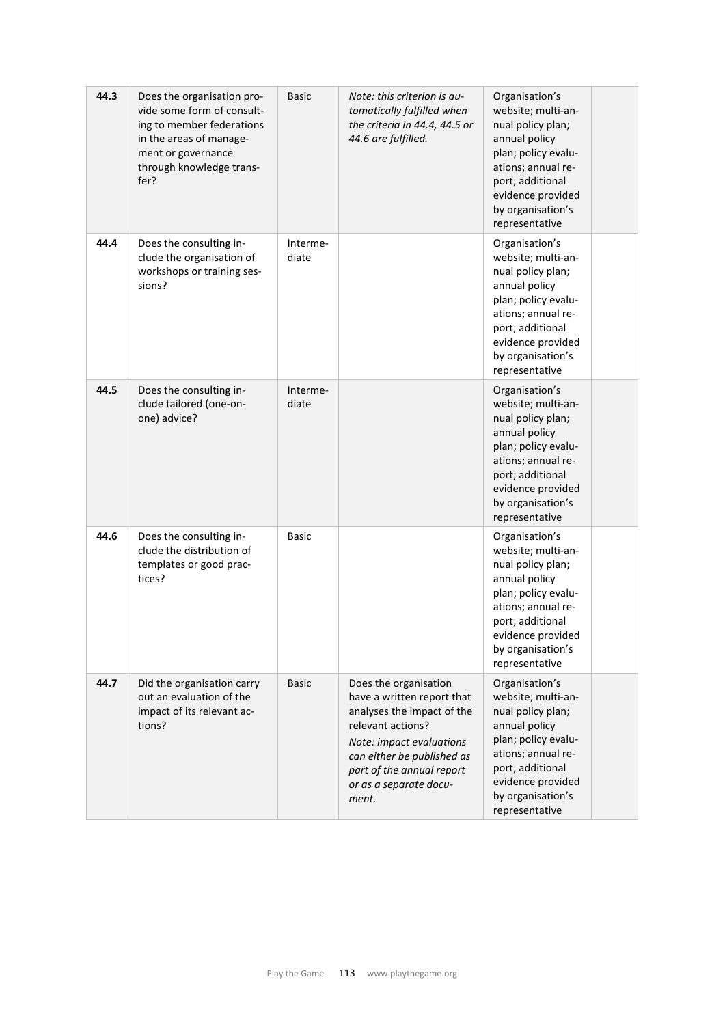| 44.3 | Does the organisation pro-<br>vide some form of consult-<br>ing to member federations<br>in the areas of manage-<br>ment or governance<br>through knowledge trans-<br>fer? | <b>Basic</b>      | Note: this criterion is au-<br>tomatically fulfilled when<br>the criteria in 44.4, 44.5 or<br>44.6 are fulfilled.                                                                                                                | Organisation's<br>website; multi-an-<br>nual policy plan;<br>annual policy<br>plan; policy evalu-<br>ations; annual re-<br>port; additional<br>evidence provided<br>by organisation's<br>representative |  |
|------|----------------------------------------------------------------------------------------------------------------------------------------------------------------------------|-------------------|----------------------------------------------------------------------------------------------------------------------------------------------------------------------------------------------------------------------------------|---------------------------------------------------------------------------------------------------------------------------------------------------------------------------------------------------------|--|
| 44.4 | Does the consulting in-<br>clude the organisation of<br>workshops or training ses-<br>sions?                                                                               | Interme-<br>diate |                                                                                                                                                                                                                                  | Organisation's<br>website; multi-an-<br>nual policy plan;<br>annual policy<br>plan; policy evalu-<br>ations; annual re-<br>port; additional<br>evidence provided<br>by organisation's<br>representative |  |
| 44.5 | Does the consulting in-<br>clude tailored (one-on-<br>one) advice?                                                                                                         | Interme-<br>diate |                                                                                                                                                                                                                                  | Organisation's<br>website; multi-an-<br>nual policy plan;<br>annual policy<br>plan; policy evalu-<br>ations; annual re-<br>port; additional<br>evidence provided<br>by organisation's<br>representative |  |
| 44.6 | Does the consulting in-<br>clude the distribution of<br>templates or good prac-<br>tices?                                                                                  | <b>Basic</b>      |                                                                                                                                                                                                                                  | Organisation's<br>website; multi-an-<br>nual policy plan;<br>annual policy<br>plan; policy evalu-<br>ations; annual re-<br>port; additional<br>evidence provided<br>by organisation's<br>representative |  |
| 44.7 | Did the organisation carry<br>out an evaluation of the<br>impact of its relevant ac-<br>tions?                                                                             | <b>Basic</b>      | Does the organisation<br>have a written report that<br>analyses the impact of the<br>relevant actions?<br>Note: impact evaluations<br>can either be published as<br>part of the annual report<br>or as a separate docu-<br>ment. | Organisation's<br>website; multi-an-<br>nual policy plan;<br>annual policy<br>plan; policy evalu-<br>ations; annual re-<br>port; additional<br>evidence provided<br>by organisation's<br>representative |  |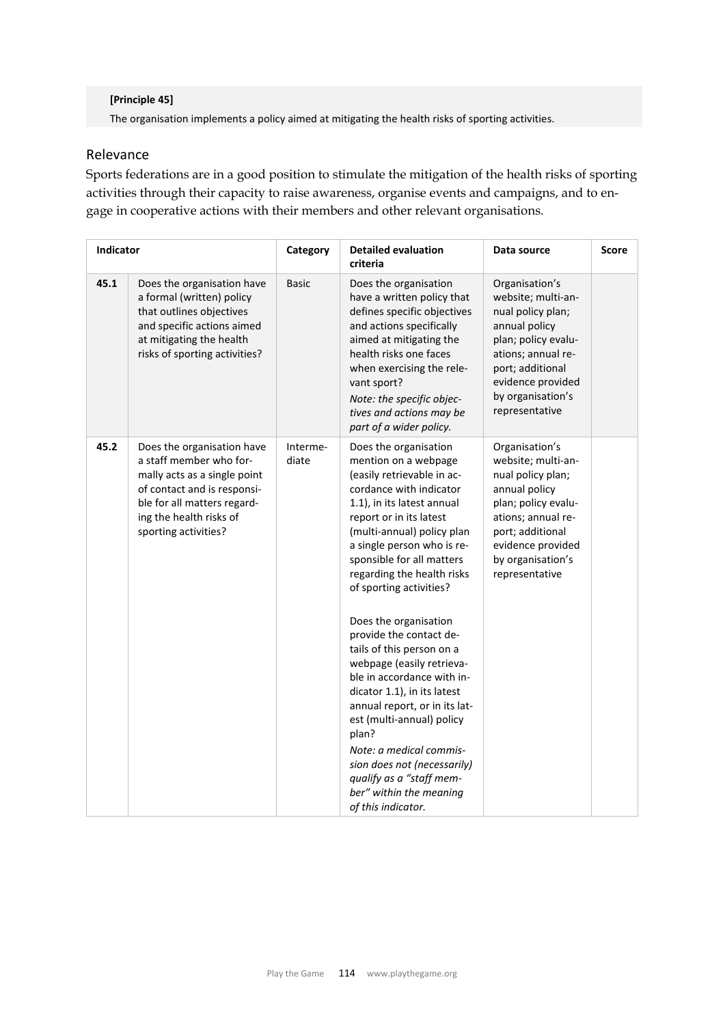### **[Principle 45]**

The organisation implements a policy aimed at mitigating the health risks of sporting activities.

## Relevance

Sports federations are in a good position to stimulate the mitigation of the health risks of sporting activities through their capacity to raise awareness, organise events and campaigns, and to engage in cooperative actions with their members and other relevant organisations.

| Indicator |                                                                                                                                                                                                        | Category          | <b>Detailed evaluation</b><br>criteria                                                                                                                                                                                                                                                                                                                       | Data source                                                                                                                                                                                             | <b>Score</b> |
|-----------|--------------------------------------------------------------------------------------------------------------------------------------------------------------------------------------------------------|-------------------|--------------------------------------------------------------------------------------------------------------------------------------------------------------------------------------------------------------------------------------------------------------------------------------------------------------------------------------------------------------|---------------------------------------------------------------------------------------------------------------------------------------------------------------------------------------------------------|--------------|
| 45.1      | Does the organisation have<br>a formal (written) policy<br>that outlines objectives<br>and specific actions aimed<br>at mitigating the health<br>risks of sporting activities?                         | <b>Basic</b>      | Does the organisation<br>have a written policy that<br>defines specific objectives<br>and actions specifically<br>aimed at mitigating the<br>health risks one faces<br>when exercising the rele-<br>vant sport?<br>Note: the specific objec-<br>tives and actions may be<br>part of a wider policy.                                                          | Organisation's<br>website; multi-an-<br>nual policy plan;<br>annual policy<br>plan; policy evalu-<br>ations; annual re-<br>port; additional<br>evidence provided<br>by organisation's<br>representative |              |
| 45.2      | Does the organisation have<br>a staff member who for-<br>mally acts as a single point<br>of contact and is responsi-<br>ble for all matters regard-<br>ing the health risks of<br>sporting activities? | Interme-<br>diate | Does the organisation<br>mention on a webpage<br>(easily retrievable in ac-<br>cordance with indicator<br>1.1), in its latest annual<br>report or in its latest<br>(multi-annual) policy plan<br>a single person who is re-<br>sponsible for all matters<br>regarding the health risks<br>of sporting activities?<br>Does the organisation                   | Organisation's<br>website; multi-an-<br>nual policy plan;<br>annual policy<br>plan; policy evalu-<br>ations; annual re-<br>port; additional<br>evidence provided<br>by organisation's<br>representative |              |
|           |                                                                                                                                                                                                        |                   | provide the contact de-<br>tails of this person on a<br>webpage (easily retrieva-<br>ble in accordance with in-<br>dicator 1.1), in its latest<br>annual report, or in its lat-<br>est (multi-annual) policy<br>plan?<br>Note: a medical commis-<br>sion does not (necessarily)<br>qualify as a "staff mem-<br>ber" within the meaning<br>of this indicator. |                                                                                                                                                                                                         |              |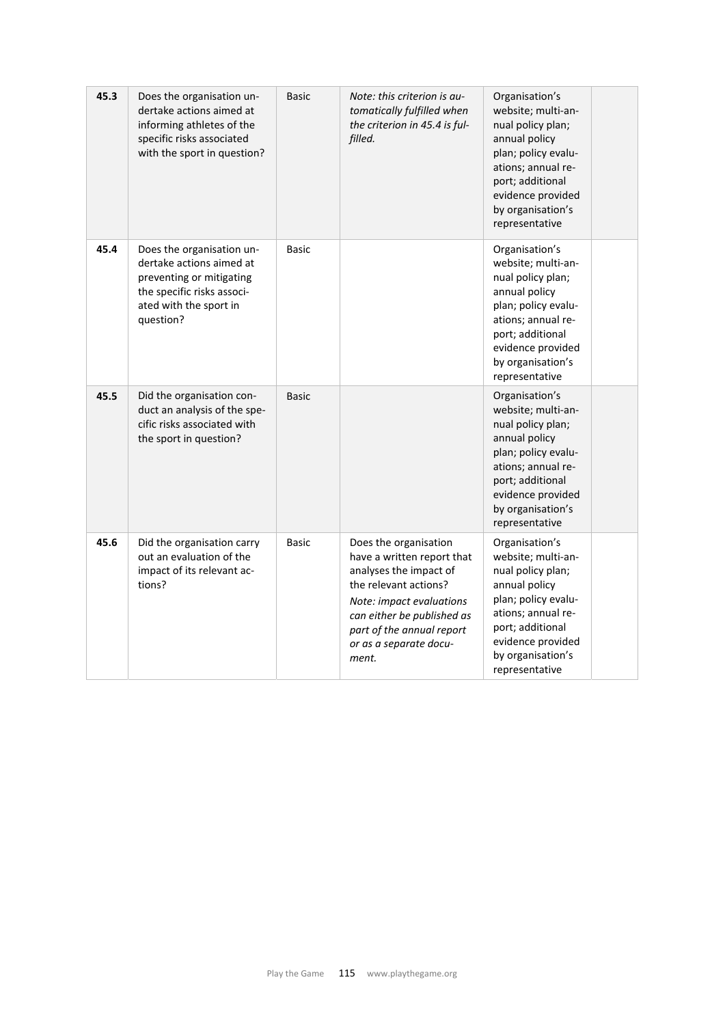| 45.3 | Does the organisation un-<br>dertake actions aimed at<br>informing athletes of the<br>specific risks associated<br>with the sport in question?         | <b>Basic</b> | Note: this criterion is au-<br>tomatically fulfilled when<br>the criterion in 45.4 is ful-<br>filled.                                                                                                                            | Organisation's<br>website; multi-an-<br>nual policy plan;<br>annual policy<br>plan; policy evalu-<br>ations; annual re-<br>port; additional<br>evidence provided<br>by organisation's<br>representative |
|------|--------------------------------------------------------------------------------------------------------------------------------------------------------|--------------|----------------------------------------------------------------------------------------------------------------------------------------------------------------------------------------------------------------------------------|---------------------------------------------------------------------------------------------------------------------------------------------------------------------------------------------------------|
| 45.4 | Does the organisation un-<br>dertake actions aimed at<br>preventing or mitigating<br>the specific risks associ-<br>ated with the sport in<br>question? | <b>Basic</b> |                                                                                                                                                                                                                                  | Organisation's<br>website; multi-an-<br>nual policy plan;<br>annual policy<br>plan; policy evalu-<br>ations; annual re-<br>port; additional<br>evidence provided<br>by organisation's<br>representative |
| 45.5 | Did the organisation con-<br>duct an analysis of the spe-<br>cific risks associated with<br>the sport in question?                                     | <b>Basic</b> |                                                                                                                                                                                                                                  | Organisation's<br>website; multi-an-<br>nual policy plan;<br>annual policy<br>plan; policy evalu-<br>ations; annual re-<br>port; additional<br>evidence provided<br>by organisation's<br>representative |
| 45.6 | Did the organisation carry<br>out an evaluation of the<br>impact of its relevant ac-<br>tions?                                                         | <b>Basic</b> | Does the organisation<br>have a written report that<br>analyses the impact of<br>the relevant actions?<br>Note: impact evaluations<br>can either be published as<br>part of the annual report<br>or as a separate docu-<br>ment. | Organisation's<br>website; multi-an-<br>nual policy plan;<br>annual policy<br>plan; policy evalu-<br>ations; annual re-<br>port; additional<br>evidence provided<br>by organisation's<br>representative |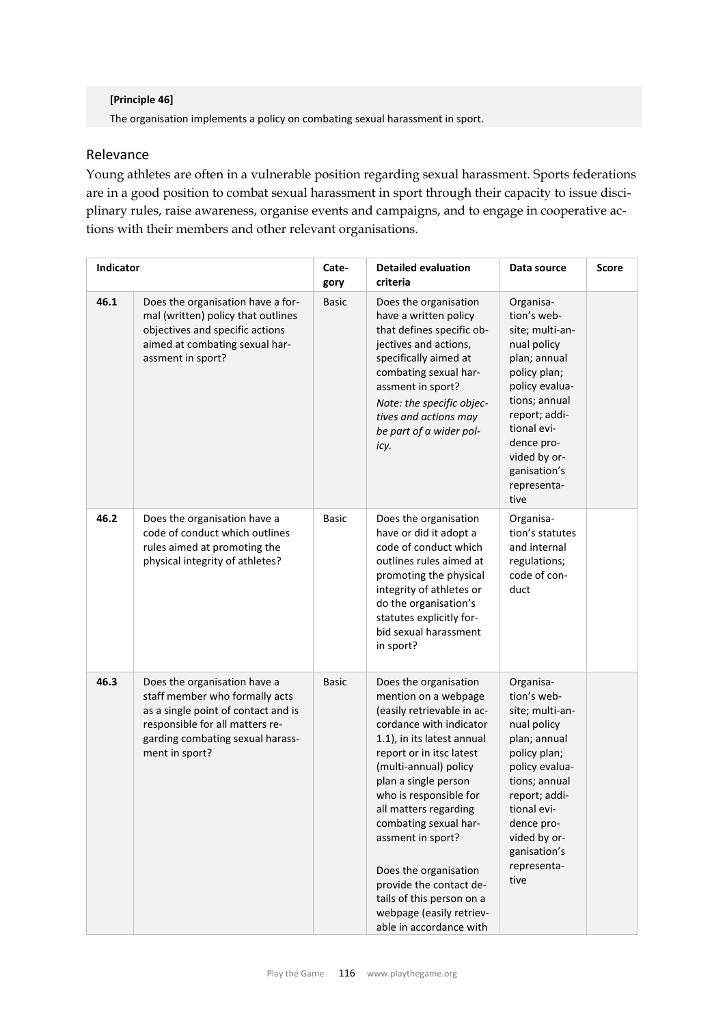### **[Principle 46]**

The organisation implements a policy on combating sexual harassment in sport.

## Relevance

Young athletes are often in a vulnerable position regarding sexual harassment. Sports federations are in a good position to combat sexual harassment in sport through their capacity to issue disciplinary rules, raise awareness, organise events and campaigns, and to engage in cooperative actions with their members and other relevant organisations.

| Indicator |                                                                                                                                                                                                | Cate-<br>gory | <b>Detailed evaluation</b><br>criteria                                                                                                                                                                                                                                                                                                                                                                                                                     | Data source                                                                                                                                                                                                                        | Score |
|-----------|------------------------------------------------------------------------------------------------------------------------------------------------------------------------------------------------|---------------|------------------------------------------------------------------------------------------------------------------------------------------------------------------------------------------------------------------------------------------------------------------------------------------------------------------------------------------------------------------------------------------------------------------------------------------------------------|------------------------------------------------------------------------------------------------------------------------------------------------------------------------------------------------------------------------------------|-------|
| 46.1      | Does the organisation have a for-<br>mal (written) policy that outlines<br>objectives and specific actions<br>aimed at combating sexual har-<br>assment in sport?                              | <b>Basic</b>  | Does the organisation<br>have a written policy<br>that defines specific ob-<br>jectives and actions,<br>specifically aimed at<br>combating sexual har-<br>assment in sport?<br>Note: the specific objec-<br>tives and actions may<br>be part of a wider pol-<br>icy.                                                                                                                                                                                       | Organisa-<br>tion's web-<br>site; multi-an-<br>nual policy<br>plan; annual<br>policy plan;<br>policy evalua-<br>tions; annual<br>report; addi-<br>tional evi-<br>dence pro-<br>vided by or-<br>ganisation's<br>representa-<br>tive |       |
| 46.2      | Does the organisation have a<br>code of conduct which outlines<br>rules aimed at promoting the<br>physical integrity of athletes?                                                              | <b>Basic</b>  | Does the organisation<br>have or did it adopt a<br>code of conduct which<br>outlines rules aimed at<br>promoting the physical<br>integrity of athletes or<br>do the organisation's<br>statutes explicitly for-<br>bid sexual harassment<br>in sport?                                                                                                                                                                                                       | Organisa-<br>tion's statutes<br>and internal<br>regulations;<br>code of con-<br>duct                                                                                                                                               |       |
| 46.3      | Does the organisation have a<br>staff member who formally acts<br>as a single point of contact and is<br>responsible for all matters re-<br>garding combating sexual harass-<br>ment in sport? | <b>Basic</b>  | Does the organisation<br>mention on a webpage<br>(easily retrievable in ac-<br>cordance with indicator<br>1.1), in its latest annual<br>report or in itsc latest<br>(multi-annual) policy<br>plan a single person<br>who is responsible for<br>all matters regarding<br>combating sexual har-<br>assment in sport?<br>Does the organisation<br>provide the contact de-<br>tails of this person on a<br>webpage (easily retriev-<br>able in accordance with | Organisa-<br>tion's web-<br>site; multi-an-<br>nual policy<br>plan; annual<br>policy plan;<br>policy evalua-<br>tions; annual<br>report; addi-<br>tional evi-<br>dence pro-<br>vided by or-<br>ganisation's<br>representa-<br>tive |       |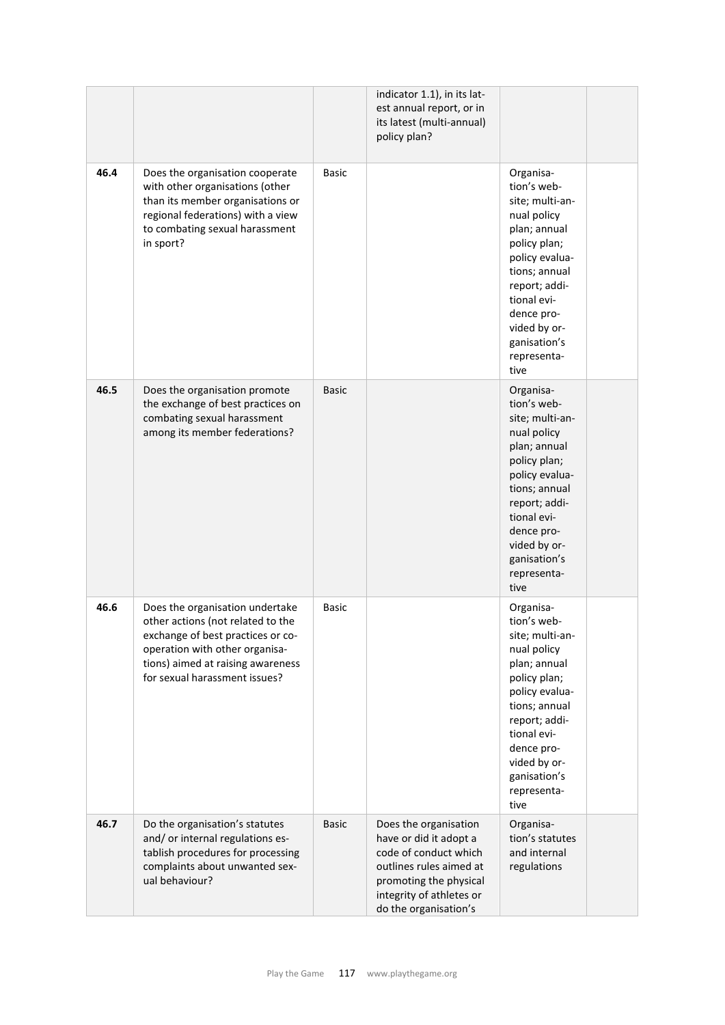|      |                                                                                                                                                                                                                   |              | indicator 1.1), in its lat-<br>est annual report, or in<br>its latest (multi-annual)<br>policy plan?                                                                               |                                                                                                                                                                                                                                    |  |
|------|-------------------------------------------------------------------------------------------------------------------------------------------------------------------------------------------------------------------|--------------|------------------------------------------------------------------------------------------------------------------------------------------------------------------------------------|------------------------------------------------------------------------------------------------------------------------------------------------------------------------------------------------------------------------------------|--|
| 46.4 | Does the organisation cooperate<br>with other organisations (other<br>than its member organisations or<br>regional federations) with a view<br>to combating sexual harassment<br>in sport?                        | <b>Basic</b> |                                                                                                                                                                                    | Organisa-<br>tion's web-<br>site; multi-an-<br>nual policy<br>plan; annual<br>policy plan;<br>policy evalua-<br>tions; annual<br>report; addi-<br>tional evi-<br>dence pro-<br>vided by or-<br>ganisation's<br>representa-<br>tive |  |
| 46.5 | Does the organisation promote<br>the exchange of best practices on<br>combating sexual harassment<br>among its member federations?                                                                                | <b>Basic</b> |                                                                                                                                                                                    | Organisa-<br>tion's web-<br>site; multi-an-<br>nual policy<br>plan; annual<br>policy plan;<br>policy evalua-<br>tions; annual<br>report; addi-<br>tional evi-<br>dence pro-<br>vided by or-<br>ganisation's<br>representa-<br>tive |  |
| 46.6 | Does the organisation undertake<br>other actions (not related to the<br>exchange of best practices or co-<br>operation with other organisa-<br>tions) aimed at raising awareness<br>for sexual harassment issues? | <b>Basic</b> |                                                                                                                                                                                    | Organisa-<br>tion's web-<br>site; multi-an-<br>nual policy<br>plan; annual<br>policy plan;<br>policy evalua-<br>tions; annual<br>report; addi-<br>tional evi-<br>dence pro-<br>vided by or-<br>ganisation's<br>representa-<br>tive |  |
| 46.7 | Do the organisation's statutes<br>and/ or internal regulations es-<br>tablish procedures for processing<br>complaints about unwanted sex-<br>ual behaviour?                                                       | <b>Basic</b> | Does the organisation<br>have or did it adopt a<br>code of conduct which<br>outlines rules aimed at<br>promoting the physical<br>integrity of athletes or<br>do the organisation's | Organisa-<br>tion's statutes<br>and internal<br>regulations                                                                                                                                                                        |  |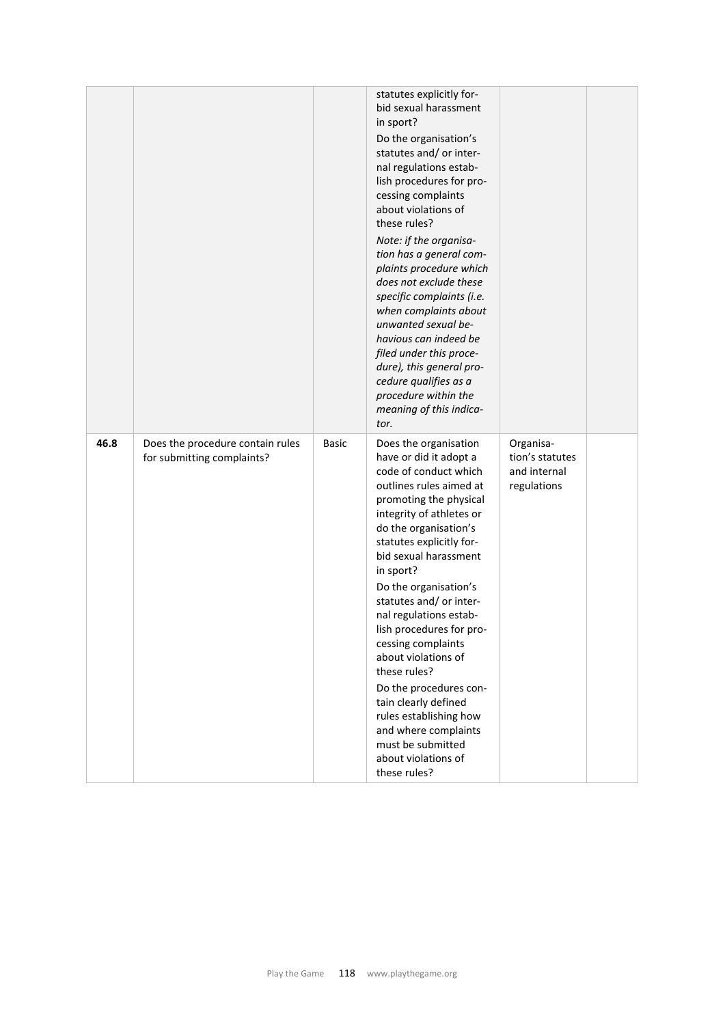|      |                                                                |              | statutes explicitly for-<br>bid sexual harassment<br>in sport?<br>Do the organisation's<br>statutes and/ or inter-<br>nal regulations estab-<br>lish procedures for pro-<br>cessing complaints<br>about violations of<br>these rules?<br>Note: if the organisa-<br>tion has a general com-<br>plaints procedure which<br>does not exclude these<br>specific complaints (i.e.<br>when complaints about<br>unwanted sexual be-<br>havious can indeed be<br>filed under this proce-<br>dure), this general pro-<br>cedure qualifies as a<br>procedure within the<br>meaning of this indica-<br>tor. |                                                             |  |
|------|----------------------------------------------------------------|--------------|--------------------------------------------------------------------------------------------------------------------------------------------------------------------------------------------------------------------------------------------------------------------------------------------------------------------------------------------------------------------------------------------------------------------------------------------------------------------------------------------------------------------------------------------------------------------------------------------------|-------------------------------------------------------------|--|
| 46.8 | Does the procedure contain rules<br>for submitting complaints? | <b>Basic</b> | Does the organisation<br>have or did it adopt a<br>code of conduct which<br>outlines rules aimed at<br>promoting the physical<br>integrity of athletes or<br>do the organisation's<br>statutes explicitly for-<br>bid sexual harassment<br>in sport?<br>Do the organisation's<br>statutes and/ or inter-<br>nal regulations estab-<br>lish procedures for pro-<br>cessing complaints<br>about violations of<br>these rules?<br>Do the procedures con-<br>tain clearly defined<br>rules establishing how<br>and where complaints<br>must be submitted<br>about violations of<br>these rules?      | Organisa-<br>tion's statutes<br>and internal<br>regulations |  |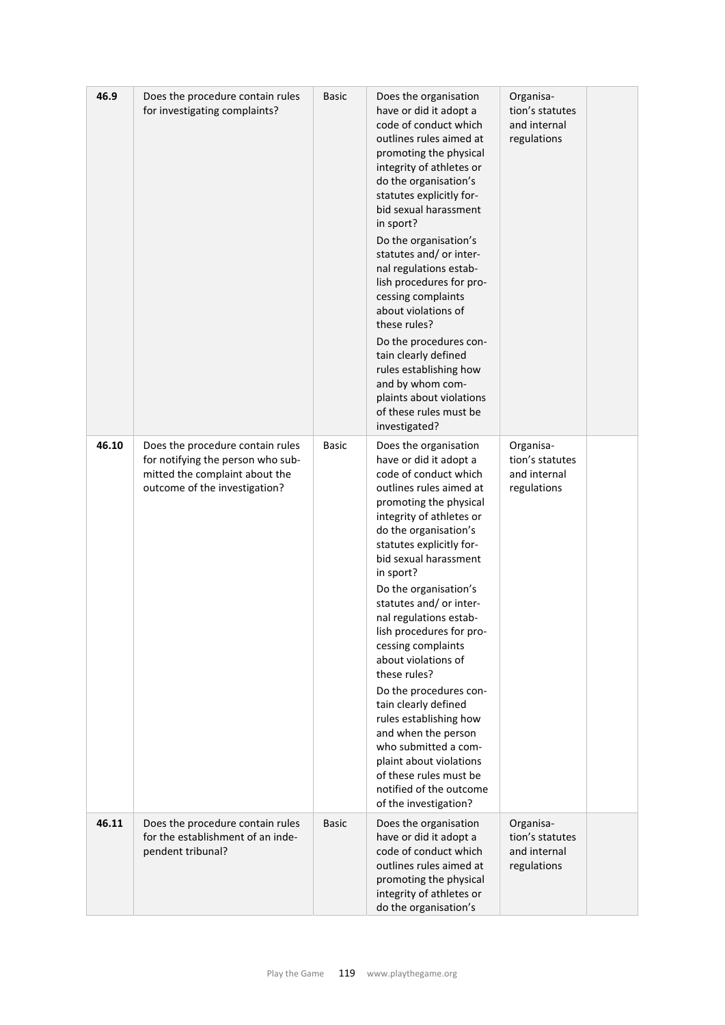| 46.9  | Does the procedure contain rules<br>for investigating complaints?                                                                        | <b>Basic</b> | Does the organisation<br>have or did it adopt a<br>code of conduct which<br>outlines rules aimed at<br>promoting the physical<br>integrity of athletes or<br>do the organisation's<br>statutes explicitly for-<br>bid sexual harassment<br>in sport?<br>Do the organisation's<br>statutes and/ or inter-<br>nal regulations estab-<br>lish procedures for pro-<br>cessing complaints<br>about violations of<br>these rules?<br>Do the procedures con-<br>tain clearly defined<br>rules establishing how<br>and by whom com-<br>plaints about violations<br>of these rules must be<br>investigated?                                                              | Organisa-<br>tion's statutes<br>and internal<br>regulations |  |
|-------|------------------------------------------------------------------------------------------------------------------------------------------|--------------|-----------------------------------------------------------------------------------------------------------------------------------------------------------------------------------------------------------------------------------------------------------------------------------------------------------------------------------------------------------------------------------------------------------------------------------------------------------------------------------------------------------------------------------------------------------------------------------------------------------------------------------------------------------------|-------------------------------------------------------------|--|
| 46.10 | Does the procedure contain rules<br>for notifying the person who sub-<br>mitted the complaint about the<br>outcome of the investigation? | Basic        | Does the organisation<br>have or did it adopt a<br>code of conduct which<br>outlines rules aimed at<br>promoting the physical<br>integrity of athletes or<br>do the organisation's<br>statutes explicitly for-<br>bid sexual harassment<br>in sport?<br>Do the organisation's<br>statutes and/ or inter-<br>nal regulations estab-<br>lish procedures for pro-<br>cessing complaints<br>about violations of<br>these rules?<br>Do the procedures con-<br>tain clearly defined<br>rules establishing how<br>and when the person<br>who submitted a com-<br>plaint about violations<br>of these rules must be<br>notified of the outcome<br>of the investigation? | Organisa-<br>tion's statutes<br>and internal<br>regulations |  |
| 46.11 | Does the procedure contain rules<br>for the establishment of an inde-<br>pendent tribunal?                                               | <b>Basic</b> | Does the organisation<br>have or did it adopt a<br>code of conduct which<br>outlines rules aimed at<br>promoting the physical<br>integrity of athletes or<br>do the organisation's                                                                                                                                                                                                                                                                                                                                                                                                                                                                              | Organisa-<br>tion's statutes<br>and internal<br>regulations |  |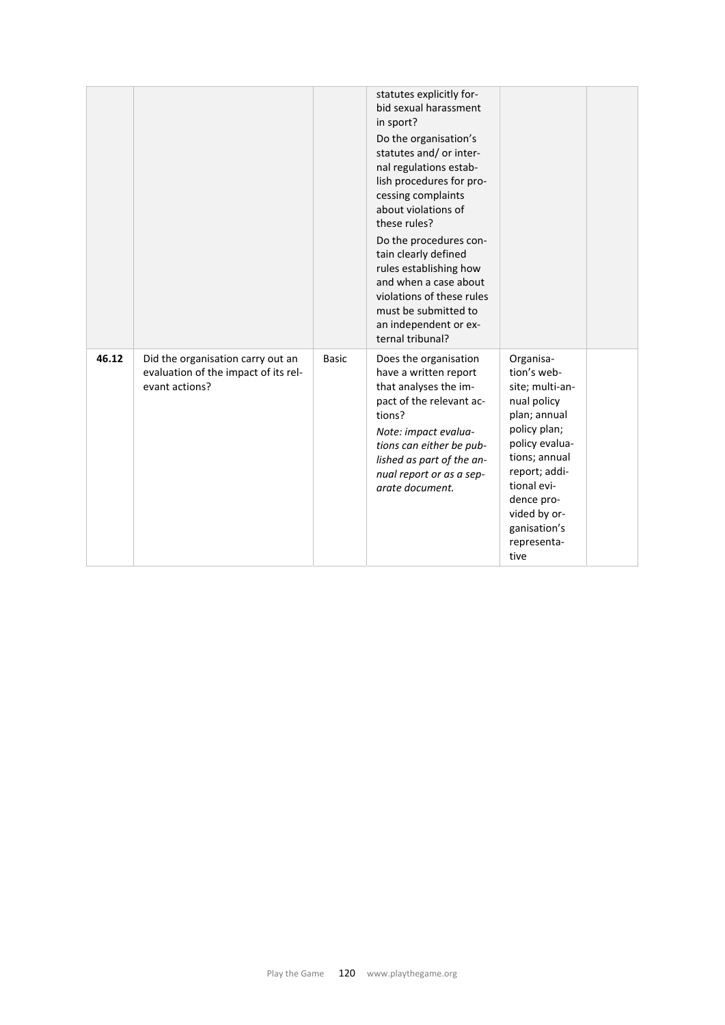|       |                                                                                             |              | statutes explicitly for-<br>bid sexual harassment<br>in sport?<br>Do the organisation's<br>statutes and/ or inter-<br>nal regulations estab-<br>lish procedures for pro-<br>cessing complaints<br>about violations of<br>these rules?<br>Do the procedures con-<br>tain clearly defined<br>rules establishing how<br>and when a case about<br>violations of these rules<br>must be submitted to<br>an independent or ex-<br>ternal tribunal? |                                                                                                                                                                                                                                    |  |
|-------|---------------------------------------------------------------------------------------------|--------------|----------------------------------------------------------------------------------------------------------------------------------------------------------------------------------------------------------------------------------------------------------------------------------------------------------------------------------------------------------------------------------------------------------------------------------------------|------------------------------------------------------------------------------------------------------------------------------------------------------------------------------------------------------------------------------------|--|
| 46.12 | Did the organisation carry out an<br>evaluation of the impact of its rel-<br>evant actions? | <b>Basic</b> | Does the organisation<br>have a written report<br>that analyses the im-<br>pact of the relevant ac-<br>tions?<br>Note: impact evalua-<br>tions can either be pub-<br>lished as part of the an-<br>nual report or as a sep-<br>arate document.                                                                                                                                                                                                | Organisa-<br>tion's web-<br>site; multi-an-<br>nual policy<br>plan; annual<br>policy plan;<br>policy evalua-<br>tions; annual<br>report; addi-<br>tional evi-<br>dence pro-<br>vided by or-<br>ganisation's<br>representa-<br>tive |  |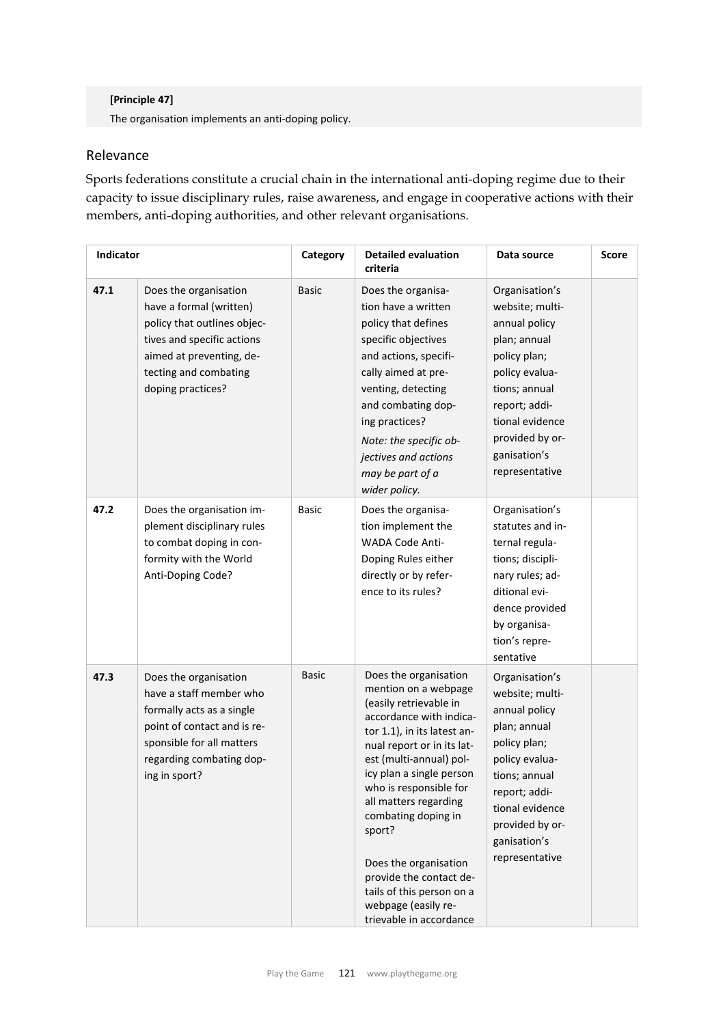### **[Principle 47]**

The organisation implements an anti‐doping policy.

# Relevance

Sports federations constitute a crucial chain in the international anti-doping regime due to their capacity to issue disciplinary rules, raise awareness, and engage in cooperative actions with their members, anti-doping authorities, and other relevant organisations.

| <b>Indicator</b> |                                                                                                                                                                                         | Category     | <b>Detailed evaluation</b><br>criteria                                                                                                                                                                                                                                                                                                                                                                                                        | Data source                                                                                                                                                                                                    | <b>Score</b> |
|------------------|-----------------------------------------------------------------------------------------------------------------------------------------------------------------------------------------|--------------|-----------------------------------------------------------------------------------------------------------------------------------------------------------------------------------------------------------------------------------------------------------------------------------------------------------------------------------------------------------------------------------------------------------------------------------------------|----------------------------------------------------------------------------------------------------------------------------------------------------------------------------------------------------------------|--------------|
| 47.1             | Does the organisation<br>have a formal (written)<br>policy that outlines objec-<br>tives and specific actions<br>aimed at preventing, de-<br>tecting and combating<br>doping practices? | <b>Basic</b> | Does the organisa-<br>tion have a written<br>policy that defines<br>specific objectives<br>and actions, specifi-<br>cally aimed at pre-<br>venting, detecting<br>and combating dop-<br>ing practices?<br>Note: the specific ob-<br>jectives and actions<br>may be part of a<br>wider policy.                                                                                                                                                  | Organisation's<br>website; multi-<br>annual policy<br>plan; annual<br>policy plan;<br>policy evalua-<br>tions; annual<br>report; addi-<br>tional evidence<br>provided by or-<br>ganisation's<br>representative |              |
| 47.2             | Does the organisation im-<br>plement disciplinary rules<br>to combat doping in con-<br>formity with the World<br>Anti-Doping Code?                                                      | <b>Basic</b> | Does the organisa-<br>tion implement the<br>WADA Code Anti-<br>Doping Rules either<br>directly or by refer-<br>ence to its rules?                                                                                                                                                                                                                                                                                                             | Organisation's<br>statutes and in-<br>ternal regula-<br>tions; discipli-<br>nary rules; ad-<br>ditional evi-<br>dence provided<br>by organisa-<br>tion's repre-<br>sentative                                   |              |
| 47.3             | Does the organisation<br>have a staff member who<br>formally acts as a single<br>point of contact and is re-<br>sponsible for all matters<br>regarding combating dop-<br>ing in sport?  | <b>Basic</b> | Does the organisation<br>mention on a webpage<br>(easily retrievable in<br>accordance with indica-<br>tor 1.1), in its latest an-<br>nual report or in its lat-<br>est (multi-annual) pol-<br>icy plan a single person<br>who is responsible for<br>all matters regarding<br>combating doping in<br>sport?<br>Does the organisation<br>provide the contact de-<br>tails of this person on a<br>webpage (easily re-<br>trievable in accordance | Organisation's<br>website; multi-<br>annual policy<br>plan; annual<br>policy plan;<br>policy evalua-<br>tions; annual<br>report; addi-<br>tional evidence<br>provided by or-<br>ganisation's<br>representative |              |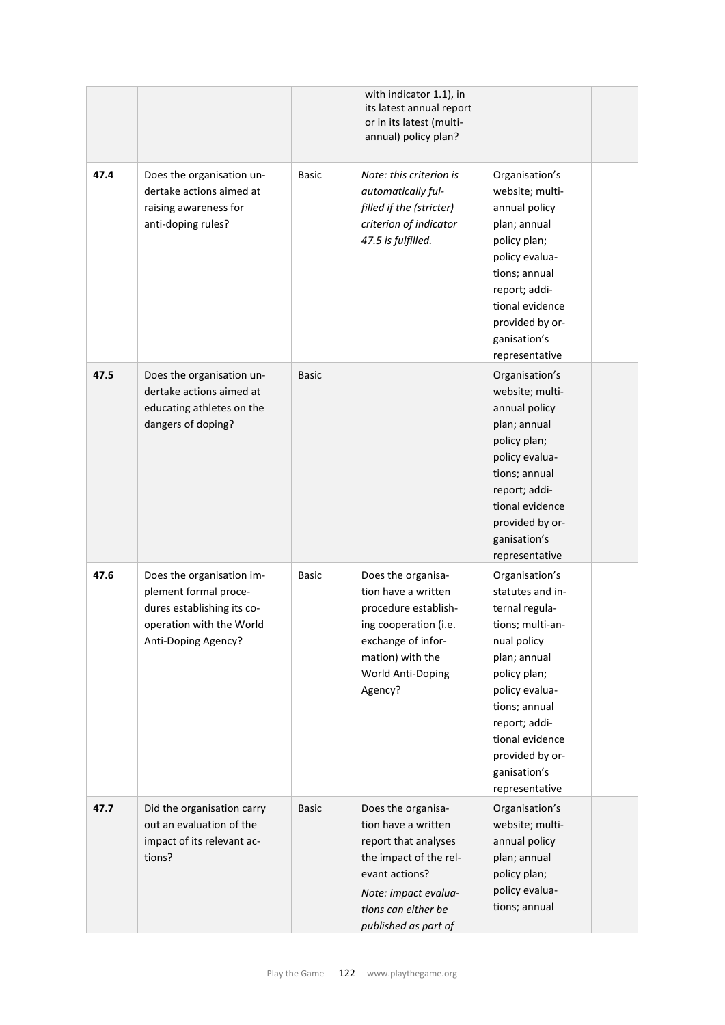|      |                                                                                                                                     |              | with indicator 1.1), in<br>its latest annual report<br>or in its latest (multi-<br>annual) policy plan?                                                                              |                                                                                                                                                                                                                                                     |  |
|------|-------------------------------------------------------------------------------------------------------------------------------------|--------------|--------------------------------------------------------------------------------------------------------------------------------------------------------------------------------------|-----------------------------------------------------------------------------------------------------------------------------------------------------------------------------------------------------------------------------------------------------|--|
| 47.4 | Does the organisation un-<br>dertake actions aimed at<br>raising awareness for<br>anti-doping rules?                                | Basic        | Note: this criterion is<br>automatically ful-<br>filled if the (stricter)<br>criterion of indicator<br>47.5 is fulfilled.                                                            | Organisation's<br>website; multi-<br>annual policy<br>plan; annual<br>policy plan;<br>policy evalua-<br>tions; annual<br>report; addi-<br>tional evidence<br>provided by or-<br>ganisation's<br>representative                                      |  |
| 47.5 | Does the organisation un-<br>dertake actions aimed at<br>educating athletes on the<br>dangers of doping?                            | <b>Basic</b> |                                                                                                                                                                                      | Organisation's<br>website; multi-<br>annual policy<br>plan; annual<br>policy plan;<br>policy evalua-<br>tions; annual<br>report; addi-<br>tional evidence<br>provided by or-<br>ganisation's<br>representative                                      |  |
| 47.6 | Does the organisation im-<br>plement formal proce-<br>dures establishing its co-<br>operation with the World<br>Anti-Doping Agency? | Basic        | Does the organisa-<br>tion have a written<br>procedure establish-<br>ing cooperation (i.e.<br>exchange of infor-<br>mation) with the<br>World Anti-Doping<br>Agency?                 | Organisation's<br>statutes and in-<br>ternal regula-<br>tions; multi-an-<br>nual policy<br>plan; annual<br>policy plan;<br>policy evalua-<br>tions; annual<br>report; addi-<br>tional evidence<br>provided by or-<br>ganisation's<br>representative |  |
| 47.7 | Did the organisation carry<br>out an evaluation of the<br>impact of its relevant ac-<br>tions?                                      | <b>Basic</b> | Does the organisa-<br>tion have a written<br>report that analyses<br>the impact of the rel-<br>evant actions?<br>Note: impact evalua-<br>tions can either be<br>published as part of | Organisation's<br>website; multi-<br>annual policy<br>plan; annual<br>policy plan;<br>policy evalua-<br>tions; annual                                                                                                                               |  |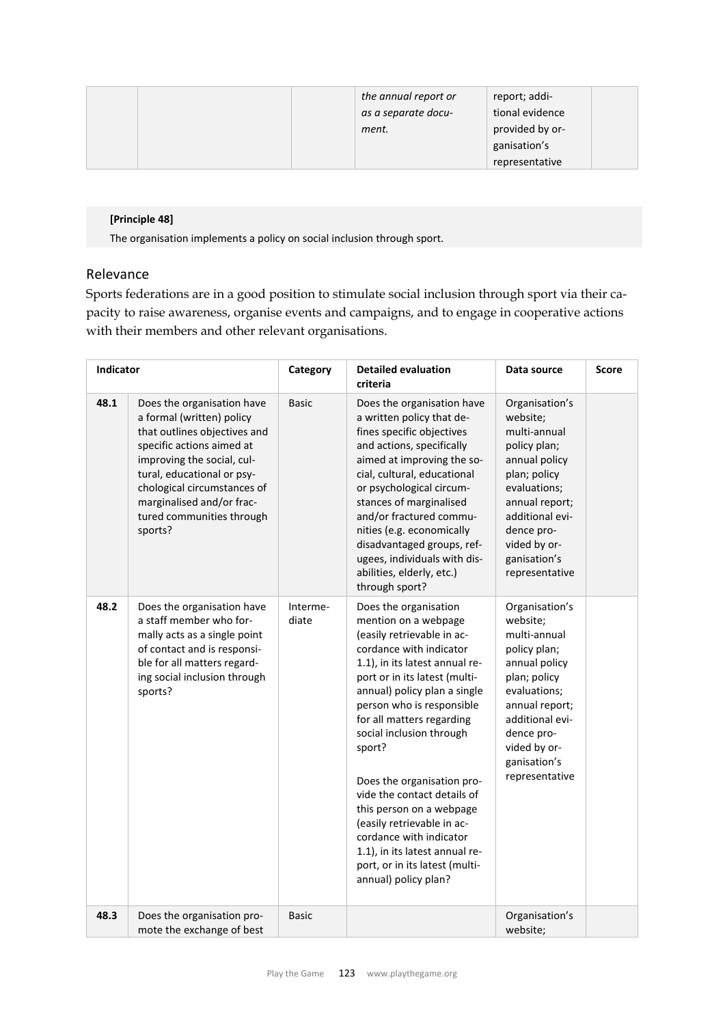|  | the annual report or<br>as a separate docu-<br>ment. | report; addi-<br>tional evidence<br>provided by or- |  |
|--|------------------------------------------------------|-----------------------------------------------------|--|
|  |                                                      | ganisation's                                        |  |
|  |                                                      | representative                                      |  |

### **[Principle 48]**

The organisation implements a policy on social inclusion through sport.

# Relevance

Sports federations are in a good position to stimulate social inclusion through sport via their capacity to raise awareness, organise events and campaigns, and to engage in cooperative actions with their members and other relevant organisations.

| <b>Indicator</b> |                                                                                                                                                                                                                                                                                      | Category          | <b>Detailed evaluation</b><br>criteria                                                                                                                                                                                                                                                                                                                                                                                                                                                                                                                  | Data source                                                                                                                                                                                                      | Score |
|------------------|--------------------------------------------------------------------------------------------------------------------------------------------------------------------------------------------------------------------------------------------------------------------------------------|-------------------|---------------------------------------------------------------------------------------------------------------------------------------------------------------------------------------------------------------------------------------------------------------------------------------------------------------------------------------------------------------------------------------------------------------------------------------------------------------------------------------------------------------------------------------------------------|------------------------------------------------------------------------------------------------------------------------------------------------------------------------------------------------------------------|-------|
| 48.1             | Does the organisation have<br>a formal (written) policy<br>that outlines objectives and<br>specific actions aimed at<br>improving the social, cul-<br>tural, educational or psy-<br>chological circumstances of<br>marginalised and/or frac-<br>tured communities through<br>sports? | <b>Basic</b>      | Does the organisation have<br>a written policy that de-<br>fines specific objectives<br>and actions, specifically<br>aimed at improving the so-<br>cial, cultural, educational<br>or psychological circum-<br>stances of marginalised<br>and/or fractured commu-<br>nities (e.g. economically<br>disadvantaged groups, ref-<br>ugees, individuals with dis-<br>abilities, elderly, etc.)<br>through sport?                                                                                                                                              | Organisation's<br>website;<br>multi-annual<br>policy plan;<br>annual policy<br>plan; policy<br>evaluations;<br>annual report;<br>additional evi-<br>dence pro-<br>vided by or-<br>ganisation's<br>representative |       |
| 48.2             | Does the organisation have<br>a staff member who for-<br>mally acts as a single point<br>of contact and is responsi-<br>ble for all matters regard-<br>ing social inclusion through<br>sports?                                                                                       | Interme-<br>diate | Does the organisation<br>mention on a webpage<br>(easily retrievable in ac-<br>cordance with indicator<br>1.1), in its latest annual re-<br>port or in its latest (multi-<br>annual) policy plan a single<br>person who is responsible<br>for all matters regarding<br>social inclusion through<br>sport?<br>Does the organisation pro-<br>vide the contact details of<br>this person on a webpage<br>(easily retrievable in ac-<br>cordance with indicator<br>1.1), in its latest annual re-<br>port, or in its latest (multi-<br>annual) policy plan? | Organisation's<br>website;<br>multi-annual<br>policy plan;<br>annual policy<br>plan; policy<br>evaluations;<br>annual report;<br>additional evi-<br>dence pro-<br>vided by or-<br>ganisation's<br>representative |       |
| 48.3             | Does the organisation pro-<br>mote the exchange of best                                                                                                                                                                                                                              | <b>Basic</b>      |                                                                                                                                                                                                                                                                                                                                                                                                                                                                                                                                                         | Organisation's<br>website;                                                                                                                                                                                       |       |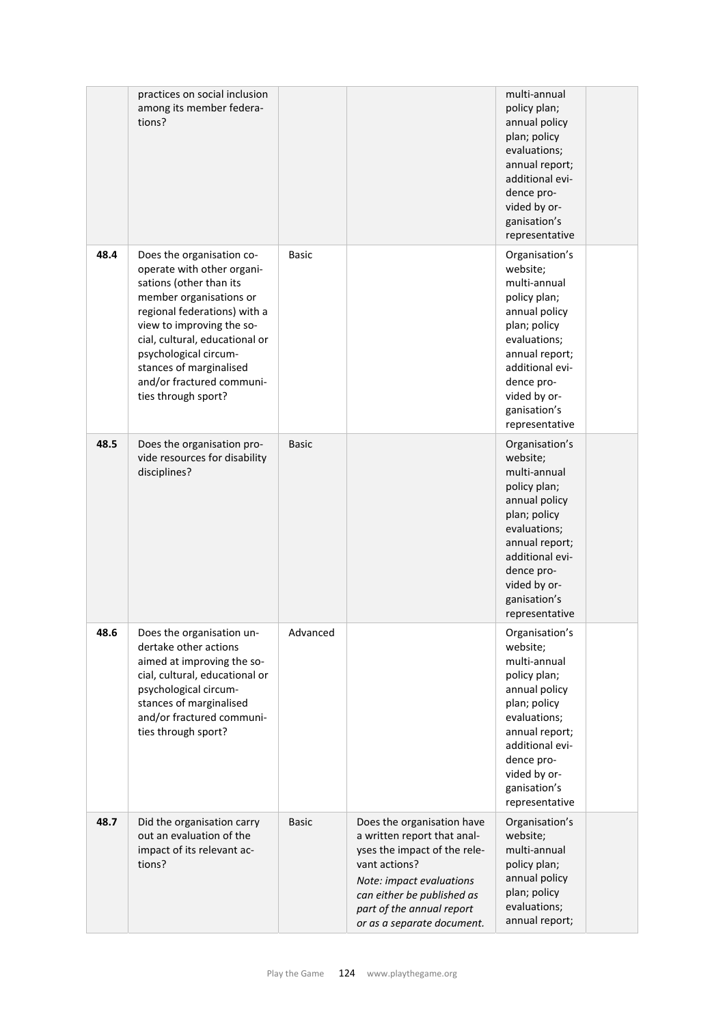|      | practices on social inclusion<br>among its member federa-<br>tions?                                                                                                                                                                                                                                                  |              |                                                                                                                                                                                                                                 | multi-annual<br>policy plan;<br>annual policy<br>plan; policy<br>evaluations;<br>annual report;<br>additional evi-<br>dence pro-<br>vided by or-<br>ganisation's<br>representative                               |  |
|------|----------------------------------------------------------------------------------------------------------------------------------------------------------------------------------------------------------------------------------------------------------------------------------------------------------------------|--------------|---------------------------------------------------------------------------------------------------------------------------------------------------------------------------------------------------------------------------------|------------------------------------------------------------------------------------------------------------------------------------------------------------------------------------------------------------------|--|
| 48.4 | Does the organisation co-<br>operate with other organi-<br>sations (other than its<br>member organisations or<br>regional federations) with a<br>view to improving the so-<br>cial, cultural, educational or<br>psychological circum-<br>stances of marginalised<br>and/or fractured communi-<br>ties through sport? | <b>Basic</b> |                                                                                                                                                                                                                                 | Organisation's<br>website;<br>multi-annual<br>policy plan;<br>annual policy<br>plan; policy<br>evaluations;<br>annual report;<br>additional evi-<br>dence pro-<br>vided by or-<br>ganisation's<br>representative |  |
| 48.5 | Does the organisation pro-<br>vide resources for disability<br>disciplines?                                                                                                                                                                                                                                          | <b>Basic</b> |                                                                                                                                                                                                                                 | Organisation's<br>website;<br>multi-annual<br>policy plan;<br>annual policy<br>plan; policy<br>evaluations;<br>annual report;<br>additional evi-<br>dence pro-<br>vided by or-<br>ganisation's<br>representative |  |
| 48.6 | Does the organisation un-<br>dertake other actions<br>aimed at improving the so-<br>cial, cultural, educational or<br>psychological circum-<br>stances of marginalised<br>and/or fractured communi-<br>ties through sport?                                                                                           | Advanced     |                                                                                                                                                                                                                                 | Organisation's<br>website;<br>multi-annual<br>policy plan;<br>annual policy<br>plan; policy<br>evaluations;<br>annual report;<br>additional evi-<br>dence pro-<br>vided by or-<br>ganisation's<br>representative |  |
| 48.7 | Did the organisation carry<br>out an evaluation of the<br>impact of its relevant ac-<br>tions?                                                                                                                                                                                                                       | <b>Basic</b> | Does the organisation have<br>a written report that anal-<br>yses the impact of the rele-<br>vant actions?<br>Note: impact evaluations<br>can either be published as<br>part of the annual report<br>or as a separate document. | Organisation's<br>website;<br>multi-annual<br>policy plan;<br>annual policy<br>plan; policy<br>evaluations;<br>annual report;                                                                                    |  |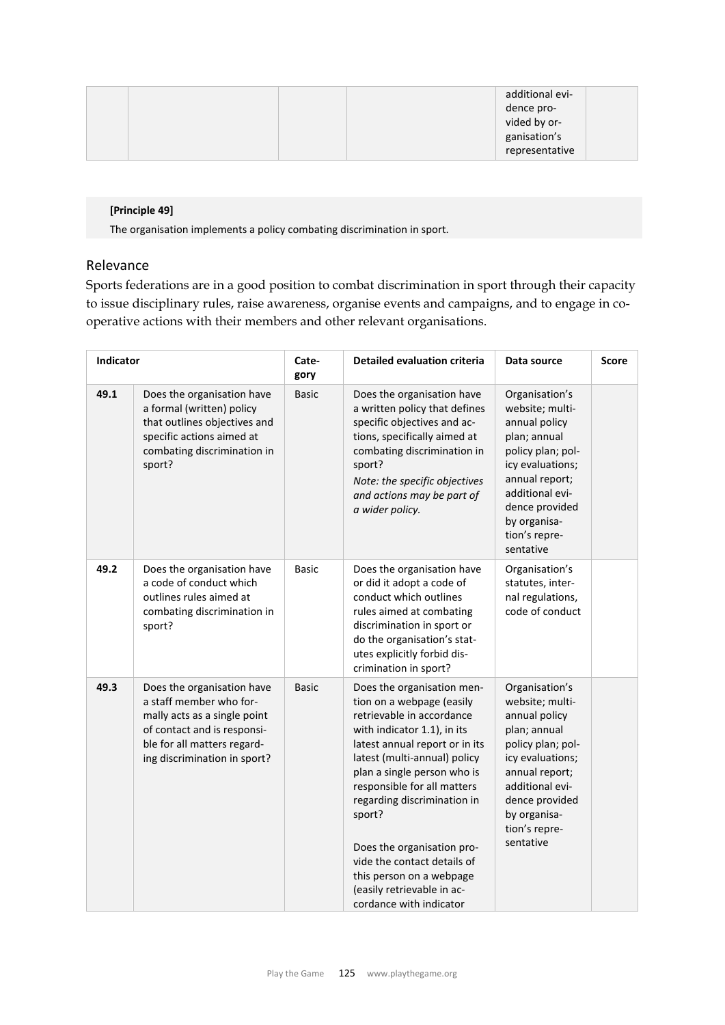| additional evi- |  |
|-----------------|--|
| dence pro-      |  |
| vided by or-    |  |
| ganisation's    |  |
| representative  |  |

### **[Principle 49]**

The organisation implements a policy combating discrimination in sport.

# Relevance

Sports federations are in a good position to combat discrimination in sport through their capacity to issue disciplinary rules, raise awareness, organise events and campaigns, and to engage in cooperative actions with their members and other relevant organisations.

| Indicator |                                                                                                                                                                                     | Cate-<br>gory | <b>Detailed evaluation criteria</b>                                                                                                                                                                                                                                                                                                                                                                                                            | Data source                                                                                                                                                                                                      | <b>Score</b> |
|-----------|-------------------------------------------------------------------------------------------------------------------------------------------------------------------------------------|---------------|------------------------------------------------------------------------------------------------------------------------------------------------------------------------------------------------------------------------------------------------------------------------------------------------------------------------------------------------------------------------------------------------------------------------------------------------|------------------------------------------------------------------------------------------------------------------------------------------------------------------------------------------------------------------|--------------|
| 49.1      | Does the organisation have<br>a formal (written) policy<br>that outlines objectives and<br>specific actions aimed at<br>combating discrimination in<br>sport?                       | <b>Basic</b>  | Does the organisation have<br>a written policy that defines<br>specific objectives and ac-<br>tions, specifically aimed at<br>combating discrimination in<br>sport?<br>Note: the specific objectives<br>and actions may be part of<br>a wider policy.                                                                                                                                                                                          | Organisation's<br>website; multi-<br>annual policy<br>plan; annual<br>policy plan; pol-<br>icy evaluations;<br>annual report;<br>additional evi-<br>dence provided<br>by organisa-<br>tion's repre-<br>sentative |              |
| 49.2      | Does the organisation have<br>a code of conduct which<br>outlines rules aimed at<br>combating discrimination in<br>sport?                                                           | <b>Basic</b>  | Does the organisation have<br>or did it adopt a code of<br>conduct which outlines<br>rules aimed at combating<br>discrimination in sport or<br>do the organisation's stat-<br>utes explicitly forbid dis-<br>crimination in sport?                                                                                                                                                                                                             | Organisation's<br>statutes, inter-<br>nal regulations,<br>code of conduct                                                                                                                                        |              |
| 49.3      | Does the organisation have<br>a staff member who for-<br>mally acts as a single point<br>of contact and is responsi-<br>ble for all matters regard-<br>ing discrimination in sport? | <b>Basic</b>  | Does the organisation men-<br>tion on a webpage (easily<br>retrievable in accordance<br>with indicator 1.1), in its<br>latest annual report or in its<br>latest (multi-annual) policy<br>plan a single person who is<br>responsible for all matters<br>regarding discrimination in<br>sport?<br>Does the organisation pro-<br>vide the contact details of<br>this person on a webpage<br>(easily retrievable in ac-<br>cordance with indicator | Organisation's<br>website; multi-<br>annual policy<br>plan; annual<br>policy plan; pol-<br>icy evaluations;<br>annual report;<br>additional evi-<br>dence provided<br>by organisa-<br>tion's repre-<br>sentative |              |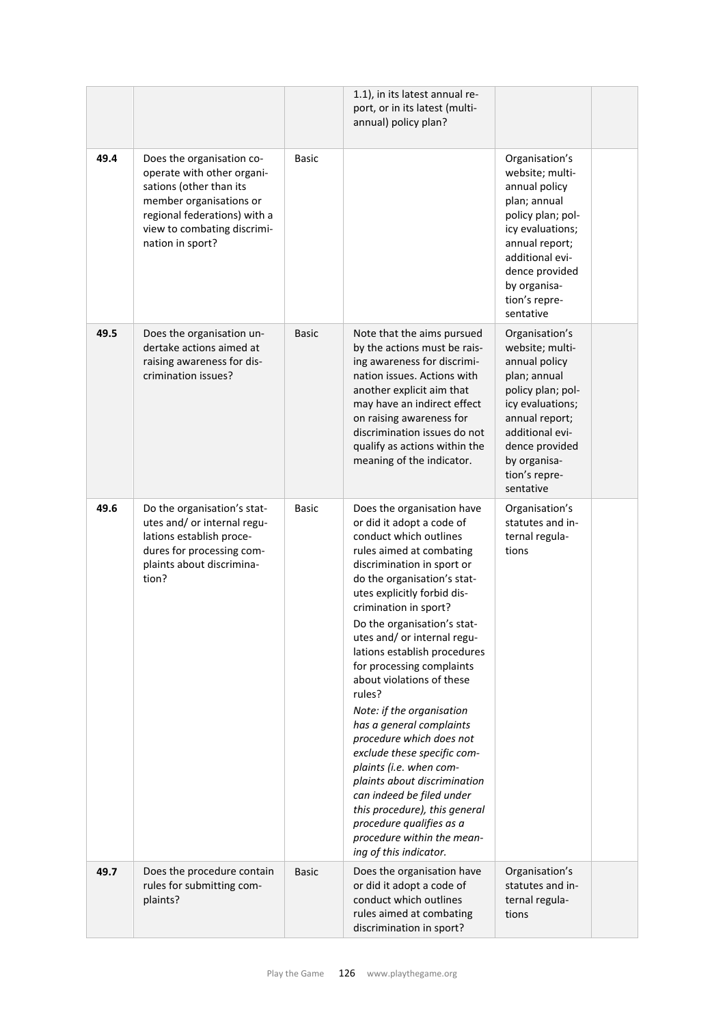|      |                                                                                                                                                                                                  |              | 1.1), in its latest annual re-<br>port, or in its latest (multi-<br>annual) policy plan?                                                                                                                                                                                                                                                                                                                                                                                                                                                                                                                                                                                                                                              |                                                                                                                                                                                                                  |  |
|------|--------------------------------------------------------------------------------------------------------------------------------------------------------------------------------------------------|--------------|---------------------------------------------------------------------------------------------------------------------------------------------------------------------------------------------------------------------------------------------------------------------------------------------------------------------------------------------------------------------------------------------------------------------------------------------------------------------------------------------------------------------------------------------------------------------------------------------------------------------------------------------------------------------------------------------------------------------------------------|------------------------------------------------------------------------------------------------------------------------------------------------------------------------------------------------------------------|--|
| 49.4 | Does the organisation co-<br>operate with other organi-<br>sations (other than its<br>member organisations or<br>regional federations) with a<br>view to combating discrimi-<br>nation in sport? | <b>Basic</b> |                                                                                                                                                                                                                                                                                                                                                                                                                                                                                                                                                                                                                                                                                                                                       | Organisation's<br>website; multi-<br>annual policy<br>plan; annual<br>policy plan; pol-<br>icy evaluations;<br>annual report;<br>additional evi-<br>dence provided<br>by organisa-<br>tion's repre-<br>sentative |  |
| 49.5 | Does the organisation un-<br>dertake actions aimed at<br>raising awareness for dis-<br>crimination issues?                                                                                       | <b>Basic</b> | Note that the aims pursued<br>by the actions must be rais-<br>ing awareness for discrimi-<br>nation issues. Actions with<br>another explicit aim that<br>may have an indirect effect<br>on raising awareness for<br>discrimination issues do not<br>qualify as actions within the<br>meaning of the indicator.                                                                                                                                                                                                                                                                                                                                                                                                                        | Organisation's<br>website; multi-<br>annual policy<br>plan; annual<br>policy plan; pol-<br>icy evaluations;<br>annual report;<br>additional evi-<br>dence provided<br>by organisa-<br>tion's repre-<br>sentative |  |
| 49.6 | Do the organisation's stat-<br>utes and/ or internal regu-<br>lations establish proce-<br>dures for processing com-<br>plaints about discrimina-<br>tion?                                        | <b>Basic</b> | Does the organisation have<br>or did it adopt a code of<br>conduct which outlines<br>rules aimed at combating<br>discrimination in sport or<br>do the organisation's stat-<br>utes explicitly forbid dis-<br>crimination in sport?<br>Do the organisation's stat-<br>utes and/ or internal regu-<br>lations establish procedures<br>for processing complaints<br>about violations of these<br>rules?<br>Note: if the organisation<br>has a general complaints<br>procedure which does not<br>exclude these specific com-<br>plaints (i.e. when com-<br>plaints about discrimination<br>can indeed be filed under<br>this procedure), this general<br>procedure qualifies as a<br>procedure within the mean-<br>ing of this indicator. | Organisation's<br>statutes and in-<br>ternal regula-<br>tions                                                                                                                                                    |  |
| 49.7 | Does the procedure contain<br>rules for submitting com-<br>plaints?                                                                                                                              | <b>Basic</b> | Does the organisation have<br>or did it adopt a code of<br>conduct which outlines<br>rules aimed at combating<br>discrimination in sport?                                                                                                                                                                                                                                                                                                                                                                                                                                                                                                                                                                                             | Organisation's<br>statutes and in-<br>ternal regula-<br>tions                                                                                                                                                    |  |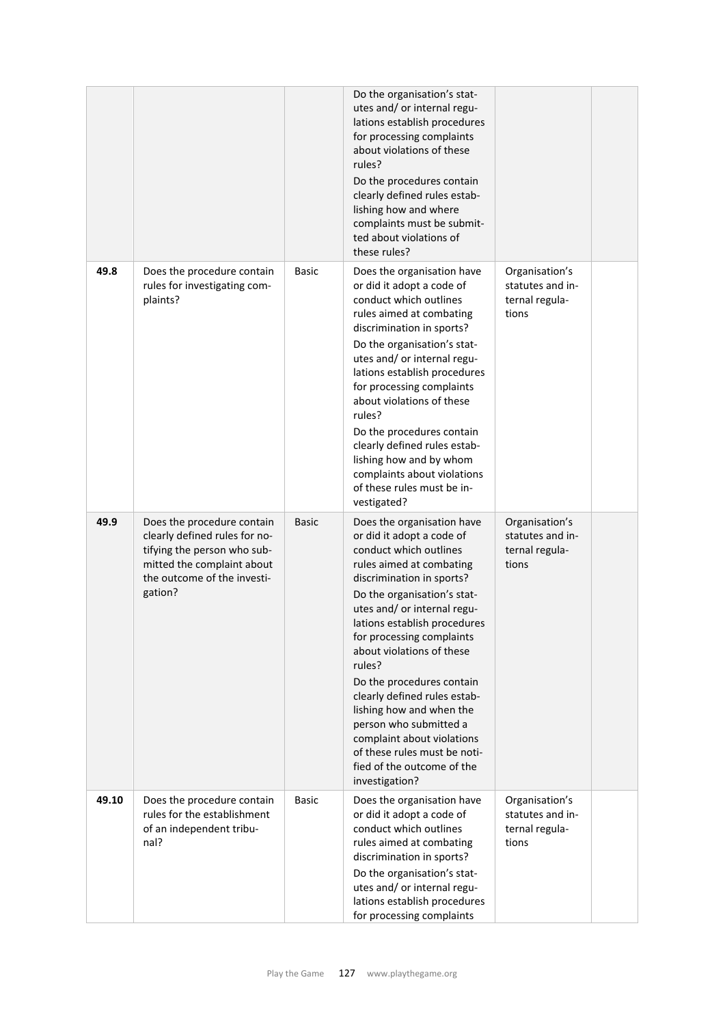|       |                                                                                                                                                                    |              | Do the organisation's stat-<br>utes and/ or internal regu-<br>lations establish procedures<br>for processing complaints<br>about violations of these<br>rules?<br>Do the procedures contain<br>clearly defined rules estab-<br>lishing how and where<br>complaints must be submit-<br>ted about violations of<br>these rules?                                                                                                                                                                                                                 |                                                               |  |
|-------|--------------------------------------------------------------------------------------------------------------------------------------------------------------------|--------------|-----------------------------------------------------------------------------------------------------------------------------------------------------------------------------------------------------------------------------------------------------------------------------------------------------------------------------------------------------------------------------------------------------------------------------------------------------------------------------------------------------------------------------------------------|---------------------------------------------------------------|--|
| 49.8  | Does the procedure contain<br>rules for investigating com-<br>plaints?                                                                                             | <b>Basic</b> | Does the organisation have<br>or did it adopt a code of<br>conduct which outlines<br>rules aimed at combating<br>discrimination in sports?<br>Do the organisation's stat-<br>utes and/ or internal regu-<br>lations establish procedures<br>for processing complaints<br>about violations of these<br>rules?<br>Do the procedures contain<br>clearly defined rules estab-<br>lishing how and by whom<br>complaints about violations<br>of these rules must be in-<br>vestigated?                                                              | Organisation's<br>statutes and in-<br>ternal regula-<br>tions |  |
| 49.9  | Does the procedure contain<br>clearly defined rules for no-<br>tifying the person who sub-<br>mitted the complaint about<br>the outcome of the investi-<br>gation? | <b>Basic</b> | Does the organisation have<br>or did it adopt a code of<br>conduct which outlines<br>rules aimed at combating<br>discrimination in sports?<br>Do the organisation's stat-<br>utes and/ or internal regu-<br>lations establish procedures<br>for processing complaints<br>about violations of these<br>rules?<br>Do the procedures contain<br>clearly defined rules estab-<br>lishing how and when the<br>person who submitted a<br>complaint about violations<br>of these rules must be noti-<br>fied of the outcome of the<br>investigation? | Organisation's<br>statutes and in-<br>ternal regula-<br>tions |  |
| 49.10 | Does the procedure contain<br>rules for the establishment<br>of an independent tribu-<br>nal?                                                                      | <b>Basic</b> | Does the organisation have<br>or did it adopt a code of<br>conduct which outlines<br>rules aimed at combating<br>discrimination in sports?<br>Do the organisation's stat-<br>utes and/ or internal regu-<br>lations establish procedures<br>for processing complaints                                                                                                                                                                                                                                                                         | Organisation's<br>statutes and in-<br>ternal regula-<br>tions |  |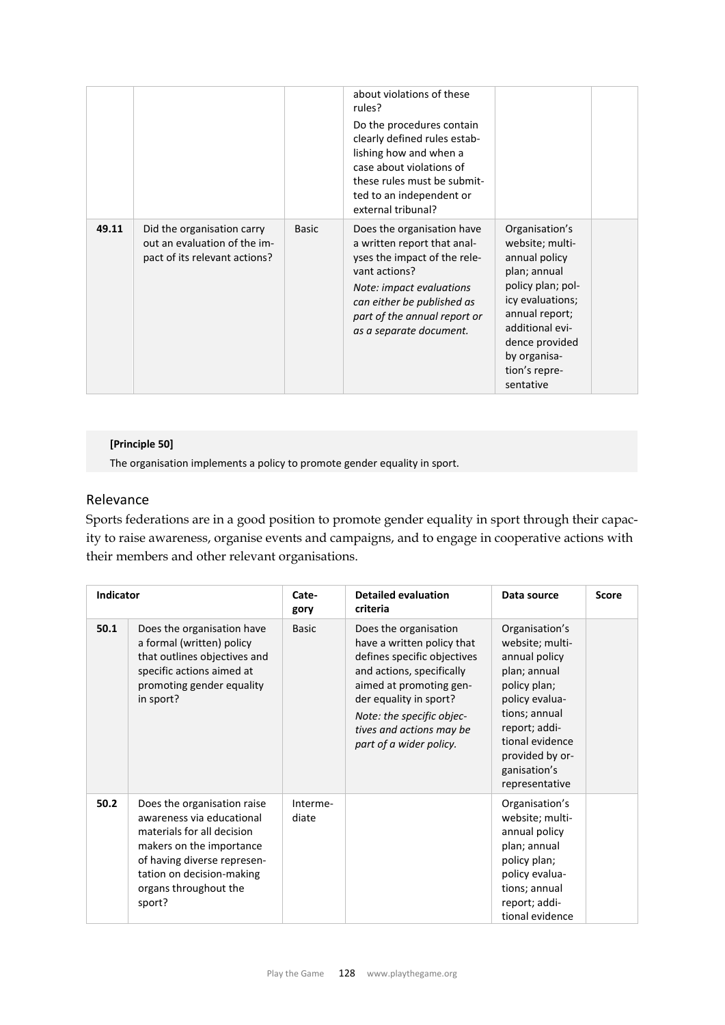|       |                                                                                             |              | about violations of these<br>rules?<br>Do the procedures contain<br>clearly defined rules estab-<br>lishing how and when a<br>case about violations of<br>these rules must be submit-<br>ted to an independent or<br>external tribunal? |                                                                                                                                                                                                                  |  |
|-------|---------------------------------------------------------------------------------------------|--------------|-----------------------------------------------------------------------------------------------------------------------------------------------------------------------------------------------------------------------------------------|------------------------------------------------------------------------------------------------------------------------------------------------------------------------------------------------------------------|--|
| 49.11 | Did the organisation carry<br>out an evaluation of the im-<br>pact of its relevant actions? | <b>Basic</b> | Does the organisation have<br>a written report that anal-<br>yses the impact of the rele-<br>vant actions?<br>Note: impact evaluations<br>can either be published as<br>part of the annual report or<br>as a separate document.         | Organisation's<br>website; multi-<br>annual policy<br>plan; annual<br>policy plan; pol-<br>icy evaluations;<br>annual report;<br>additional evi-<br>dence provided<br>by organisa-<br>tion's repre-<br>sentative |  |

## **[Principle 50]**

The organisation implements a policy to promote gender equality in sport.

# Relevance

Sports federations are in a good position to promote gender equality in sport through their capacity to raise awareness, organise events and campaigns, and to engage in cooperative actions with their members and other relevant organisations.

| <b>Indicator</b> |                                                                                                                                                                                                                   | Cate-<br>gory     | <b>Detailed evaluation</b><br>criteria                                                                                                                                                                                                                   | Data source                                                                                                                                                                                                    | <b>Score</b> |
|------------------|-------------------------------------------------------------------------------------------------------------------------------------------------------------------------------------------------------------------|-------------------|----------------------------------------------------------------------------------------------------------------------------------------------------------------------------------------------------------------------------------------------------------|----------------------------------------------------------------------------------------------------------------------------------------------------------------------------------------------------------------|--------------|
| 50.1             | Does the organisation have<br>a formal (written) policy<br>that outlines objectives and<br>specific actions aimed at<br>promoting gender equality<br>in sport?                                                    | <b>Basic</b>      | Does the organisation<br>have a written policy that<br>defines specific objectives<br>and actions, specifically<br>aimed at promoting gen-<br>der equality in sport?<br>Note: the specific objec-<br>tives and actions may be<br>part of a wider policy. | Organisation's<br>website; multi-<br>annual policy<br>plan; annual<br>policy plan;<br>policy evalua-<br>tions; annual<br>report; addi-<br>tional evidence<br>provided by or-<br>ganisation's<br>representative |              |
| 50.2             | Does the organisation raise<br>awareness via educational<br>materials for all decision<br>makers on the importance<br>of having diverse represen-<br>tation on decision-making<br>organs throughout the<br>sport? | Interme-<br>diate |                                                                                                                                                                                                                                                          | Organisation's<br>website; multi-<br>annual policy<br>plan; annual<br>policy plan;<br>policy evalua-<br>tions; annual<br>report; addi-<br>tional evidence                                                      |              |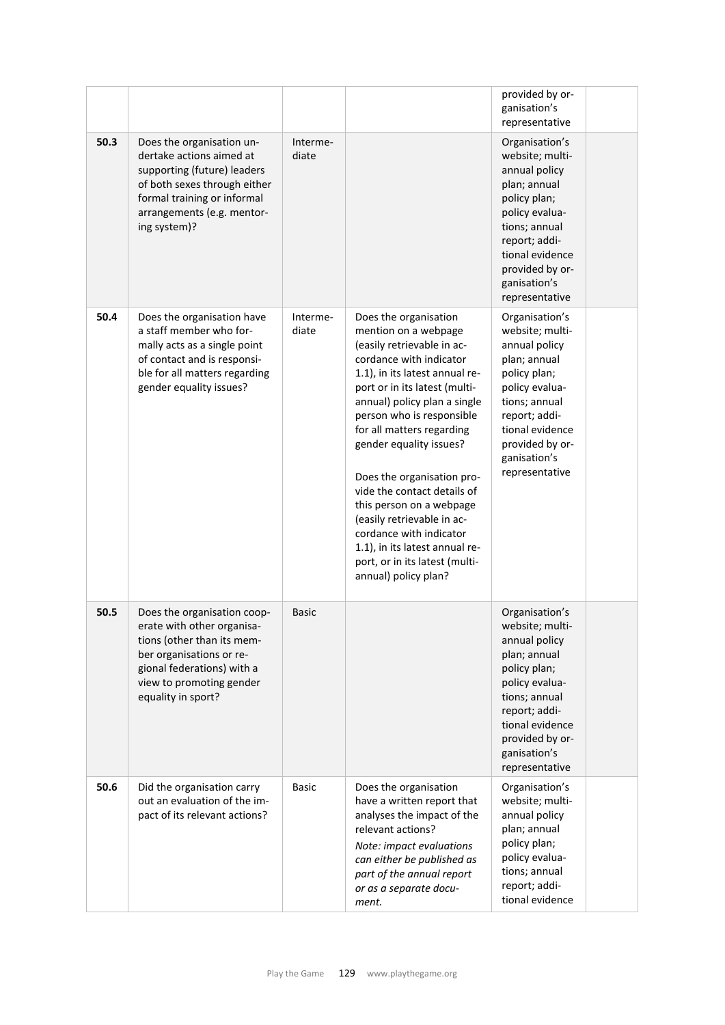|      |                                                                                                                                                                                                     |                   |                                                                                                                                                                                                                                                                                                                                                                                                                                                                                                                                              | provided by or-<br>ganisation's<br>representative                                                                                                                                                              |  |
|------|-----------------------------------------------------------------------------------------------------------------------------------------------------------------------------------------------------|-------------------|----------------------------------------------------------------------------------------------------------------------------------------------------------------------------------------------------------------------------------------------------------------------------------------------------------------------------------------------------------------------------------------------------------------------------------------------------------------------------------------------------------------------------------------------|----------------------------------------------------------------------------------------------------------------------------------------------------------------------------------------------------------------|--|
| 50.3 | Does the organisation un-<br>dertake actions aimed at<br>supporting (future) leaders<br>of both sexes through either<br>formal training or informal<br>arrangements (e.g. mentor-<br>ing system)?   | Interme-<br>diate |                                                                                                                                                                                                                                                                                                                                                                                                                                                                                                                                              | Organisation's<br>website; multi-<br>annual policy<br>plan; annual<br>policy plan;<br>policy evalua-<br>tions; annual<br>report; addi-<br>tional evidence<br>provided by or-<br>ganisation's<br>representative |  |
| 50.4 | Does the organisation have<br>a staff member who for-<br>mally acts as a single point<br>of contact and is responsi-<br>ble for all matters regarding<br>gender equality issues?                    | Interme-<br>diate | Does the organisation<br>mention on a webpage<br>(easily retrievable in ac-<br>cordance with indicator<br>1.1), in its latest annual re-<br>port or in its latest (multi-<br>annual) policy plan a single<br>person who is responsible<br>for all matters regarding<br>gender equality issues?<br>Does the organisation pro-<br>vide the contact details of<br>this person on a webpage<br>(easily retrievable in ac-<br>cordance with indicator<br>1.1), in its latest annual re-<br>port, or in its latest (multi-<br>annual) policy plan? | Organisation's<br>website; multi-<br>annual policy<br>plan; annual<br>policy plan;<br>policy evalua-<br>tions; annual<br>report; addi-<br>tional evidence<br>provided by or-<br>ganisation's<br>representative |  |
| 50.5 | Does the organisation coop-<br>erate with other organisa-<br>tions (other than its mem-<br>ber organisations or re-<br>gional federations) with a<br>view to promoting gender<br>equality in sport? | <b>Basic</b>      |                                                                                                                                                                                                                                                                                                                                                                                                                                                                                                                                              | Organisation's<br>website; multi-<br>annual policy<br>plan; annual<br>policy plan;<br>policy evalua-<br>tions; annual<br>report; addi-<br>tional evidence<br>provided by or-<br>ganisation's<br>representative |  |
| 50.6 | Did the organisation carry<br>out an evaluation of the im-<br>pact of its relevant actions?                                                                                                         | <b>Basic</b>      | Does the organisation<br>have a written report that<br>analyses the impact of the<br>relevant actions?<br>Note: impact evaluations<br>can either be published as<br>part of the annual report<br>or as a separate docu-<br>ment.                                                                                                                                                                                                                                                                                                             | Organisation's<br>website; multi-<br>annual policy<br>plan; annual<br>policy plan;<br>policy evalua-<br>tions; annual<br>report; addi-<br>tional evidence                                                      |  |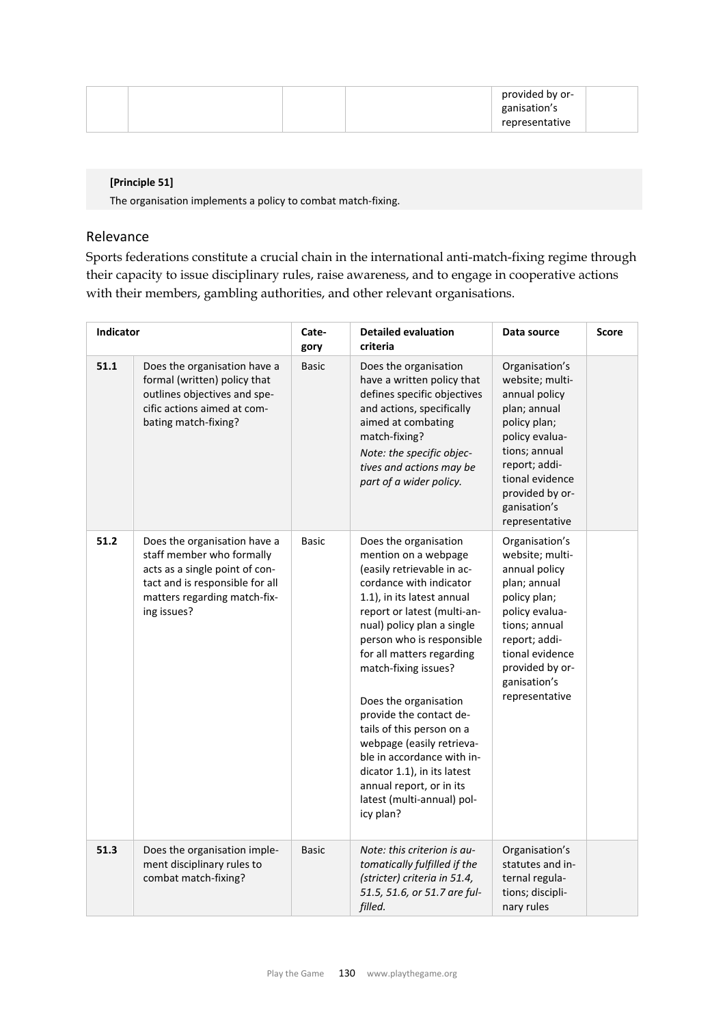|  | provided by or- |  |
|--|-----------------|--|
|  | ganisation's    |  |
|  | representative  |  |

### **[Principle 51]**

The organisation implements a policy to combat match‐fixing.

### Relevance

Sports federations constitute a crucial chain in the international anti-match-fixing regime through their capacity to issue disciplinary rules, raise awareness, and to engage in cooperative actions with their members, gambling authorities, and other relevant organisations.

| Indicator |                                                                                                                                                                               | Cate-<br>gory | <b>Detailed evaluation</b><br>criteria                                                                                                                                                                                                                                                                                                                                                                                                                                                                                                | Data source                                                                                                                                                                                                    | Score |
|-----------|-------------------------------------------------------------------------------------------------------------------------------------------------------------------------------|---------------|---------------------------------------------------------------------------------------------------------------------------------------------------------------------------------------------------------------------------------------------------------------------------------------------------------------------------------------------------------------------------------------------------------------------------------------------------------------------------------------------------------------------------------------|----------------------------------------------------------------------------------------------------------------------------------------------------------------------------------------------------------------|-------|
| 51.1      | Does the organisation have a<br>formal (written) policy that<br>outlines objectives and spe-<br>cific actions aimed at com-<br>bating match-fixing?                           | <b>Basic</b>  | Does the organisation<br>have a written policy that<br>defines specific objectives<br>and actions, specifically<br>aimed at combating<br>match-fixing?<br>Note: the specific objec-<br>tives and actions may be<br>part of a wider policy.                                                                                                                                                                                                                                                                                            | Organisation's<br>website; multi-<br>annual policy<br>plan; annual<br>policy plan;<br>policy evalua-<br>tions; annual<br>report; addi-<br>tional evidence<br>provided by or-<br>ganisation's<br>representative |       |
| 51.2      | Does the organisation have a<br>staff member who formally<br>acts as a single point of con-<br>tact and is responsible for all<br>matters regarding match-fix-<br>ing issues? | <b>Basic</b>  | Does the organisation<br>mention on a webpage<br>(easily retrievable in ac-<br>cordance with indicator<br>1.1), in its latest annual<br>report or latest (multi-an-<br>nual) policy plan a single<br>person who is responsible<br>for all matters regarding<br>match-fixing issues?<br>Does the organisation<br>provide the contact de-<br>tails of this person on a<br>webpage (easily retrieva-<br>ble in accordance with in-<br>dicator 1.1), in its latest<br>annual report, or in its<br>latest (multi-annual) pol-<br>icy plan? | Organisation's<br>website; multi-<br>annual policy<br>plan; annual<br>policy plan;<br>policy evalua-<br>tions; annual<br>report; addi-<br>tional evidence<br>provided by or-<br>ganisation's<br>representative |       |
| 51.3      | Does the organisation imple-<br>ment disciplinary rules to<br>combat match-fixing?                                                                                            | <b>Basic</b>  | Note: this criterion is au-<br>tomatically fulfilled if the<br>(stricter) criteria in 51.4,<br>51.5, 51.6, or 51.7 are ful-<br>filled.                                                                                                                                                                                                                                                                                                                                                                                                | Organisation's<br>statutes and in-<br>ternal regula-<br>tions; discipli-<br>nary rules                                                                                                                         |       |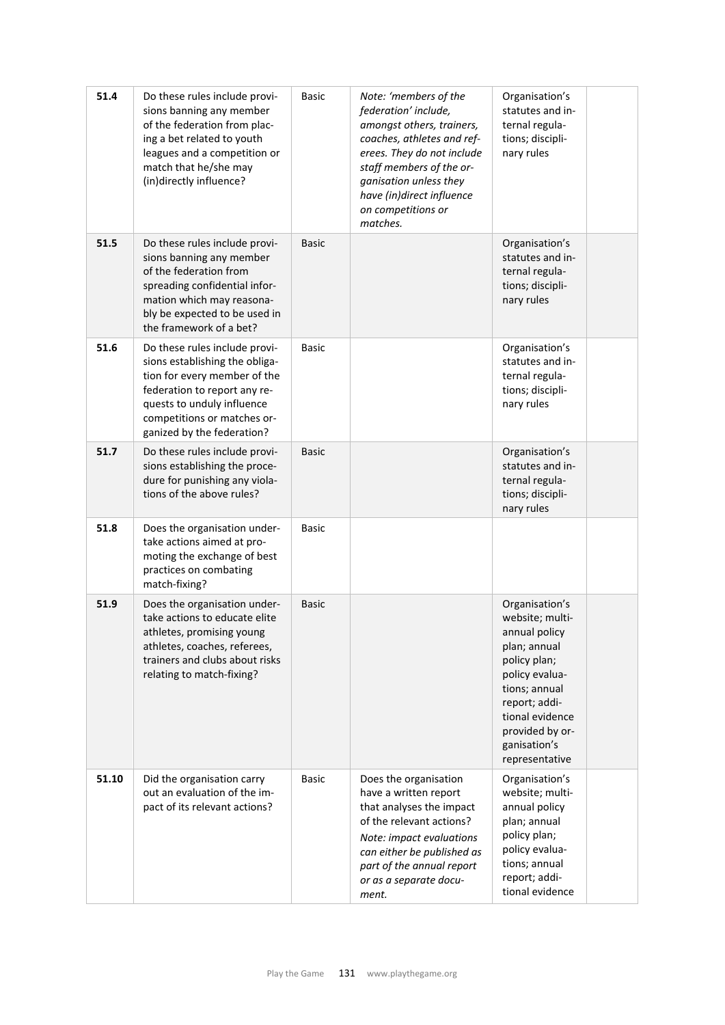| 51.4  | Do these rules include provi-<br>sions banning any member<br>of the federation from plac-<br>ing a bet related to youth<br>leagues and a competition or<br>match that he/she may<br>(in)directly influence?                | <b>Basic</b> | Note: 'members of the<br>federation' include,<br>amongst others, trainers,<br>coaches, athletes and ref-<br>erees. They do not include<br>staff members of the or-<br>ganisation unless they<br>have (in)direct influence<br>on competitions or<br>matches. | Organisation's<br>statutes and in-<br>ternal regula-<br>tions; discipli-<br>nary rules                                                                                                                         |  |
|-------|----------------------------------------------------------------------------------------------------------------------------------------------------------------------------------------------------------------------------|--------------|-------------------------------------------------------------------------------------------------------------------------------------------------------------------------------------------------------------------------------------------------------------|----------------------------------------------------------------------------------------------------------------------------------------------------------------------------------------------------------------|--|
| 51.5  | Do these rules include provi-<br>sions banning any member<br>of the federation from<br>spreading confidential infor-<br>mation which may reasona-<br>bly be expected to be used in<br>the framework of a bet?              | <b>Basic</b> |                                                                                                                                                                                                                                                             | Organisation's<br>statutes and in-<br>ternal regula-<br>tions; discipli-<br>nary rules                                                                                                                         |  |
| 51.6  | Do these rules include provi-<br>sions establishing the obliga-<br>tion for every member of the<br>federation to report any re-<br>quests to unduly influence<br>competitions or matches or-<br>ganized by the federation? | <b>Basic</b> |                                                                                                                                                                                                                                                             | Organisation's<br>statutes and in-<br>ternal regula-<br>tions; discipli-<br>nary rules                                                                                                                         |  |
| 51.7  | Do these rules include provi-<br>sions establishing the proce-<br>dure for punishing any viola-<br>tions of the above rules?                                                                                               | <b>Basic</b> |                                                                                                                                                                                                                                                             | Organisation's<br>statutes and in-<br>ternal regula-<br>tions; discipli-<br>nary rules                                                                                                                         |  |
| 51.8  | Does the organisation under-<br>take actions aimed at pro-<br>moting the exchange of best<br>practices on combating<br>match-fixing?                                                                                       | <b>Basic</b> |                                                                                                                                                                                                                                                             |                                                                                                                                                                                                                |  |
| 51.9  | Does the organisation under-<br>take actions to educate elite<br>athletes, promising young<br>athletes, coaches, referees,<br>trainers and clubs about risks<br>relating to match-fixing?                                  | <b>Basic</b> |                                                                                                                                                                                                                                                             | Organisation's<br>website; multi-<br>annual policy<br>plan; annual<br>policy plan;<br>policy evalua-<br>tions; annual<br>report; addi-<br>tional evidence<br>provided by or-<br>ganisation's<br>representative |  |
| 51.10 | Did the organisation carry<br>out an evaluation of the im-<br>pact of its relevant actions?                                                                                                                                | <b>Basic</b> | Does the organisation<br>have a written report<br>that analyses the impact<br>of the relevant actions?<br>Note: impact evaluations<br>can either be published as<br>part of the annual report<br>or as a separate docu-<br>ment.                            | Organisation's<br>website; multi-<br>annual policy<br>plan; annual<br>policy plan;<br>policy evalua-<br>tions; annual<br>report; addi-<br>tional evidence                                                      |  |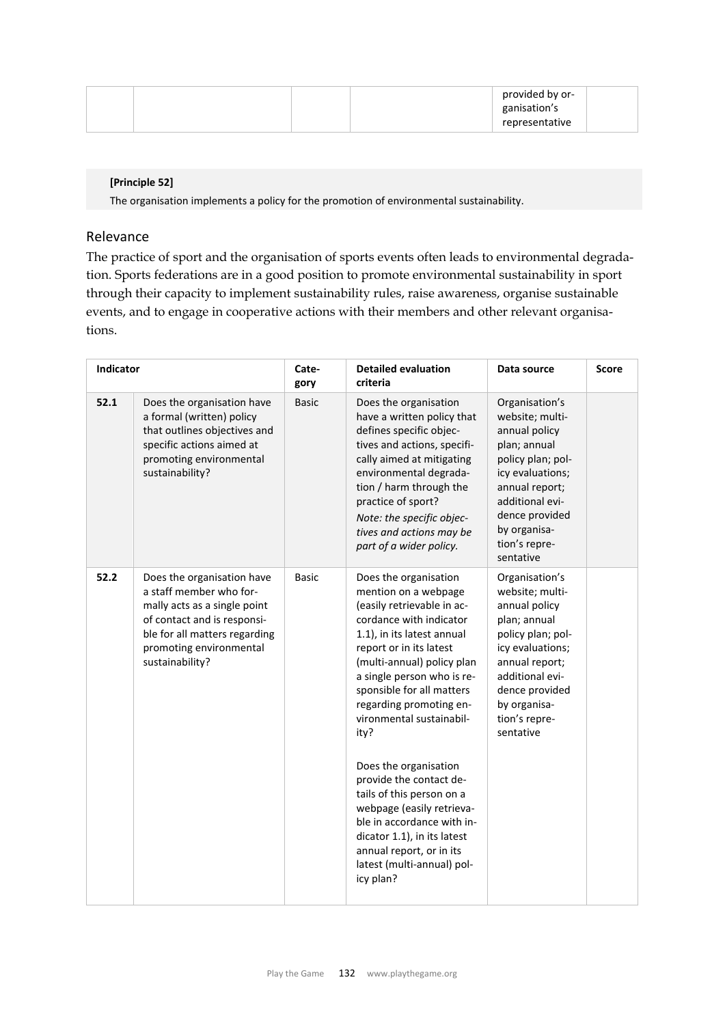|  |  | provided by or- |  |
|--|--|-----------------|--|
|  |  | ganisation's    |  |
|  |  | representative  |  |

### **[Principle 52]**

The organisation implements a policy for the promotion of environmental sustainability.

### Relevance

The practice of sport and the organisation of sports events often leads to environmental degradation. Sports federations are in a good position to promote environmental sustainability in sport through their capacity to implement sustainability rules, raise awareness, organise sustainable events, and to engage in cooperative actions with their members and other relevant organisations.

| Indicator |                                                                                                                                                                                                     | Cate-<br>gory | <b>Detailed evaluation</b><br>criteria                                                                                                                                                                                                                                                                                                                                                                                                                                                                                                                                    | Data source                                                                                                                                                                                                      | Score |
|-----------|-----------------------------------------------------------------------------------------------------------------------------------------------------------------------------------------------------|---------------|---------------------------------------------------------------------------------------------------------------------------------------------------------------------------------------------------------------------------------------------------------------------------------------------------------------------------------------------------------------------------------------------------------------------------------------------------------------------------------------------------------------------------------------------------------------------------|------------------------------------------------------------------------------------------------------------------------------------------------------------------------------------------------------------------|-------|
| 52.1      | Does the organisation have<br>a formal (written) policy<br>that outlines objectives and<br>specific actions aimed at<br>promoting environmental<br>sustainability?                                  | <b>Basic</b>  | Does the organisation<br>have a written policy that<br>defines specific objec-<br>tives and actions, specifi-<br>cally aimed at mitigating<br>environmental degrada-<br>tion / harm through the<br>practice of sport?<br>Note: the specific objec-<br>tives and actions may be<br>part of a wider policy.                                                                                                                                                                                                                                                                 | Organisation's<br>website; multi-<br>annual policy<br>plan; annual<br>policy plan; pol-<br>icy evaluations;<br>annual report;<br>additional evi-<br>dence provided<br>by organisa-<br>tion's repre-<br>sentative |       |
| 52.2      | Does the organisation have<br>a staff member who for-<br>mally acts as a single point<br>of contact and is responsi-<br>ble for all matters regarding<br>promoting environmental<br>sustainability? | <b>Basic</b>  | Does the organisation<br>mention on a webpage<br>(easily retrievable in ac-<br>cordance with indicator<br>1.1), in its latest annual<br>report or in its latest<br>(multi-annual) policy plan<br>a single person who is re-<br>sponsible for all matters<br>regarding promoting en-<br>vironmental sustainabil-<br>ity?<br>Does the organisation<br>provide the contact de-<br>tails of this person on a<br>webpage (easily retrieva-<br>ble in accordance with in-<br>dicator 1.1), in its latest<br>annual report, or in its<br>latest (multi-annual) pol-<br>icy plan? | Organisation's<br>website; multi-<br>annual policy<br>plan; annual<br>policy plan; pol-<br>icy evaluations;<br>annual report;<br>additional evi-<br>dence provided<br>by organisa-<br>tion's repre-<br>sentative |       |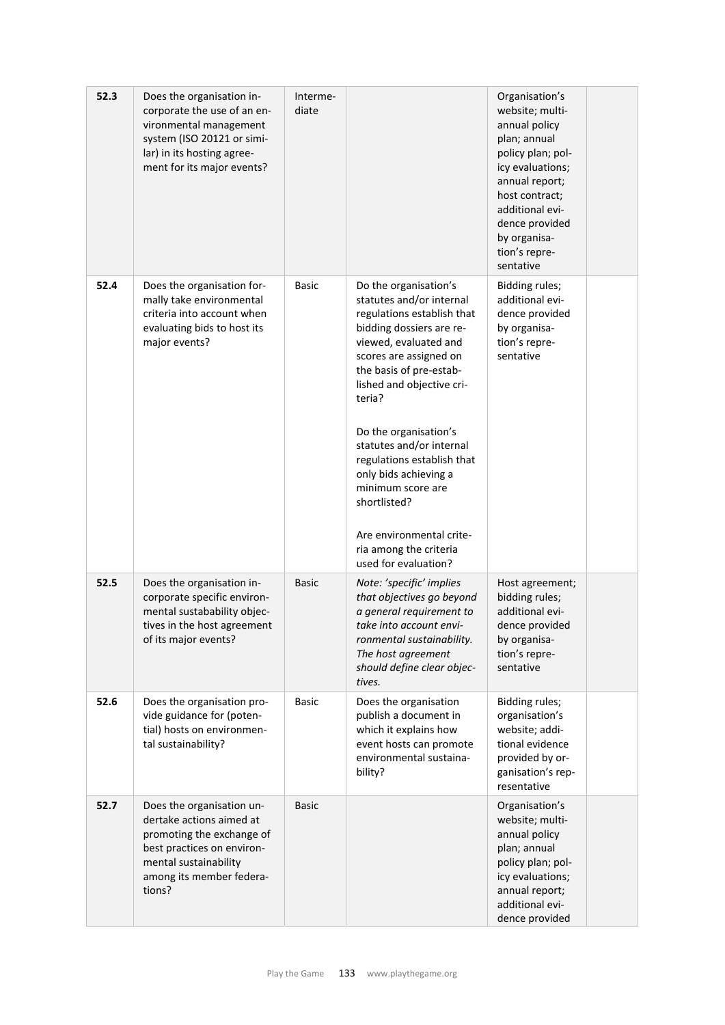| 52.3 | Does the organisation in-<br>corporate the use of an en-<br>vironmental management<br>system (ISO 20121 or simi-<br>lar) in its hosting agree-<br>ment for its major events?    | Interme-<br>diate |                                                                                                                                                                                                                                                                                                                                                                                                                                                                 | Organisation's<br>website; multi-<br>annual policy<br>plan; annual<br>policy plan; pol-<br>icy evaluations;<br>annual report;<br>host contract;<br>additional evi-<br>dence provided<br>by organisa-<br>tion's repre-<br>sentative |  |
|------|---------------------------------------------------------------------------------------------------------------------------------------------------------------------------------|-------------------|-----------------------------------------------------------------------------------------------------------------------------------------------------------------------------------------------------------------------------------------------------------------------------------------------------------------------------------------------------------------------------------------------------------------------------------------------------------------|------------------------------------------------------------------------------------------------------------------------------------------------------------------------------------------------------------------------------------|--|
| 52.4 | Does the organisation for-<br>mally take environmental<br>criteria into account when<br>evaluating bids to host its<br>major events?                                            | Basic             | Do the organisation's<br>statutes and/or internal<br>regulations establish that<br>bidding dossiers are re-<br>viewed, evaluated and<br>scores are assigned on<br>the basis of pre-estab-<br>lished and objective cri-<br>teria?<br>Do the organisation's<br>statutes and/or internal<br>regulations establish that<br>only bids achieving a<br>minimum score are<br>shortlisted?<br>Are environmental crite-<br>ria among the criteria<br>used for evaluation? | Bidding rules;<br>additional evi-<br>dence provided<br>by organisa-<br>tion's repre-<br>sentative                                                                                                                                  |  |
| 52.5 | Does the organisation in-<br>corporate specific environ-<br>mental sustabability objec-<br>tives in the host agreement<br>of its major events?                                  | <b>Basic</b>      | Note: 'specific' implies<br>that objectives go beyond<br>a general requirement to<br>take into account envi-<br>ronmental sustainability.<br>The host agreement<br>should define clear objec-<br>tives.                                                                                                                                                                                                                                                         | Host agreement;<br>bidding rules;<br>additional evi-<br>dence provided<br>by organisa-<br>tion's repre-<br>sentative                                                                                                               |  |
| 52.6 | Does the organisation pro-<br>vide guidance for (poten-<br>tial) hosts on environmen-<br>tal sustainability?                                                                    | <b>Basic</b>      | Does the organisation<br>publish a document in<br>which it explains how<br>event hosts can promote<br>environmental sustaina-<br>bility?                                                                                                                                                                                                                                                                                                                        | Bidding rules;<br>organisation's<br>website; addi-<br>tional evidence<br>provided by or-<br>ganisation's rep-<br>resentative                                                                                                       |  |
| 52.7 | Does the organisation un-<br>dertake actions aimed at<br>promoting the exchange of<br>best practices on environ-<br>mental sustainability<br>among its member federa-<br>tions? | Basic             |                                                                                                                                                                                                                                                                                                                                                                                                                                                                 | Organisation's<br>website; multi-<br>annual policy<br>plan; annual<br>policy plan; pol-<br>icy evaluations;<br>annual report;<br>additional evi-<br>dence provided                                                                 |  |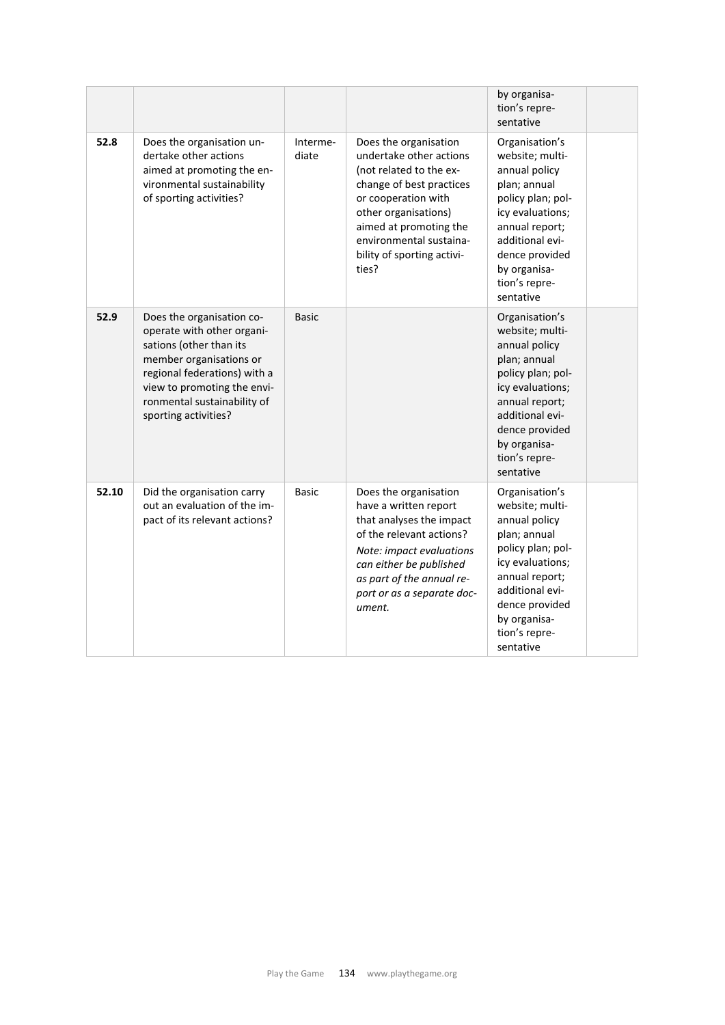|       |                                                                                                                                                                                                                                     |                   |                                                                                                                                                                                                                                                    | by organisa-<br>tion's repre-<br>sentative                                                                                                                                                                       |
|-------|-------------------------------------------------------------------------------------------------------------------------------------------------------------------------------------------------------------------------------------|-------------------|----------------------------------------------------------------------------------------------------------------------------------------------------------------------------------------------------------------------------------------------------|------------------------------------------------------------------------------------------------------------------------------------------------------------------------------------------------------------------|
| 52.8  | Does the organisation un-<br>dertake other actions<br>aimed at promoting the en-<br>vironmental sustainability<br>of sporting activities?                                                                                           | Interme-<br>diate | Does the organisation<br>undertake other actions<br>(not related to the ex-<br>change of best practices<br>or cooperation with<br>other organisations)<br>aimed at promoting the<br>environmental sustaina-<br>bility of sporting activi-<br>ties? | Organisation's<br>website; multi-<br>annual policy<br>plan; annual<br>policy plan; pol-<br>icy evaluations;<br>annual report;<br>additional evi-<br>dence provided<br>by organisa-<br>tion's repre-<br>sentative |
| 52.9  | Does the organisation co-<br>operate with other organi-<br>sations (other than its<br>member organisations or<br>regional federations) with a<br>view to promoting the envi-<br>ronmental sustainability of<br>sporting activities? | <b>Basic</b>      |                                                                                                                                                                                                                                                    | Organisation's<br>website; multi-<br>annual policy<br>plan; annual<br>policy plan; pol-<br>icy evaluations;<br>annual report;<br>additional evi-<br>dence provided<br>by organisa-<br>tion's repre-<br>sentative |
| 52.10 | Did the organisation carry<br>out an evaluation of the im-<br>pact of its relevant actions?                                                                                                                                         | <b>Basic</b>      | Does the organisation<br>have a written report<br>that analyses the impact<br>of the relevant actions?<br>Note: impact evaluations<br>can either be published<br>as part of the annual re-<br>port or as a separate doc-<br>ument.                 | Organisation's<br>website; multi-<br>annual policy<br>plan; annual<br>policy plan; pol-<br>icy evaluations;<br>annual report;<br>additional evi-<br>dence provided<br>by organisa-<br>tion's repre-<br>sentative |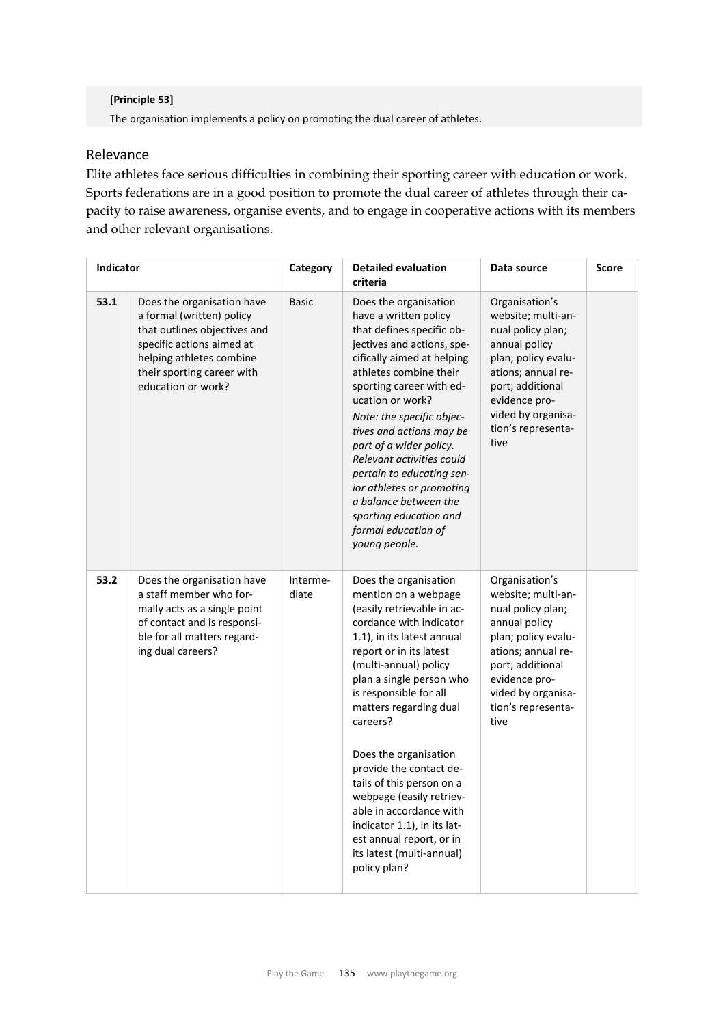#### **[Principle 53]**

The organisation implements a policy on promoting the dual career of athletes.

### Relevance

Elite athletes face serious difficulties in combining their sporting career with education or work. Sports federations are in a good position to promote the dual career of athletes through their capacity to raise awareness, organise events, and to engage in cooperative actions with its members and other relevant organisations.

| Indicator |                                                                                                                                                                                                      | Category          | <b>Detailed evaluation</b><br>criteria                                                                                                                                                                                                                                                                                                                                                                                                                                                                                               | Data source                                                                                                                                                                                                      | <b>Score</b> |
|-----------|------------------------------------------------------------------------------------------------------------------------------------------------------------------------------------------------------|-------------------|--------------------------------------------------------------------------------------------------------------------------------------------------------------------------------------------------------------------------------------------------------------------------------------------------------------------------------------------------------------------------------------------------------------------------------------------------------------------------------------------------------------------------------------|------------------------------------------------------------------------------------------------------------------------------------------------------------------------------------------------------------------|--------------|
| 53.1      | Does the organisation have<br>a formal (written) policy<br>that outlines objectives and<br>specific actions aimed at<br>helping athletes combine<br>their sporting career with<br>education or work? | <b>Basic</b>      | Does the organisation<br>have a written policy<br>that defines specific ob-<br>jectives and actions, spe-<br>cifically aimed at helping<br>athletes combine their<br>sporting career with ed-<br>ucation or work?<br>Note: the specific objec-<br>tives and actions may be<br>part of a wider policy.<br>Relevant activities could<br>pertain to educating sen-<br>ior athletes or promoting<br>a balance between the<br>sporting education and<br>formal education of<br>young people.                                              | Organisation's<br>website; multi-an-<br>nual policy plan;<br>annual policy<br>plan; policy evalu-<br>ations; annual re-<br>port; additional<br>evidence pro-<br>vided by organisa-<br>tion's representa-<br>tive |              |
| 53.2      | Does the organisation have<br>a staff member who for-<br>mally acts as a single point<br>of contact and is responsi-<br>ble for all matters regard-<br>ing dual careers?                             | Interme-<br>diate | Does the organisation<br>mention on a webpage<br>(easily retrievable in ac-<br>cordance with indicator<br>1.1), in its latest annual<br>report or in its latest<br>(multi-annual) policy<br>plan a single person who<br>is responsible for all<br>matters regarding dual<br>careers?<br>Does the organisation<br>provide the contact de-<br>tails of this person on a<br>webpage (easily retriev-<br>able in accordance with<br>indicator 1.1), in its lat-<br>est annual report, or in<br>its latest (multi-annual)<br>policy plan? | Organisation's<br>website; multi-an-<br>nual policy plan;<br>annual policy<br>plan; policy evalu-<br>ations; annual re-<br>port; additional<br>evidence pro-<br>vided by organisa-<br>tion's representa-<br>tive |              |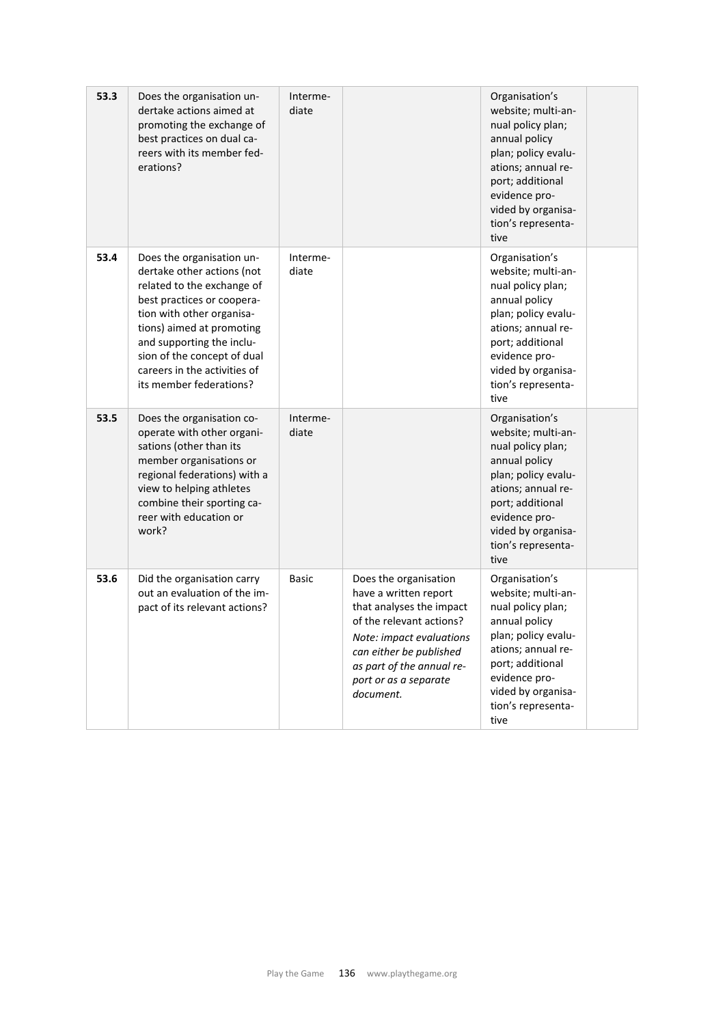| 53.3 | Does the organisation un-<br>dertake actions aimed at<br>promoting the exchange of<br>best practices on dual ca-<br>reers with its member fed-<br>erations?                                                                                                                                          | Interme-<br>diate |                                                                                                                                                                                                                                  | Organisation's<br>website; multi-an-<br>nual policy plan;<br>annual policy<br>plan; policy evalu-<br>ations; annual re-<br>port; additional<br>evidence pro-<br>vided by organisa-<br>tion's representa-<br>tive |  |
|------|------------------------------------------------------------------------------------------------------------------------------------------------------------------------------------------------------------------------------------------------------------------------------------------------------|-------------------|----------------------------------------------------------------------------------------------------------------------------------------------------------------------------------------------------------------------------------|------------------------------------------------------------------------------------------------------------------------------------------------------------------------------------------------------------------|--|
| 53.4 | Does the organisation un-<br>dertake other actions (not<br>related to the exchange of<br>best practices or coopera-<br>tion with other organisa-<br>tions) aimed at promoting<br>and supporting the inclu-<br>sion of the concept of dual<br>careers in the activities of<br>its member federations? | Interme-<br>diate |                                                                                                                                                                                                                                  | Organisation's<br>website; multi-an-<br>nual policy plan;<br>annual policy<br>plan; policy evalu-<br>ations; annual re-<br>port; additional<br>evidence pro-<br>vided by organisa-<br>tion's representa-<br>tive |  |
| 53.5 | Does the organisation co-<br>operate with other organi-<br>sations (other than its<br>member organisations or<br>regional federations) with a<br>view to helping athletes<br>combine their sporting ca-<br>reer with education or<br>work?                                                           | Interme-<br>diate |                                                                                                                                                                                                                                  | Organisation's<br>website; multi-an-<br>nual policy plan;<br>annual policy<br>plan; policy evalu-<br>ations; annual re-<br>port; additional<br>evidence pro-<br>vided by organisa-<br>tion's representa-<br>tive |  |
| 53.6 | Did the organisation carry<br>out an evaluation of the im-<br>pact of its relevant actions?                                                                                                                                                                                                          | Basic             | Does the organisation<br>have a written report<br>that analyses the impact<br>of the relevant actions?<br>Note: impact evaluations<br>can either be published<br>as part of the annual re-<br>port or as a separate<br>document. | Organisation's<br>website; multi-an-<br>nual policy plan;<br>annual policy<br>plan; policy evalu-<br>ations; annual re-<br>port; additional<br>evidence pro-<br>vided by organisa-<br>tion's representa-<br>tive |  |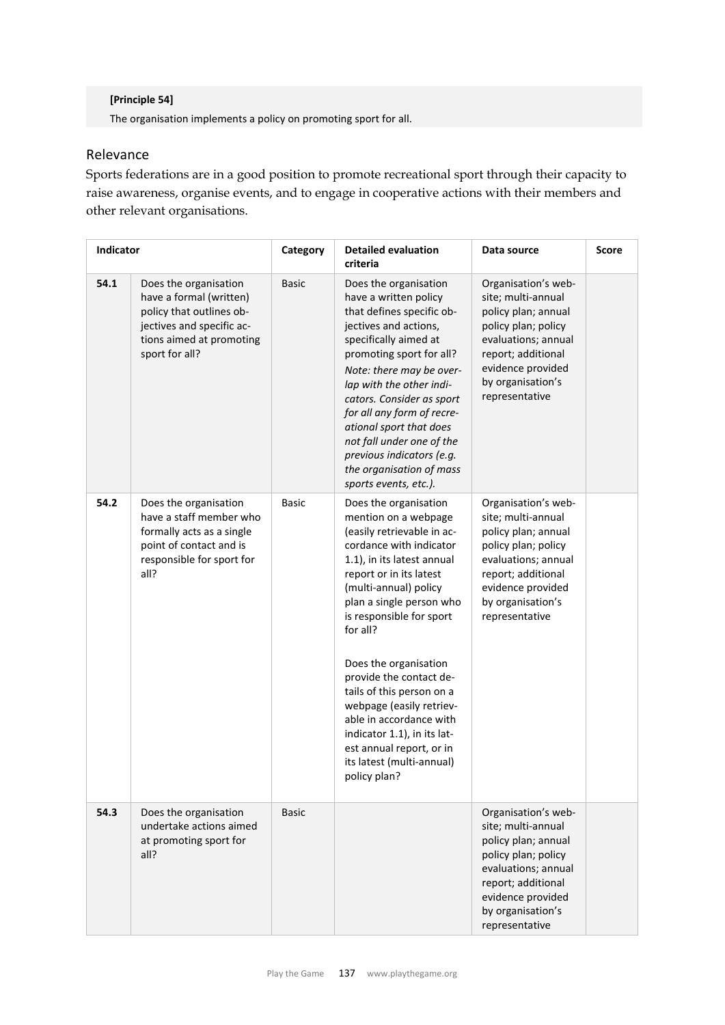#### **[Principle 54]**

The organisation implements a policy on promoting sport for all.

## Relevance

Sports federations are in a good position to promote recreational sport through their capacity to raise awareness, organise events, and to engage in cooperative actions with their members and other relevant organisations.

| Indicator |                                                                                                                                                         | Category     | <b>Detailed evaluation</b><br>criteria                                                                                                                                                                                                                                                                                                                                                                                                                                                                       | Data source                                                                                                                                                                                      | <b>Score</b> |
|-----------|---------------------------------------------------------------------------------------------------------------------------------------------------------|--------------|--------------------------------------------------------------------------------------------------------------------------------------------------------------------------------------------------------------------------------------------------------------------------------------------------------------------------------------------------------------------------------------------------------------------------------------------------------------------------------------------------------------|--------------------------------------------------------------------------------------------------------------------------------------------------------------------------------------------------|--------------|
| 54.1      | Does the organisation<br>have a formal (written)<br>policy that outlines ob-<br>jectives and specific ac-<br>tions aimed at promoting<br>sport for all? | <b>Basic</b> | Does the organisation<br>have a written policy<br>that defines specific ob-<br>jectives and actions,<br>specifically aimed at<br>promoting sport for all?<br>Note: there may be over-<br>lap with the other indi-<br>cators. Consider as sport<br>for all any form of recre-<br>ational sport that does<br>not fall under one of the<br>previous indicators (e.g.<br>the organisation of mass<br>sports events, etc.).                                                                                       | Organisation's web-<br>site; multi-annual<br>policy plan; annual<br>policy plan; policy<br>evaluations; annual<br>report; additional<br>evidence provided<br>by organisation's<br>representative |              |
| 54.2      | Does the organisation<br>have a staff member who<br>formally acts as a single<br>point of contact and is<br>responsible for sport for<br>all?           | <b>Basic</b> | Does the organisation<br>mention on a webpage<br>(easily retrievable in ac-<br>cordance with indicator<br>1.1), in its latest annual<br>report or in its latest<br>(multi-annual) policy<br>plan a single person who<br>is responsible for sport<br>for all?<br>Does the organisation<br>provide the contact de-<br>tails of this person on a<br>webpage (easily retriev-<br>able in accordance with<br>indicator 1.1), in its lat-<br>est annual report, or in<br>its latest (multi-annual)<br>policy plan? | Organisation's web-<br>site; multi-annual<br>policy plan; annual<br>policy plan; policy<br>evaluations; annual<br>report; additional<br>evidence provided<br>by organisation's<br>representative |              |
| 54.3      | Does the organisation<br>undertake actions aimed<br>at promoting sport for<br>all?                                                                      | <b>Basic</b> |                                                                                                                                                                                                                                                                                                                                                                                                                                                                                                              | Organisation's web-<br>site; multi-annual<br>policy plan; annual<br>policy plan; policy<br>evaluations; annual<br>report; additional<br>evidence provided<br>by organisation's<br>representative |              |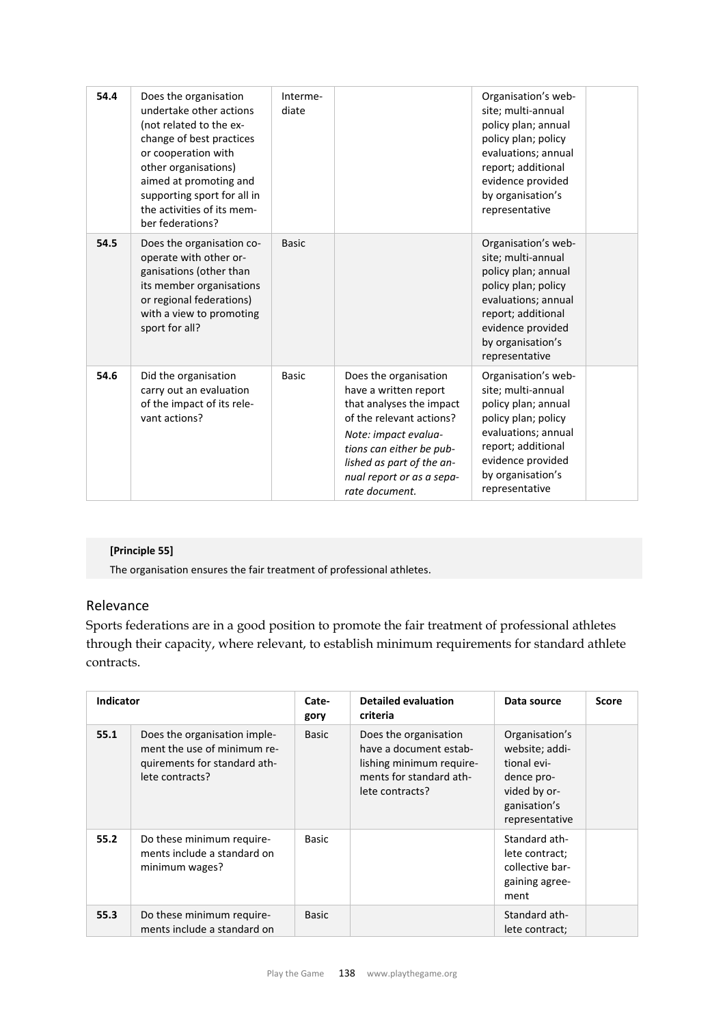| 54.4 | Does the organisation<br>undertake other actions<br>(not related to the ex-<br>change of best practices<br>or cooperation with<br>other organisations)<br>aimed at promoting and<br>supporting sport for all in<br>the activities of its mem-<br>ber federations? | Interme-<br>diate |                                                                                                                                                                                                                                        | Organisation's web-<br>site; multi-annual<br>policy plan; annual<br>policy plan; policy<br>evaluations; annual<br>report; additional<br>evidence provided<br>by organisation's<br>representative |  |
|------|-------------------------------------------------------------------------------------------------------------------------------------------------------------------------------------------------------------------------------------------------------------------|-------------------|----------------------------------------------------------------------------------------------------------------------------------------------------------------------------------------------------------------------------------------|--------------------------------------------------------------------------------------------------------------------------------------------------------------------------------------------------|--|
| 54.5 | Does the organisation co-<br>operate with other or-<br>ganisations (other than<br>its member organisations<br>or regional federations)<br>with a view to promoting<br>sport for all?                                                                              | <b>Basic</b>      |                                                                                                                                                                                                                                        | Organisation's web-<br>site; multi-annual<br>policy plan; annual<br>policy plan; policy<br>evaluations; annual<br>report; additional<br>evidence provided<br>by organisation's<br>representative |  |
| 54.6 | Did the organisation<br>carry out an evaluation<br>of the impact of its rele-<br>vant actions?                                                                                                                                                                    | <b>Basic</b>      | Does the organisation<br>have a written report<br>that analyses the impact<br>of the relevant actions?<br>Note: impact evalua-<br>tions can either be pub-<br>lished as part of the an-<br>nual report or as a sepa-<br>rate document. | Organisation's web-<br>site; multi-annual<br>policy plan; annual<br>policy plan; policy<br>evaluations; annual<br>report; additional<br>evidence provided<br>by organisation's<br>representative |  |

#### **[Principle 55]**

The organisation ensures the fair treatment of professional athletes.

## Relevance

Sports federations are in a good position to promote the fair treatment of professional athletes through their capacity, where relevant, to establish minimum requirements for standard athlete contracts.

| <b>Indicator</b> |                                                                                                                | Cate-<br>gory | <b>Detailed evaluation</b><br>criteria                                                                                    | Data source                                                                                                     | <b>Score</b> |
|------------------|----------------------------------------------------------------------------------------------------------------|---------------|---------------------------------------------------------------------------------------------------------------------------|-----------------------------------------------------------------------------------------------------------------|--------------|
| 55.1             | Does the organisation imple-<br>ment the use of minimum re-<br>quirements for standard ath-<br>lete contracts? | Basic         | Does the organisation<br>have a document estab-<br>lishing minimum require-<br>ments for standard ath-<br>lete contracts? | Organisation's<br>website; addi-<br>tional evi-<br>dence pro-<br>vided by or-<br>ganisation's<br>representative |              |
| 55.2             | Do these minimum require-<br>ments include a standard on<br>minimum wages?                                     | <b>Basic</b>  |                                                                                                                           | Standard ath-<br>lete contract;<br>collective bar-<br>gaining agree-<br>ment                                    |              |
| 55.3             | Do these minimum require-<br>ments include a standard on                                                       | <b>Basic</b>  |                                                                                                                           | Standard ath-<br>lete contract;                                                                                 |              |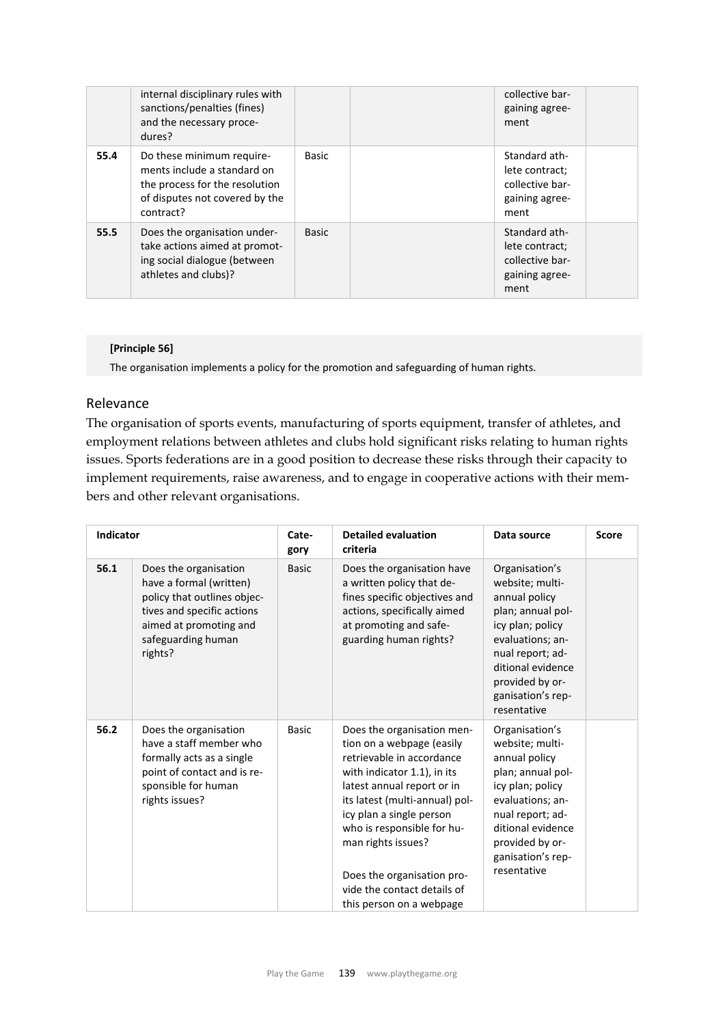| internal disciplinary rules with<br>sanctions/penalties (fines)<br>and the necessary proce-<br>dures?                                             |              | collective bar-<br>gaining agree-<br>ment                                    |  |
|---------------------------------------------------------------------------------------------------------------------------------------------------|--------------|------------------------------------------------------------------------------|--|
| 55.4<br>Do these minimum require-<br>ments include a standard on<br>the process for the resolution<br>of disputes not covered by the<br>contract? | <b>Basic</b> | Standard ath-<br>lete contract;<br>collective bar-<br>gaining agree-<br>ment |  |
| 55.5<br>Does the organisation under-<br>take actions aimed at promot-<br>ing social dialogue (between<br>athletes and clubs)?                     | Basic        | Standard ath-<br>lete contract;<br>collective bar-<br>gaining agree-<br>ment |  |

#### **[Principle 56]**

The organisation implements a policy for the promotion and safeguarding of human rights.

### Relevance

The organisation of sports events, manufacturing of sports equipment, transfer of athletes, and employment relations between athletes and clubs hold significant risks relating to human rights issues. Sports federations are in a good position to decrease these risks through their capacity to implement requirements, raise awareness, and to engage in cooperative actions with their members and other relevant organisations.

| Indicator |                                                                                                                                                                          | Cate-<br>gory | <b>Detailed evaluation</b><br>criteria                                                                                                                                                                                                                                                                                                                       | Data source                                                                                                                                                                                                     | <b>Score</b> |
|-----------|--------------------------------------------------------------------------------------------------------------------------------------------------------------------------|---------------|--------------------------------------------------------------------------------------------------------------------------------------------------------------------------------------------------------------------------------------------------------------------------------------------------------------------------------------------------------------|-----------------------------------------------------------------------------------------------------------------------------------------------------------------------------------------------------------------|--------------|
| 56.1      | Does the organisation<br>have a formal (written)<br>policy that outlines objec-<br>tives and specific actions<br>aimed at promoting and<br>safeguarding human<br>rights? | <b>Basic</b>  | Does the organisation have<br>a written policy that de-<br>fines specific objectives and<br>actions, specifically aimed<br>at promoting and safe-<br>guarding human rights?                                                                                                                                                                                  | Organisation's<br>website; multi-<br>annual policy<br>plan; annual pol-<br>icy plan; policy<br>evaluations; an-<br>nual report; ad-<br>ditional evidence<br>provided by or-<br>ganisation's rep-<br>resentative |              |
| 56.2      | Does the organisation<br>have a staff member who<br>formally acts as a single<br>point of contact and is re-<br>sponsible for human<br>rights issues?                    | <b>Basic</b>  | Does the organisation men-<br>tion on a webpage (easily<br>retrievable in accordance<br>with indicator 1.1), in its<br>latest annual report or in<br>its latest (multi-annual) pol-<br>icy plan a single person<br>who is responsible for hu-<br>man rights issues?<br>Does the organisation pro-<br>vide the contact details of<br>this person on a webpage | Organisation's<br>website; multi-<br>annual policy<br>plan; annual pol-<br>icy plan; policy<br>evaluations; an-<br>nual report; ad-<br>ditional evidence<br>provided by or-<br>ganisation's rep-<br>resentative |              |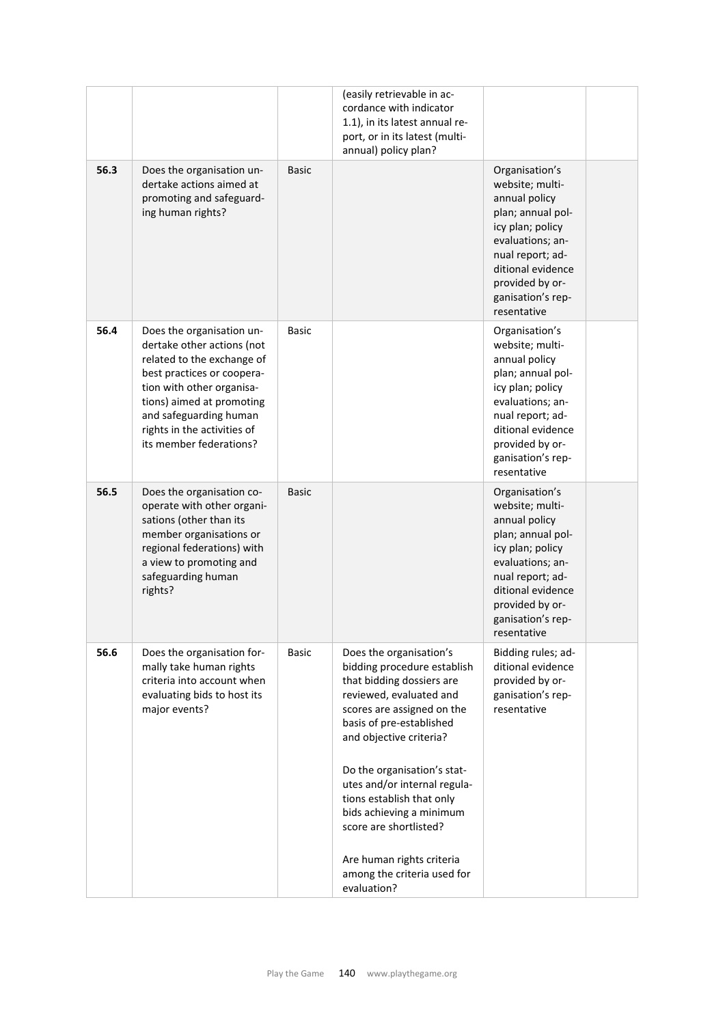|      |                                                                                                                                                                                                                                                                   |              | (easily retrievable in ac-<br>cordance with indicator<br>1.1), in its latest annual re-<br>port, or in its latest (multi-<br>annual) policy plan?                                                                                                                                                                                                     |                                                                                                                                                                                                                 |
|------|-------------------------------------------------------------------------------------------------------------------------------------------------------------------------------------------------------------------------------------------------------------------|--------------|-------------------------------------------------------------------------------------------------------------------------------------------------------------------------------------------------------------------------------------------------------------------------------------------------------------------------------------------------------|-----------------------------------------------------------------------------------------------------------------------------------------------------------------------------------------------------------------|
| 56.3 | Does the organisation un-<br>dertake actions aimed at<br>promoting and safeguard-<br>ing human rights?                                                                                                                                                            | <b>Basic</b> |                                                                                                                                                                                                                                                                                                                                                       | Organisation's<br>website; multi-<br>annual policy<br>plan; annual pol-<br>icy plan; policy<br>evaluations; an-<br>nual report; ad-<br>ditional evidence<br>provided by or-<br>ganisation's rep-<br>resentative |
| 56.4 | Does the organisation un-<br>dertake other actions (not<br>related to the exchange of<br>best practices or coopera-<br>tion with other organisa-<br>tions) aimed at promoting<br>and safeguarding human<br>rights in the activities of<br>its member federations? | Basic        |                                                                                                                                                                                                                                                                                                                                                       | Organisation's<br>website; multi-<br>annual policy<br>plan; annual pol-<br>icy plan; policy<br>evaluations; an-<br>nual report; ad-<br>ditional evidence<br>provided by or-<br>ganisation's rep-<br>resentative |
| 56.5 | Does the organisation co-<br>operate with other organi-<br>sations (other than its<br>member organisations or<br>regional federations) with<br>a view to promoting and<br>safeguarding human<br>rights?                                                           | <b>Basic</b> |                                                                                                                                                                                                                                                                                                                                                       | Organisation's<br>website; multi-<br>annual policy<br>plan; annual pol-<br>icy plan; policy<br>evaluations; an-<br>nual report; ad-<br>ditional evidence<br>provided by or-<br>ganisation's rep-<br>resentative |
| 56.6 | Does the organisation for-<br>mally take human rights<br>criteria into account when<br>evaluating bids to host its<br>major events?                                                                                                                               | <b>Basic</b> | Does the organisation's<br>bidding procedure establish<br>that bidding dossiers are<br>reviewed, evaluated and<br>scores are assigned on the<br>basis of pre-established<br>and objective criteria?<br>Do the organisation's stat-<br>utes and/or internal regula-<br>tions establish that only<br>bids achieving a minimum<br>score are shortlisted? | Bidding rules; ad-<br>ditional evidence<br>provided by or-<br>ganisation's rep-<br>resentative                                                                                                                  |
|      |                                                                                                                                                                                                                                                                   |              | Are human rights criteria<br>among the criteria used for<br>evaluation?                                                                                                                                                                                                                                                                               |                                                                                                                                                                                                                 |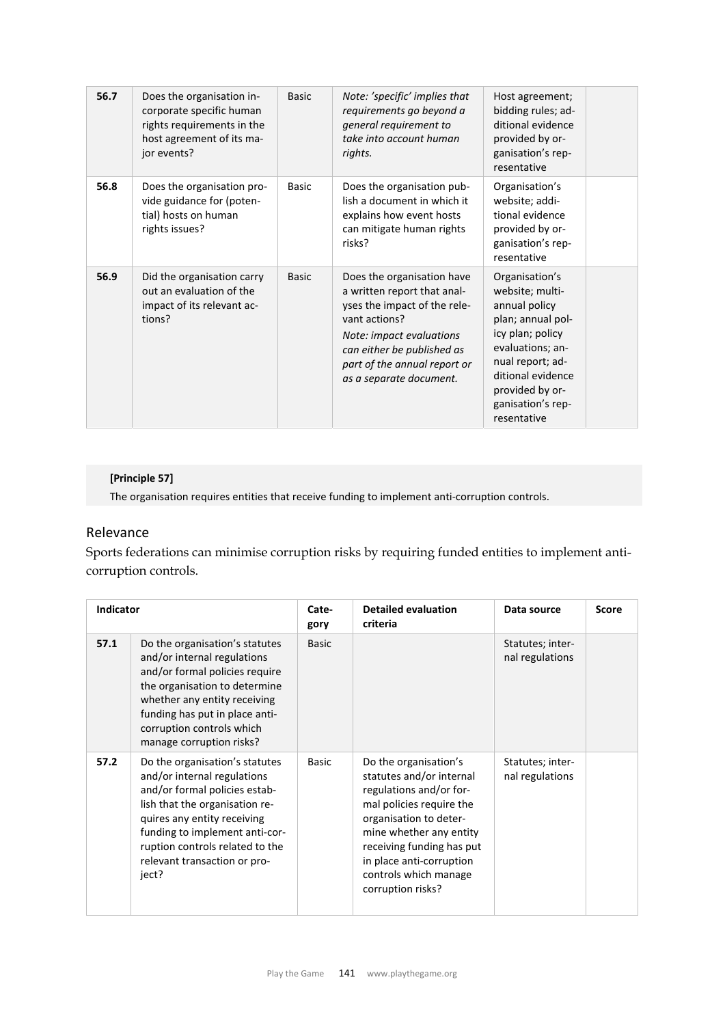| 56.7 | Does the organisation in-<br>corporate specific human<br>rights requirements in the<br>host agreement of its ma-<br>jor events? | <b>Basic</b> | Note: 'specific' implies that<br>requirements go beyond a<br>general requirement to<br>take into account human<br>rights.                                                                                                       | Host agreement;<br>bidding rules; ad-<br>ditional evidence<br>provided by or-<br>ganisation's rep-<br>resentative                                                                                               |
|------|---------------------------------------------------------------------------------------------------------------------------------|--------------|---------------------------------------------------------------------------------------------------------------------------------------------------------------------------------------------------------------------------------|-----------------------------------------------------------------------------------------------------------------------------------------------------------------------------------------------------------------|
| 56.8 | Does the organisation pro-<br>vide guidance for (poten-<br>tial) hosts on human<br>rights issues?                               | <b>Basic</b> | Does the organisation pub-<br>lish a document in which it<br>explains how event hosts<br>can mitigate human rights<br>risks?                                                                                                    | Organisation's<br>website; addi-<br>tional evidence<br>provided by or-<br>ganisation's rep-<br>resentative                                                                                                      |
| 56.9 | Did the organisation carry<br>out an evaluation of the<br>impact of its relevant ac-<br>tions?                                  | <b>Basic</b> | Does the organisation have<br>a written report that anal-<br>yses the impact of the rele-<br>vant actions?<br>Note: impact evaluations<br>can either be published as<br>part of the annual report or<br>as a separate document. | Organisation's<br>website; multi-<br>annual policy<br>plan; annual pol-<br>icy plan; policy<br>evaluations; an-<br>nual report; ad-<br>ditional evidence<br>provided by or-<br>ganisation's rep-<br>resentative |

## **[Principle 57]**

The organisation requires entities that receive funding to implement anti-corruption controls.

# Relevance

Sports federations can minimise corruption risks by requiring funded entities to implement anticorruption controls.

| <b>Indicator</b> |                                                                                                                                                                                                                                                                               | Cate-<br>gory | <b>Detailed evaluation</b><br>criteria                                                                                                                                                                                                                               | Data source                         | <b>Score</b> |
|------------------|-------------------------------------------------------------------------------------------------------------------------------------------------------------------------------------------------------------------------------------------------------------------------------|---------------|----------------------------------------------------------------------------------------------------------------------------------------------------------------------------------------------------------------------------------------------------------------------|-------------------------------------|--------------|
| 57.1             | Do the organisation's statutes<br>and/or internal regulations<br>and/or formal policies require<br>the organisation to determine<br>whether any entity receiving<br>funding has put in place anti-<br>corruption controls which<br>manage corruption risks?                   | <b>Basic</b>  |                                                                                                                                                                                                                                                                      | Statutes; inter-<br>nal regulations |              |
| 57.2             | Do the organisation's statutes<br>and/or internal regulations<br>and/or formal policies estab-<br>lish that the organisation re-<br>quires any entity receiving<br>funding to implement anti-cor-<br>ruption controls related to the<br>relevant transaction or pro-<br>ject? | <b>Basic</b>  | Do the organisation's<br>statutes and/or internal<br>regulations and/or for-<br>mal policies require the<br>organisation to deter-<br>mine whether any entity<br>receiving funding has put<br>in place anti-corruption<br>controls which manage<br>corruption risks? | Statutes; inter-<br>nal regulations |              |